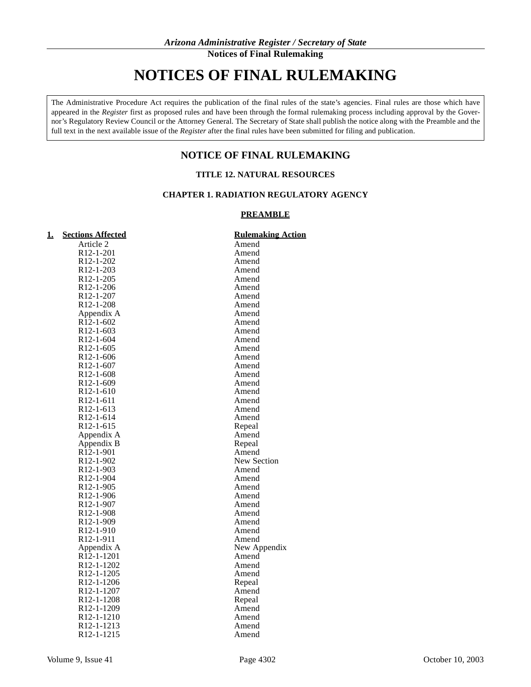# **NOTICES OF FINAL RULEMAKING**

The Administrative Procedure Act requires the publication of the final rules of the state's agencies. Final rules are those which have appeared in the *Register* first as proposed rules and have been through the formal rulemaking process including approval by the Governor's Regulatory Review Council or the Attorney General. The Secretary of State shall publish the notice along with the Preamble and the full text in the next available issue of the *Register* after the final rules have been submitted for filing and publication.

# **NOTICE OF FINAL RULEMAKING**

# **TITLE 12. NATURAL RESOURCES**

# **CHAPTER 1. RADIATION REGULATORY AGENCY**

### **PREAMBLE**

| <u>1.</u> | <b>Sections Affected</b>              | <b>Rulemaking Action</b> |
|-----------|---------------------------------------|--------------------------|
|           | Article 2                             | Amend                    |
|           | R12-1-201                             | Amend                    |
|           | R <sub>12</sub> -1-202                | Amend                    |
|           | R <sub>12</sub> -1-203                | Amend                    |
|           | R <sub>12</sub> -1-205                | Amend                    |
|           | R <sub>12</sub> -1-206                | Amend                    |
|           | R12-1-207                             | Amend                    |
|           | R <sub>12</sub> -1-208                | Amend                    |
|           | Appendix A                            | Amend                    |
|           | $R\bar{1}\bar{2}$ -1-602              | Amend                    |
|           | $R12 - 1 - 603$                       | Amend                    |
|           | R <sub>12</sub> -1-604                | Amend                    |
|           | $R12 - 1 - 605$                       | Amend                    |
|           | R <sub>12</sub> -1-606                | Amend                    |
|           | R <sub>12</sub> -1-607                | Amend                    |
|           | R <sub>12</sub> -1-608                | Amend                    |
|           | R12-1-609                             | Amend                    |
|           | R <sub>12</sub> -1-610                | Amend                    |
|           | R <sub>12</sub> -1-611                | Amend                    |
|           | R <sub>12</sub> -1-613                | Amend                    |
|           | R <sub>12</sub> -1-614                | Amend                    |
|           | R12-1-615                             | Repeal                   |
|           | Appendix A                            | Amend                    |
|           | Appendix B                            | Repeal                   |
|           | R <sub>12</sub> -1-901                | Amend                    |
|           | R <sub>12</sub> -1-902                | <b>New Section</b>       |
|           | R <sub>12</sub> -1-903                | Amend                    |
|           | R12-1-904                             | Amend                    |
|           | R <sub>12</sub> -1-905                | Amend                    |
|           | R <sub>12</sub> -1-906                | Amend                    |
|           | R <sub>12</sub> -1-907                | Amend                    |
|           | R <sub>12</sub> -1-908                | Amend                    |
|           | R <sub>12</sub> -1-909                | Amend                    |
|           | R <sub>12</sub> -1-910                | Amend                    |
|           | R <sub>12</sub> -1-911                | Amend                    |
|           | Appendix A<br>R <sub>12</sub> -1-1201 | New Appendix<br>Amend    |
|           | R <sub>12</sub> -1-1202               | Amend                    |
|           | R <sub>12</sub> -1-1205               | Amend                    |
|           | R <sub>12</sub> -1-1206               | Repeal                   |
|           | R <sub>12</sub> -1-1207               | Amend                    |
|           | R <sub>12</sub> -1-1208               | Repeal                   |
|           | R <sub>12</sub> -1-1209               | Amend                    |
|           | R <sub>12</sub> -1-1210               | Amend                    |
|           | R <sub>12</sub> -1-1213               | Amend                    |
|           | R <sub>12</sub> -1-1215               | Amend                    |
|           |                                       |                          |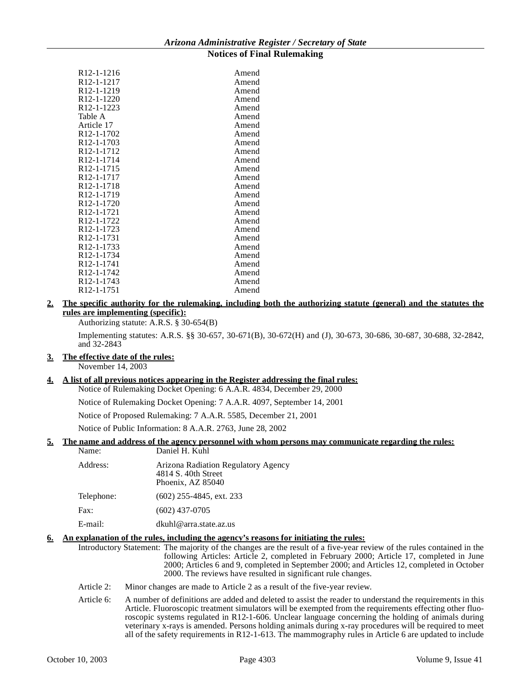| R12-1-1216              | Amend |
|-------------------------|-------|
| R12-1-1217              | Amend |
| R12-1-1219              | Amend |
| R12-1-1220              | Amend |
| R12-1-1223              | Amend |
| Table A                 | Amend |
| Article 17              | Amend |
| R12-1-1702              | Amend |
| R <sub>12</sub> -1-1703 | Amend |
| R12-1-1712              | Amend |
| R <sub>12</sub> -1-1714 | Amend |
| R12-1-1715              | Amend |
| R12-1-1717              | Amend |
| R12-1-1718              | Amend |
| R12-1-1719              | Amend |
| R12-1-1720              | Amend |
| R12-1-1721              | Amend |
| R12-1-1722              | Amend |
| R12-1-1723              | Amend |
| R12-1-1731              | Amend |
| R12-1-1733              | Amend |
| R12-1-1734              | Amend |
| R <sub>12</sub> -1-1741 | Amend |
| R12-1-1742              | Amend |
| R12-1-1743              | Amend |
| R12-1-1751              | Amend |
|                         |       |

# **2. The specific authority for the rulemaking, including both the authorizing statute (general) and the statutes the rules are implementing (specific):**

Authorizing statute: A.R.S. § 30-654(B)

Implementing statutes: A.R.S. §§ 30-657, 30-671(B), 30-672(H) and (J), 30-673, 30-686, 30-687, 30-688, 32-2842, and 32-2843

# **3. The effective date of the rules:**

November 14, 2003

#### **4. A list of all previous notices appearing in the Register addressing the final rules:**

Notice of Rulemaking Docket Opening: 6 A.A.R. 4834, December 29, 2000

Notice of Rulemaking Docket Opening: 7 A.A.R. 4097, September 14, 2001

Notice of Proposed Rulemaking: 7 A.A.R. 5585, December 21, 2001

Notice of Public Information: 8 A.A.R. 2763, June 28, 2002

# **5. The name and address of the agency personnel with whom persons may communicate regarding the rules:**

| Name:      | Daniel H. Kuhl                                                                  |
|------------|---------------------------------------------------------------------------------|
| Address:   | Arizona Radiation Regulatory Agency<br>4814 S. 40th Street<br>Phoenix, AZ 85040 |
| Telephone: | $(602)$ 255-4845, ext. 233                                                      |
| Fax:       | $(602)$ 437-0705                                                                |
| E-mail:    | dkuhl@arra.state.az.us                                                          |

#### **6. An explanation of the rules, including the agency's reasons for initiating the rules:**

- Introductory Statement: The majority of the changes are the result of a five-year review of the rules contained in the following Articles: Article 2, completed in February 2000; Article 17, completed in June 2000; Articles 6 and 9, completed in September 2000; and Articles 12, completed in October 2000. The reviews have resulted in significant rule changes.
- Article 2: Minor changes are made to Article 2 as a result of the five-year review.
- Article 6: A number of definitions are added and deleted to assist the reader to understand the requirements in this Article. Fluoroscopic treatment simulators will be exempted from the requirements effecting other fluoroscopic systems regulated in R12-1-606. Unclear language concerning the holding of animals during veterinary x-rays is amended. Persons holding animals during x-ray procedures will be required to meet all of the safety requirements in R12-1-613. The mammography rules in Article 6 are updated to include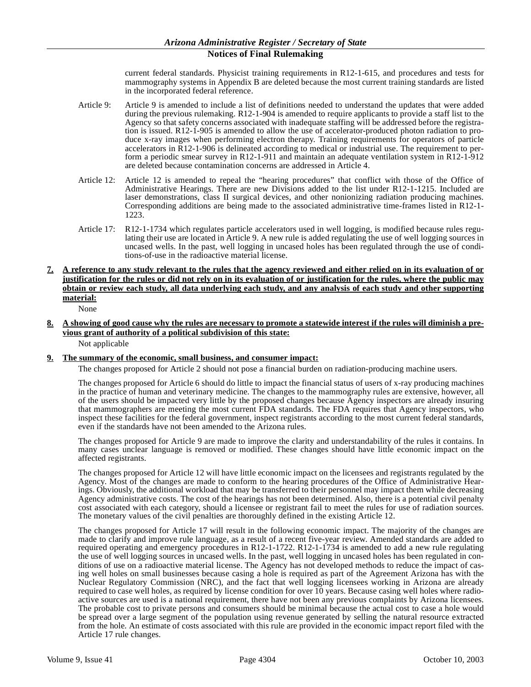current federal standards. Physicist training requirements in R12-1-615, and procedures and tests for mammography systems in Appendix B are deleted because the most current training standards are listed in the incorporated federal reference.

- Article 9: Article 9 is amended to include a list of definitions needed to understand the updates that were added during the previous rulemaking. R12-1-904 is amended to require applicants to provide a staff list to the Agency so that safety concerns associated with inadequate staffing will be addressed before the registration is issued. R12-1-905 is amended to allow the use of accelerator-produced photon radiation to produce x-ray images when performing electron therapy. Training requirements for operators of particle accelerators in R12-1-906 is delineated according to medical or industrial use. The requirement to perform a periodic smear survey in R12-1-911 and maintain an adequate ventilation system in R12-1-912 are deleted because contamination concerns are addressed in Article 4.
- Article 12: Article 12 is amended to repeal the "hearing procedures" that conflict with those of the Office of Administrative Hearings. There are new Divisions added to the list under R12-1-1215. Included are laser demonstrations, class II surgical devices, and other nonionizing radiation producing machines. Corresponding additions are being made to the associated administrative time-frames listed in R12-1- 1223.
- Article 17: R12-1-1734 which regulates particle accelerators used in well logging, is modified because rules regulating their use are located in Article 9. A new rule is added regulating the use of well logging sources in uncased wells. In the past, well logging in uncased holes has been regulated through the use of conditions-of-use in the radioactive material license.
- **7. A reference to any study relevant to the rules that the agency reviewed and either relied on in its evaluation of or justification for the rules or did not rely on in its evaluation of or justification for the rules, where the public may obtain or review each study, all data underlying each study, and any analysis of each study and other supporting material:**

None

**8. A showing of good cause why the rules are necessary to promote a statewide interest if the rules will diminish a previous grant of authority of a political subdivision of this state:** Not applicable

#### **9. The summary of the economic, small business, and consumer impact:**

The changes proposed for Article 2 should not pose a financial burden on radiation-producing machine users.

The changes proposed for Article 6 should do little to impact the financial status of users of x-ray producing machines in the practice of human and veterinary medicine. The changes to the mammography rules are extensive, however, all of the users should be impacted very little by the proposed changes because Agency inspectors are already insuring that mammographers are meeting the most current FDA standards. The FDA requires that Agency inspectors, who inspect these facilities for the federal government, inspect registrants according to the most current federal standards, even if the standards have not been amended to the Arizona rules.

The changes proposed for Article 9 are made to improve the clarity and understandability of the rules it contains. In many cases unclear language is removed or modified. These changes should have little economic impact on the affected registrants.

The changes proposed for Article 12 will have little economic impact on the licensees and registrants regulated by the Agency. Most of the changes are made to conform to the hearing procedures of the Office of Administrative Hearings. Obviously, the additional workload that may be transferred to their personnel may impact them while decreasing Agency administrative costs. The cost of the hearings has not been determined. Also, there is a potential civil penalty cost associated with each category, should a licensee or registrant fail to meet the rules for use of radiation sources. The monetary values of the civil penalties are thoroughly defined in the existing Article 12.

The changes proposed for Article 17 will result in the following economic impact. The majority of the changes are made to clarify and improve rule language, as a result of a recent five-year review. Amended standards are added to required operating and emergency procedures in R12-1-1722. R12-1-1734 is amended to add a new rule regulating the use of well logging sources in uncased wells. In the past, well logging in uncased holes has been regulated in conditions of use on a radioactive material license. The Agency has not developed methods to reduce the impact of casing well holes on small businesses because casing a hole is required as part of the Agreement Arizona has with the Nuclear Regulatory Commission (NRC), and the fact that well logging licensees working in Arizona are already required to case well holes, as required by license condition for over 10 years. Because casing well holes where radioactive sources are used is a national requirement, there have not been any previous complaints by Arizona licensees. The probable cost to private persons and consumers should be minimal because the actual cost to case a hole would be spread over a large segment of the population using revenue generated by selling the natural resource extracted from the hole. An estimate of costs associated with this rule are provided in the economic impact report filed with the Article 17 rule changes.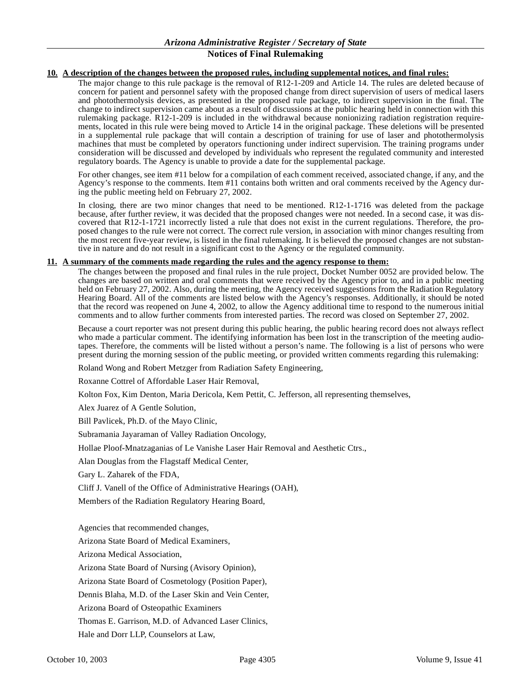#### **10. A description of the changes between the proposed rules, including supplemental notices, and final rules:**

The major change to this rule package is the removal of R12-1-209 and Article 14. The rules are deleted because of concern for patient and personnel safety with the proposed change from direct supervision of users of medical lasers and photothermolysis devices, as presented in the proposed rule package, to indirect supervision in the final. The change to indirect supervision came about as a result of discussions at the public hearing held in connection with this rulemaking package. R12-1-209 is included in the withdrawal because nonionizing radiation registration requirements, located in this rule were being moved to Article 14 in the original package. These deletions will be presented in a supplemental rule package that will contain a description of training for use of laser and photothermolysis machines that must be completed by operators functioning under indirect supervision. The training programs under consideration will be discussed and developed by individuals who represent the regulated community and interested regulatory boards. The Agency is unable to provide a date for the supplemental package.

For other changes, see item #11 below for a compilation of each comment received, associated change, if any, and the Agency's response to the comments. Item #11 contains both written and oral comments received by the Agency during the public meeting held on February 27, 2002.

In closing, there are two minor changes that need to be mentioned. R12-1-1716 was deleted from the package because, after further review, it was decided that the proposed changes were not needed. In a second case, it was discovered that R12-1-1721 incorrectly listed a rule that does not exist in the current regulations. Therefore, the proposed changes to the rule were not correct. The correct rule version, in association with minor changes resulting from the most recent five-year review, is listed in the final rulemaking. It is believed the proposed changes are not substantive in nature and do not result in a significant cost to the Agency or the regulated community.

#### **11. A summary of the comments made regarding the rules and the agency response to them:**

The changes between the proposed and final rules in the rule project, Docket Number 0052 are provided below. The changes are based on written and oral comments that were received by the Agency prior to, and in a public meeting held on February 27, 2002. Also, during the meeting, the Agency received suggestions from the Radiation Regulatory Hearing Board. All of the comments are listed below with the Agency's responses. Additionally, it should be noted that the record was reopened on June 4, 2002, to allow the Agency additional time to respond to the numerous initial comments and to allow further comments from interested parties. The record was closed on September 27, 2002.

Because a court reporter was not present during this public hearing, the public hearing record does not always reflect who made a particular comment. The identifying information has been lost in the transcription of the meeting audiotapes. Therefore, the comments will be listed without a person's name. The following is a list of persons who were present during the morning session of the public meeting, or provided written comments regarding this rulemaking:

Roland Wong and Robert Metzger from Radiation Safety Engineering,

Roxanne Cottrel of Affordable Laser Hair Removal,

Kolton Fox, Kim Denton, Maria Dericola, Kem Pettit, C. Jefferson, all representing themselves,

Alex Juarez of A Gentle Solution,

Bill Pavlicek, Ph.D. of the Mayo Clinic,

Subramania Jayaraman of Valley Radiation Oncology,

Hollae Ploof-Mnatzaganias of Le Vanishe Laser Hair Removal and Aesthetic Ctrs.,

Alan Douglas from the Flagstaff Medical Center,

Gary L. Zaharek of the FDA,

Cliff J. Vanell of the Office of Administrative Hearings (OAH),

Members of the Radiation Regulatory Hearing Board,

Agencies that recommended changes,

Arizona State Board of Medical Examiners,

Arizona Medical Association,

Arizona State Board of Nursing (Avisory Opinion),

Arizona State Board of Cosmetology (Position Paper),

Dennis Blaha, M.D. of the Laser Skin and Vein Center,

Arizona Board of Osteopathic Examiners

Thomas E. Garrison, M.D. of Advanced Laser Clinics,

Hale and Dorr LLP, Counselors at Law,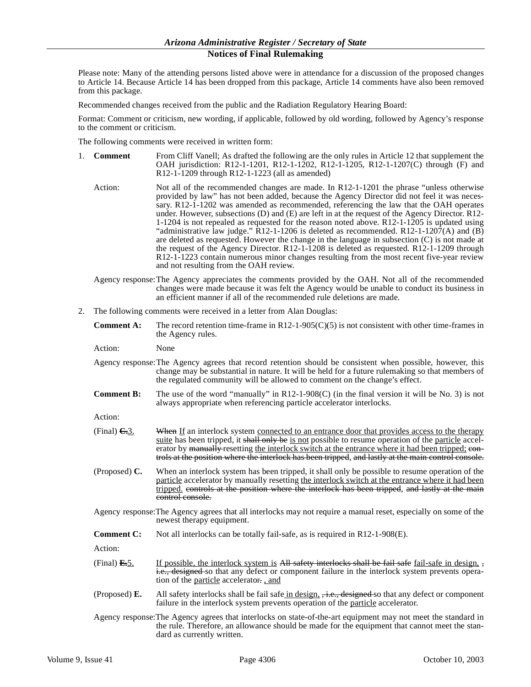Please note: Many of the attending persons listed above were in attendance for a discussion of the proposed changes to Article 14. Because Article 14 has been dropped from this package, Article 14 comments have also been removed from this package.

Recommended changes received from the public and the Radiation Regulatory Hearing Board:

Format: Comment or criticism, new wording, if applicable, followed by old wording, followed by Agency's response to the comment or criticism.

The following comments were received in written form:

- 1. **Comment** From Cliff Vanell; As drafted the following are the only rules in Article 12 that supplement the OAH jurisdiction: R12-1-1201, R12-1-1202, R12-1-1205, R12-1-1207(C) through (F) and R12-1-1209 through R12-1-1223 (all as amended)
	- Action: Not all of the recommended changes are made. In R12-1-1201 the phrase "unless otherwise provided by law" has not been added, because the Agency Director did not feel it was necessary. R12-1-1202 was amended as recommended, referencing the law that the OAH operates under. However, subsections (D) and (E) are left in at the request of the Agency Director. R12- 1-1204 is not repealed as requested for the reason noted above. R12-1-1205 is updated using "administrative law judge."  $\overline{R}12$ -1-1206 is deleted as recommended.  $\overline{R}12$ -1-1207(A) and (B) are deleted as requested. However the change in the language in subsection (C) is not made at the request of the Agency Director. R12-1-1208 is deleted as requested. R12-1-1209 through R12-1-1223 contain numerous minor changes resulting from the most recent five-year review and not resulting from the OAH review.
	- Agency response:The Agency appreciates the comments provided by the OAH. Not all of the recommended changes were made because it was felt the Agency would be unable to conduct its business in an efficient manner if all of the recommended rule deletions are made.
- 2. The following comments were received in a letter from Alan Douglas:
	- **Comment A:** The record retention time-frame in  $R12-1-905(C)(5)$  is not consistent with other time-frames in the Agency rules.

Action: None

- Agency response:The Agency agrees that record retention should be consistent when possible, however, this change may be substantial in nature. It will be held for a future rulemaking so that members of the regulated community will be allowed to comment on the change's effect.
- **Comment B:** The use of the word "manually" in R12-1-908(C) (in the final version it will be No. 3) is not always appropriate when referencing particle accelerator interlocks.

Action:

- (Final)  $\frac{C.3}{C}$  When If an interlock system connected to an entrance door that provides access to the therapy suite has been tripped, it shall only be is not possible to resume operation of the particle accelerator by manually resetting the interlock switch at the entrance where it had been tripped; eontrols at the position where the interlock has been tripped, and lastly at the main control console.
- (Proposed) **C.** When an interlock system has been tripped, it shall only be possible to resume operation of the particle accelerator by manually resetting the interlock switch at the entrance where it had been tripped. controls at the position where the interlock has been tripped, and lastly at the main control console.
- Agency response:The Agency agrees that all interlocks may not require a manual reset, especially on some of the newest therapy equipment.
- **Comment C:** Not all interlocks can be totally fail-safe, as is required in R12-1-908(E).

- (Final)  $\mathbf{E}$ -5. If possible, the interlock system is All safety interlocks shall be fail safe fail-safe in design,  $\frac{1}{2}$ i.e., designed so that any defect or component failure in the interlock system prevents operation of the particle accelerator. , and
- (Proposed) **E.** All safety interlocks shall be fail safe in design, , i.e., designed so that any defect or component failure in the interlock system prevents operation of the particle accelerator.
- Agency response:The Agency agrees that interlocks on state-of-the-art equipment may not meet the standard in the rule. Therefore, an allowance should be made for the equipment that cannot meet the standard as currently written.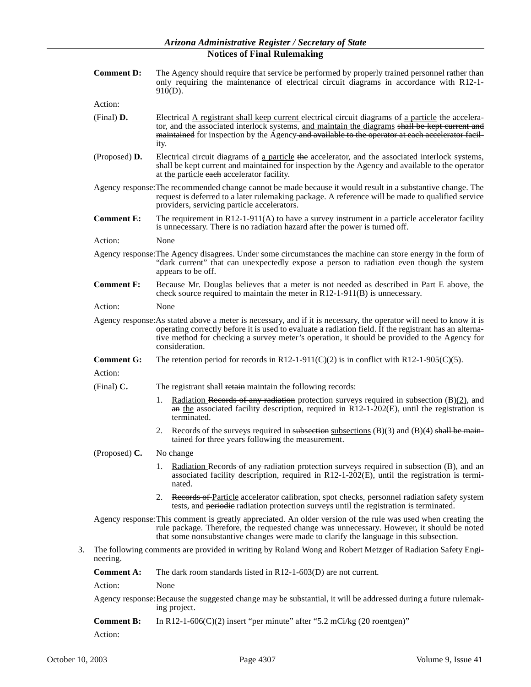|    | <b>Comment D:</b> | The Agency should require that service be performed by properly trained personnel rather than<br>only requiring the maintenance of electrical circuit diagrams in accordance with R12-1-<br>$910(D)$ .                                                                                                                                          |
|----|-------------------|-------------------------------------------------------------------------------------------------------------------------------------------------------------------------------------------------------------------------------------------------------------------------------------------------------------------------------------------------|
|    | Action:           |                                                                                                                                                                                                                                                                                                                                                 |
|    | (Final) D.        | Electrical A registrant shall keep current electrical circuit diagrams of a particle the accelera-<br>tor, and the associated interlock systems, and maintain the diagrams shall be kept current and<br>maintained for inspection by the Agency and available to the operator at each accelerator facil-<br>ity.                                |
|    | (Proposed) D.     | Electrical circuit diagrams of a particle the accelerator, and the associated interlock systems,<br>shall be kept current and maintained for inspection by the Agency and available to the operator<br>at the particle each accelerator facility.                                                                                               |
|    |                   | Agency response: The recommended change cannot be made because it would result in a substantive change. The<br>request is deferred to a later rulemaking package. A reference will be made to qualified service<br>providers, servicing particle accelerators.                                                                                  |
|    | <b>Comment E:</b> | The requirement in $R12-1-911(A)$ to have a survey instrument in a particle accelerator facility<br>is unnecessary. There is no radiation hazard after the power is turned off.                                                                                                                                                                 |
|    | Action:           | None                                                                                                                                                                                                                                                                                                                                            |
|    |                   | Agency response: The Agency disagrees. Under some circumstances the machine can store energy in the form of<br>"dark current" that can unexpectedly expose a person to radiation even though the system<br>appears to be off.                                                                                                                   |
|    | <b>Comment F:</b> | Because Mr. Douglas believes that a meter is not needed as described in Part E above, the<br>check source required to maintain the meter in $R12-1-911(B)$ is unnecessary.                                                                                                                                                                      |
|    | Action:           | None                                                                                                                                                                                                                                                                                                                                            |
|    |                   | Agency response: As stated above a meter is necessary, and if it is necessary, the operator will need to know it is<br>operating correctly before it is used to evaluate a radiation field. If the registrant has an alterna-<br>tive method for checking a survey meter's operation, it should be provided to the Agency for<br>consideration. |
|    | <b>Comment G:</b> | The retention period for records in R12-1-911(C)(2) is in conflict with R12-1-905(C)(5).                                                                                                                                                                                                                                                        |
|    | Action:           |                                                                                                                                                                                                                                                                                                                                                 |
|    | (Final) $C$ .     | The registrant shall retain maintain the following records:                                                                                                                                                                                                                                                                                     |
|    |                   | <u>Radiation Records of any radiation</u> protection surveys required in subsection $(B)(2)$ , and<br>1.<br>$\frac{a}{b}$ the associated facility description, required in R12-1-202(E), until the registration is<br>terminated.                                                                                                               |
|    |                   | 2. Records of the surveys required in subsection subsections $(B)(3)$ and $(B)(4)$ shall be main-<br>tained for three years following the measurement.                                                                                                                                                                                          |
|    | (Proposed) $C$ .  | No change                                                                                                                                                                                                                                                                                                                                       |
|    |                   | Radiation Records of any radiation protection surveys required in subsection (B), and an<br>1.<br>associated facility description, required in $R12-1-202(E)$ , until the registration is termi-<br>nated.                                                                                                                                      |
|    |                   | 2. Records of Particle accelerator calibration, spot checks, personnel radiation safety system<br>tests, and periodic radiation protection surveys until the registration is terminated.                                                                                                                                                        |
|    |                   | Agency response: This comment is greatly appreciated. An older version of the rule was used when creating the<br>rule package. Therefore, the requested change was unnecessary. However, it should be noted<br>that some nonsubstantive changes were made to clarify the language in this subsection.                                           |
| 3. | neering.          | The following comments are provided in writing by Roland Wong and Robert Metzger of Radiation Safety Engi-                                                                                                                                                                                                                                      |
|    | <b>Comment A:</b> | The dark room standards listed in $R12-1-603(D)$ are not current.                                                                                                                                                                                                                                                                               |
|    | Action:           | None                                                                                                                                                                                                                                                                                                                                            |
|    |                   | Agency response: Because the suggested change may be substantial, it will be addressed during a future rulemak-<br>ing project.                                                                                                                                                                                                                 |
|    | <b>Comment B:</b> | In R12-1-606(C)(2) insert "per minute" after "5.2 mCi/kg (20 roentgen)"                                                                                                                                                                                                                                                                         |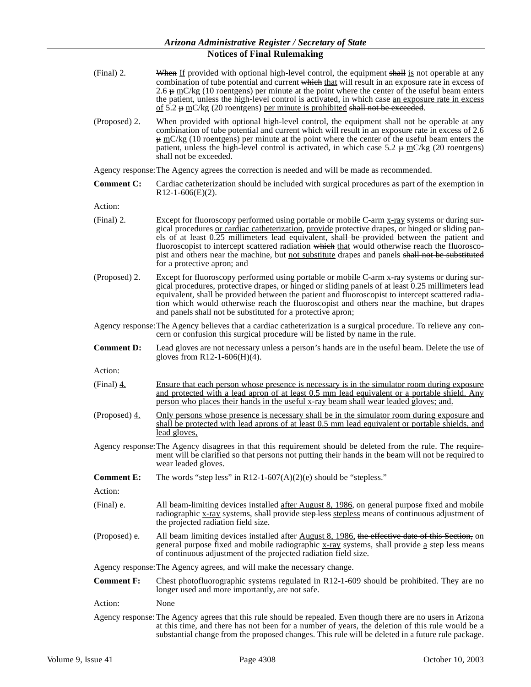- (Final) 2. When If provided with optional high-level control, the equipment shall is not operable at any combination of tube potential and current which that will result in an exposure rate in excess of 2.6  $\#$  mC/kg (10 roentgens) per minute at the point where the center of the useful beam enters the patient, unless the high-level control is activated, in which case an exposure rate in excess of  $5.2 \text{ }\text{~mC/kg}$  (20 roentgens) per minute is prohibited shall not be exceeded.
- (Proposed) 2. When provided with optional high-level control, the equipment shall not be operable at any combination of tube potential and current which will result in an exposure rate in excess of 2.6  $\frac{\mu}{\mu}$  mC/kg (10 roentgens) per minute at the point where the center of the useful beam enters the patient, unless the high-level control is activated, in which case 5.2  $\mu$  mC/kg (20 roentgens) shall not be exceeded.

Agency response:The Agency agrees the correction is needed and will be made as recommended.

**Comment C:** Cardiac catheterization should be included with surgical procedures as part of the exemption in  $R12-1-606(E)(2)$ .

Action:

- (Final) 2. Except for fluoroscopy performed using portable or mobile C-arm  $\frac{x-ray}{x-ray}$  systems or during surgical procedures or cardiac catheterization, provide protective drapes, or hinged or sliding panels of at least 0.25 millimeters lead equivalent, shall be provided between the patient and fluoroscopist to intercept scattered radiation which that would otherwise reach the fluoroscopist and others near the machine, but not substitute drapes and panels shall not be substituted for a protective apron; and
- (Proposed) 2. Except for fluoroscopy performed using portable or mobile C-arm x-ray systems or during surgical procedures, protective drapes, or hinged or sliding panels of at least 0.25 millimeters lead equivalent, shall be provided between the patient and fluoroscopist to intercept scattered radiation which would otherwise reach the fluoroscopist and others near the machine, but drapes and panels shall not be substituted for a protective apron;
- Agency response:The Agency believes that a cardiac catheterization is a surgical procedure. To relieve any concern or confusion this surgical procedure will be listed by name in the rule.
- **Comment D:** Lead gloves are not necessary unless a person's hands are in the useful beam. Delete the use of gloves from  $R12-1-606$ (H)(4).

Action:

- (Final) 4. Ensure that each person whose presence is necessary is in the simulator room during exposure and protected with a lead apron of at least 0.5 mm lead equivalent or a portable shield. Any person who places their hands in the useful x-ray beam shall wear leaded gloves; and.
- (Proposed) 4. Only persons whose presence is necessary shall be in the simulator room during exposure and shall be protected with lead aprons of at least 0.5 mm lead equivalent or portable shields, and lead gloves,
- Agency response:The Agency disagrees in that this requirement should be deleted from the rule. The requirement will be clarified so that persons not putting their hands in the beam will not be required to wear leaded gloves.
- **Comment E:** The words "step less" in R12-1-607(A)(2)(e) should be "stepless."

- (Final) e. All beam-limiting devices installed after August 8, 1986, on general purpose fixed and mobile radiographic x-ray systems, shall provide step less stepless means of continuous adjustment of the projected radiation field size.
- (Proposed) e. All beam limiting devices installed after August 8, 1986, the effective date of this Section, on general purpose fixed and mobile radiographic  $x$ -ray systems, shall provide  $\frac{a}{b}$  step less means of continuous adjustment of the projected radiation field size.
- Agency response:The Agency agrees, and will make the necessary change.
- **Comment F:** Chest photofluorographic systems regulated in R12-1-609 should be prohibited. They are no longer used and more importantly, are not safe.
- Action: None
- Agency response: The Agency agrees that this rule should be repealed. Even though there are no users in Arizona at this time, and there has not been for a number of years, the deletion of this rule would be a substantial change from the proposed changes. This rule will be deleted in a future rule package.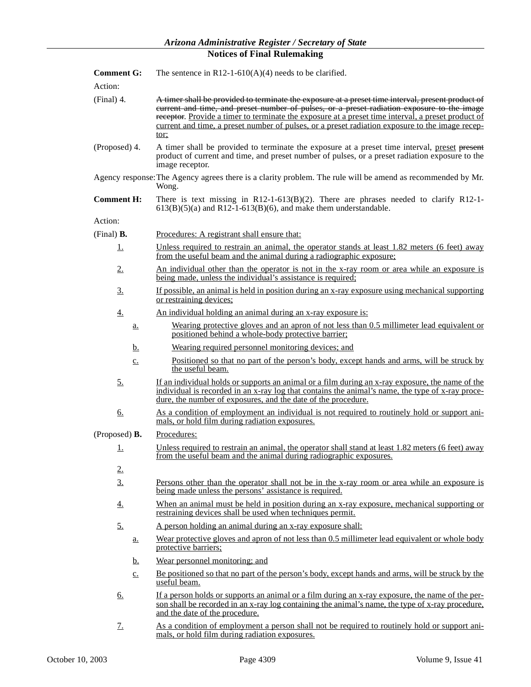| <b>Comment G:</b>         | The sentence in $R12-1-610(A)(4)$ needs to be clarified.                                                                                                                                                                                                                                                                                                                                                         |  |
|---------------------------|------------------------------------------------------------------------------------------------------------------------------------------------------------------------------------------------------------------------------------------------------------------------------------------------------------------------------------------------------------------------------------------------------------------|--|
| Action:                   |                                                                                                                                                                                                                                                                                                                                                                                                                  |  |
| $(Final)$ 4.              | A timer shall be provided to terminate the exposure at a preset time interval, present product of<br>eurrent and time, and preset number of pulses, or a preset radiation exposure to the image<br>receptor. Provide a timer to terminate the exposure at a preset time interval, a preset product of<br>current and time, a preset number of pulses, or a preset radiation exposure to the image recep-<br>tor: |  |
| (Proposed) 4.             | A timer shall be provided to terminate the exposure at a preset time interval, preset present<br>product of current and time, and preset number of pulses, or a preset radiation exposure to the<br>image receptor.                                                                                                                                                                                              |  |
|                           | Agency response: The Agency agrees there is a clarity problem. The rule will be amend as recommended by Mr.<br>Wong.                                                                                                                                                                                                                                                                                             |  |
| <b>Comment H:</b>         | There is text missing in $R12-1-613(B)(2)$ . There are phrases needed to clarify R12-1-<br>$613(B)(5)(a)$ and R12-1-613(B)(6), and make them understandable.                                                                                                                                                                                                                                                     |  |
| Action:                   |                                                                                                                                                                                                                                                                                                                                                                                                                  |  |
| (Final) $\mathbf{B}$ .    | Procedures: A registrant shall ensure that:                                                                                                                                                                                                                                                                                                                                                                      |  |
| <u>1.</u>                 | Unless required to restrain an animal, the operator stands at least 1.82 meters (6 feet) away<br>from the useful beam and the animal during a radiographic exposure;                                                                                                                                                                                                                                             |  |
| 2.                        | An individual other than the operator is not in the x-ray room or area while an exposure is<br>being made, unless the individual's assistance is required;                                                                                                                                                                                                                                                       |  |
| 3.                        | If possible, an animal is held in position during an x-ray exposure using mechanical supporting<br>or restraining devices;                                                                                                                                                                                                                                                                                       |  |
| <u>4.</u>                 | <u>An individual holding an animal during an x-ray exposure is:</u>                                                                                                                                                                                                                                                                                                                                              |  |
| <u>a.</u>                 | Wearing protective gloves and an apron of not less than 0.5 millimeter lead equivalent or<br>positioned behind a whole-body protective barrier;                                                                                                                                                                                                                                                                  |  |
| b.                        | Wearing required personnel monitoring devices; and                                                                                                                                                                                                                                                                                                                                                               |  |
| $C_{\bullet}$             | Positioned so that no part of the person's body, except hands and arms, will be struck by<br>the useful beam.                                                                                                                                                                                                                                                                                                    |  |
| <u>5.</u>                 | If an individual holds or supports an animal or a film during an x-ray exposure, the name of the<br>individual is recorded in an x-ray log that contains the animal's name, the type of x-ray proce-<br>dure, the number of exposures, and the date of the procedure.                                                                                                                                            |  |
| <u>6.</u>                 | As a condition of employment an individual is not required to routinely hold or support ani-<br>mals, or hold film during radiation exposures.                                                                                                                                                                                                                                                                   |  |
| (Proposed) $\mathbf{B}$ . | Procedures:                                                                                                                                                                                                                                                                                                                                                                                                      |  |
| <u>1.</u>                 | Unless required to restrain an animal, the operator shall stand at least 1.82 meters (6 feet) away<br>from the useful beam and the animal during radiographic exposures.                                                                                                                                                                                                                                         |  |
| 2.                        |                                                                                                                                                                                                                                                                                                                                                                                                                  |  |
| 3.                        | Persons other than the operator shall not be in the x-ray room or area while an exposure is<br>being made unless the persons' assistance is required.                                                                                                                                                                                                                                                            |  |
| <u>4.</u>                 | When an animal must be held in position during an x-ray exposure, mechanical supporting or<br>restraining devices shall be used when techniques permit.                                                                                                                                                                                                                                                          |  |
| 5.                        | A person holding an animal during an x-ray exposure shall:                                                                                                                                                                                                                                                                                                                                                       |  |
| <u>a.</u>                 | Wear protective gloves and apron of not less than 0.5 millimeter lead equivalent or whole body<br>protective barriers;                                                                                                                                                                                                                                                                                           |  |
| <u>b.</u>                 | Wear personnel monitoring; and                                                                                                                                                                                                                                                                                                                                                                                   |  |
| $\underline{c}$ .         | Be positioned so that no part of the person's body, except hands and arms, will be struck by the<br>useful beam.                                                                                                                                                                                                                                                                                                 |  |
| 6.                        | If a person holds or supports an animal or a film during an x-ray exposure, the name of the per-<br>son shall be recorded in an x-ray log containing the animal's name, the type of x-ray procedure.<br>and the date of the procedure.                                                                                                                                                                           |  |
|                           |                                                                                                                                                                                                                                                                                                                                                                                                                  |  |

7. As a condition of employment a person shall not be required to routinely hold or support animals, or hold film during radiation exposures.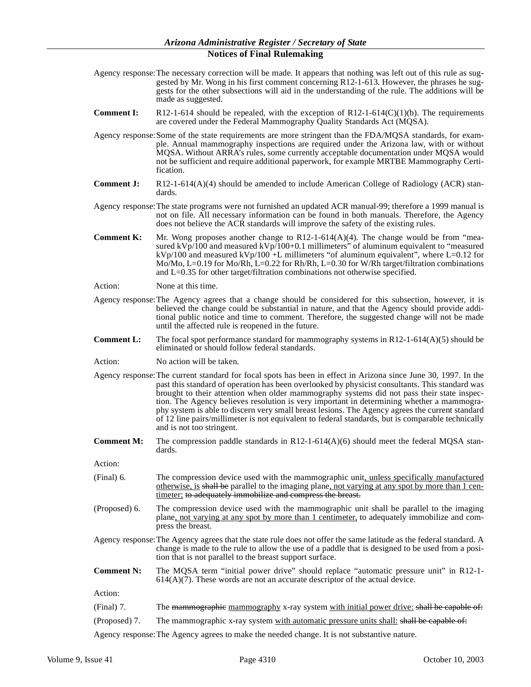- Agency response:The necessary correction will be made. It appears that nothing was left out of this rule as suggested by Mr. Wong in his first comment concerning R12-1-613. However, the phrases he suggests for the other subsections will aid in the understanding of the rule. The additions will be made as suggested.
- **Comment I:** R12-1-614 should be repealed, with the exception of R12-1-614( $C$ )(1)(b). The requirements are covered under the Federal Mammography Quality Standards Act (MQSA).
- Agency response:Some of the state requirements are more stringent than the FDA/MQSA standards, for example. Annual mammography inspections are required under the Arizona law, with or without MQSA. Without ARRA's rules, some currently acceptable documentation under MQSA would not be sufficient and require additional paperwork, for example MRTBE Mammography Certification.
- **Comment J:** R12-1-614(A)(4) should be amended to include American College of Radiology (ACR) standards.
- Agency response:The state programs were not furnished an updated ACR manual-99; therefore a 1999 manual is not on file. All necessary information can be found in both manuals. Therefore, the Agency does not believe the ACR standards will improve the safety of the existing rules.
- **Comment K:** Mr. Wong proposes another change to R12-1-614(A)(4). The change would be from "measured kVp/100 and measured kVp/100+0.1 millimeters" of aluminum equivalent to "measured  $kVp/100$  and measured  $kVp/100$  +L millimeters "of aluminum equivalent", where L=0.12 for Mo/Mo, L=0.19 for Mo/Rh, L=0.22 for Rh/Rh, L=0.30 for W/Rh target/filtration combinations and L=0.35 for other target/filtration combinations not otherwise specified.
- Action: None at this time.
- Agency response:The Agency agrees that a change should be considered for this subsection, however, it is believed the change could be substantial in nature, and that the Agency should provide additional public notice and time to comment. Therefore, the suggested change will not be made until the affected rule is reopened in the future.
- **Comment L:** The focal spot performance standard for mammography systems in R12-1-614(A)(5) should be eliminated or should follow federal standards.
- Action: No action will be taken.
- Agency response:The current standard for focal spots has been in effect in Arizona since June 30, 1997. In the past this standard of operation has been overlooked by physicist consultants. This standard was brought to their attention when older mammography systems did not pass their state inspection. The Agency believes resolution is very important in determining whether a mammography system is able to discern very small breast lesions. The Agency agrees the current standard of 12 line pairs/millimeter is not equivalent to federal standards, but is comparable technically and is not too stringent.
- **Comment M:** The compression paddle standards in R12-1-614(A)(6) should meet the federal MQSA standards.

Action:

- (Final) 6. The compression device used with the mammographic unit, unless specifically manufactured otherwise, is shall be parallel to the imaging plane, not varying at any spot by more than 1 centimeter; to adequately immobilize and compress the breast.
- (Proposed) 6. The compression device used with the mammographic unit shall be parallel to the imaging plane, not varying at any spot by more than 1 centimeter, to adequately immobilize and compress the breast.
- Agency response:The Agency agrees that the state rule does not offer the same latitude as the federal standard. A change is made to the rule to allow the use of a paddle that is designed to be used from a position that is not parallel to the breast support surface.
- **Comment N:** The MQSA term "initial power drive" should replace "automatic pressure unit" in R12-1-  $614(A)(7)$ . These words are not an accurate descriptor of the actual device.

Action:

- (Final) 7. The mammographic mammography x-ray system with initial power drive: shall be capable of:
- (Proposed) 7. The mammographic x-ray system with automatic pressure units shall: shall be capable of:

Agency response:The Agency agrees to make the needed change. It is not substantive nature.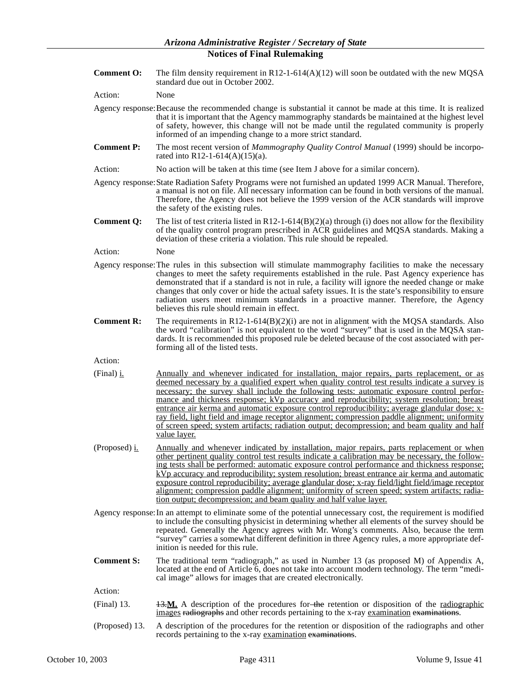- **Comment O:** The film density requirement in R12-1-614(A)(12) will soon be outdated with the new MQSA standard due out in October 2002.
- Action: None
- Agency response:Because the recommended change is substantial it cannot be made at this time. It is realized that it is important that the Agency mammography standards be maintained at the highest level of safety, however, this change will not be made until the regulated community is properly informed of an impending change to a more strict standard.
- **Comment P:** The most recent version of *Mammography Quality Control Manual* (1999) should be incorporated into R12-1-614(A)(15)(a).
- Action: No action will be taken at this time (see Item J above for a similar concern).
- Agency response:State Radiation Safety Programs were not furnished an updated 1999 ACR Manual. Therefore, a manual is not on file. All necessary information can be found in both versions of the manual. Therefore, the Agency does not believe the 1999 version of the ACR standards will improve the safety of the existing rules.
- **Comment Q:** The list of test criteria listed in R12-1-614(B)(2)(a) through (i) does not allow for the flexibility of the quality control program prescribed in ACR guidelines and MQSA standards. Making a deviation of these criteria a violation. This rule should be repealed.
- Action: None
- Agency response:The rules in this subsection will stimulate mammography facilities to make the necessary changes to meet the safety requirements established in the rule. Past Agency experience has demonstrated that if a standard is not in rule, a facility will ignore the needed change or make changes that only cover or hide the actual safety issues. It is the state's responsibility to ensure radiation users meet minimum standards in a proactive manner. Therefore, the Agency believes this rule should remain in effect.
- **Comment R:** The requirements in R12-1-614 $(B)(2)(i)$  are not in alignment with the MQSA standards. Also the word "calibration" is not equivalent to the word "survey" that is used in the MQSA standards. It is recommended this proposed rule be deleted because of the cost associated with performing all of the listed tests.

Action:

- (Final) i. Annually and whenever indicated for installation, major repairs, parts replacement, or as deemed necessary by a qualified expert when quality control test results indicate a survey is necessary; the survey shall include the following tests: automatic exposure control performance and thickness response; kVp accuracy and reproducibility; system resolution; breast entrance air kerma and automatic exposure control reproducibility; average glandular dose; xray field, light field and image receptor alignment; compression paddle alignment; uniformity of screen speed; system artifacts; radiation output; decompression; and beam quality and half value layer.
- (Proposed) i. Annually and whenever indicated by installation, major repairs, parts replacement or when other pertinent quality control test results indicate a calibration may be necessary, the following tests shall be performed: automatic exposure control performance and thickness response; kVp accuracy and reproducibility; system resolution; breast entrance air kerma and automatic exposure control reproducibility; average glandular dose; x-ray field/light field/image receptor alignment; compression paddle alignment; uniformity of screen speed; system artifacts; radiation output; decompression; and beam quality and half value layer.
- Agency response:In an attempt to eliminate some of the potential unnecessary cost, the requirement is modified to include the consulting physicist in determining whether all elements of the survey should be repeated. Generally the Agency agrees with Mr. Wong's comments. Also, because the term "survey" carries a somewhat different definition in three Agency rules, a more appropriate definition is needed for this rule.
- **Comment S:** The traditional term "radiograph," as used in Number 13 (as proposed M) of Appendix A, located at the end of Article 6, does not take into account modern technology. The term "medical image" allows for images that are created electronically.

- (Final) 13. 13.**M.** A description of the procedures for the retention or disposition of the radiographic images radiographs and other records pertaining to the x-ray examination examinations.
- (Proposed) 13. A description of the procedures for the retention or disposition of the radiographs and other records pertaining to the x-ray examination examinations.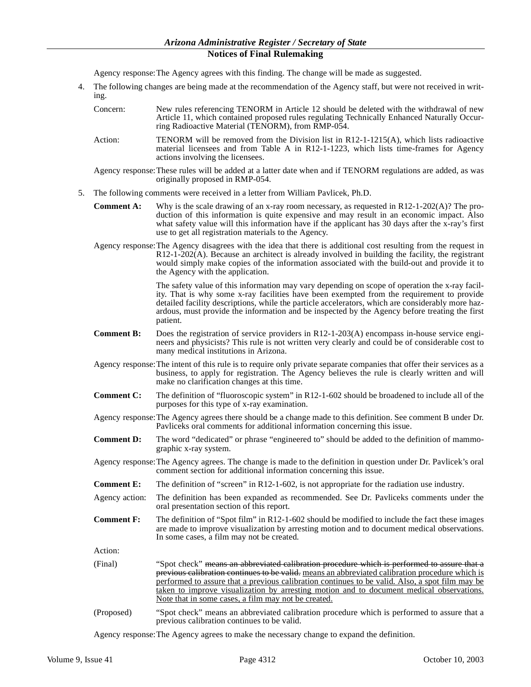Agency response:The Agency agrees with this finding. The change will be made as suggested.

- 4. The following changes are being made at the recommendation of the Agency staff, but were not received in writing.
	- Concern: New rules referencing TENORM in Article 12 should be deleted with the withdrawal of new Article 11, which contained proposed rules regulating Technically Enhanced Naturally Occurring Radioactive Material (TENORM), from RMP-054.
	- Action: TENORM will be removed from the Division list in R12-1-1215(A), which lists radioactive material licensees and from Table A in R12-1-1223, which lists time-frames for Agency actions involving the licensees.
	- Agency response:These rules will be added at a latter date when and if TENORM regulations are added, as was originally proposed in RMP-054.
- 5. The following comments were received in a letter from William Pavlicek, Ph.D.
	- **Comment A:** Why is the scale drawing of an x-ray room necessary, as requested in R12-1-202(A)? The production of this information is quite expensive and may result in an economic impact. Also what safety value will this information have if the applicant has 30 days after the x-ray's first use to get all registration materials to the Agency.
	- Agency response:The Agency disagrees with the idea that there is additional cost resulting from the request in R12-1-202(A). Because an architect is already involved in building the facility, the registrant would simply make copies of the information associated with the build-out and provide it to the Agency with the application.

The safety value of this information may vary depending on scope of operation the x-ray facility. That is why some x-ray facilities have been exempted from the requirement to provide detailed facility descriptions, while the particle accelerators, which are considerably more hazardous, must provide the information and be inspected by the Agency before treating the first patient.

- **Comment B:** Does the registration of service providers in R12-1-203(A) encompass in-house service engineers and physicists? This rule is not written very clearly and could be of considerable cost to many medical institutions in Arizona.
- Agency response:The intent of this rule is to require only private separate companies that offer their services as a business, to apply for registration. The Agency believes the rule is clearly written and will make no clarification changes at this time.
- **Comment C:** The definition of "fluoroscopic system" in R12-1-602 should be broadened to include all of the purposes for this type of x-ray examination.
- Agency response:The Agency agrees there should be a change made to this definition. See comment B under Dr. Pavliceks oral comments for additional information concerning this issue.
- **Comment D:** The word "dedicated" or phrase "engineered to" should be added to the definition of mammographic x-ray system.
- Agency response:The Agency agrees. The change is made to the definition in question under Dr. Pavlicek's oral comment section for additional information concerning this issue.
- **Comment E:** The definition of "screen" in R12-1-602, is not appropriate for the radiation use industry.
- Agency action: The definition has been expanded as recommended. See Dr. Pavliceks comments under the oral presentation section of this report.
- **Comment F:** The definition of "Spot film" in R12-1-602 should be modified to include the fact these images are made to improve visualization by arresting motion and to document medical observations. In some cases, a film may not be created.

Action:

- (Final) "Spot check" means an abbreviated calibration procedure which is performed to assure that a previous calibration continues to be valid. means an abbreviated calibration procedure which is performed to assure that a previous calibration continues to be valid. Also, a spot film may be taken to improve visualization by arresting motion and to document medical observations. Note that in some cases, a film may not be created.
- (Proposed) "Spot check" means an abbreviated calibration procedure which is performed to assure that a previous calibration continues to be valid.

Agency response:The Agency agrees to make the necessary change to expand the definition.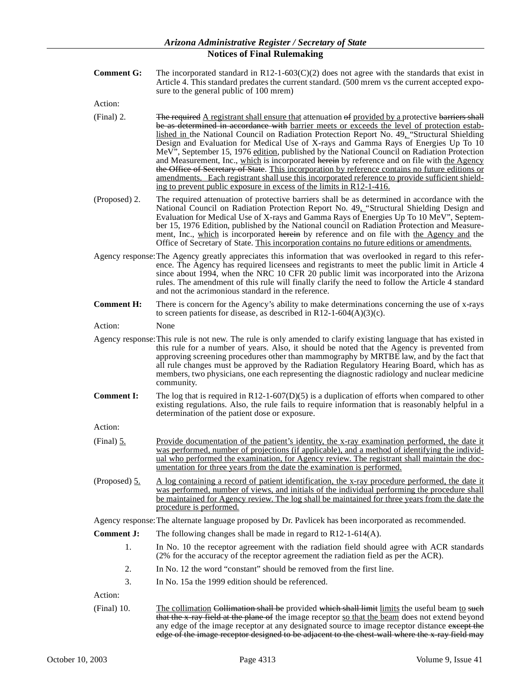**Comment G:** The incorporated standard in R12-1-603(C)(2) does not agree with the standards that exist in Article 4. This standard predates the current standard. (500 mrem vs the current accepted exposure to the general public of 100 mrem)

Action:

- (Final) 2. The required A registrant shall ensure that attenuation  $\Theta$  provided by a protective barriers shall be as determined in accordance with barrier meets or exceeds the level of protection established in the National Council on Radiation Protection Report No. 49, "Structural Shielding Design and Evaluation for Medical Use of X-rays and Gamma Rays of Energies Up To 10 MeV", September 15, 1976 edition, published by the National Council on Radiation Protection and Measurement, Inc., which is incorporated herein by reference and on file with the Agency the Office of Secretary of State. This incorporation by reference contains no future editions or amendments. Each registrant shall use this incorporated reference to provide sufficient shielding to prevent public exposure in excess of the limits in R12-1-416.
- (Proposed) 2. The required attenuation of protective barriers shall be as determined in accordance with the National Council on Radiation Protection Report No. 49, "Structural Shielding Design and Evaluation for Medical Use of X-rays and Gamma Rays of Energies Up To 10 MeV", September 15, 1976 Edition, published by the National council on Radiation Protection and Measurement, Inc., which is incorporated herein by reference and on file with the Agency and the Office of Secretary of State. This incorporation contains no future editions or amendments.
- Agency response:The Agency greatly appreciates this information that was overlooked in regard to this reference. The Agency has required licensees and registrants to meet the public limit in Article 4 since about 1994, when the NRC 10 CFR 20 public limit was incorporated into the Arizona rules. The amendment of this rule will finally clarify the need to follow the Article 4 standard and not the acrimonious standard in the reference.
- **Comment H:** There is concern for the Agency's ability to make determinations concerning the use of x-rays to screen patients for disease, as described in  $R12-1-604(A)(3)(c)$ .

Action: None

- Agency response:This rule is not new. The rule is only amended to clarify existing language that has existed in this rule for a number of years. Also, it should be noted that the Agency is prevented from approving screening procedures other than mammography by MRTBE law, and by the fact that all rule changes must be approved by the Radiation Regulatory Hearing Board, which has as members, two physicians, one each representing the diagnostic radiology and nuclear medicine community.
- **Comment I:** The log that is required in R12-1-607(D)(5) is a duplication of efforts when compared to other existing regulations. Also, the rule fails to require information that is reasonably helpful in a determination of the patient dose or exposure.

Action:

- (Final) 5. Provide documentation of the patient's identity, the x-ray examination performed, the date it was performed, number of projections (if applicable), and a method of identifying the individual who performed the examination, for Agency review. The registrant shall maintain the documentation for three years from the date the examination is performed.
- (Proposed) 5. A log containing a record of patient identification, the x-ray procedure performed, the date it was performed, number of views, and initials of the individual performing the procedure shall be maintained for Agency review. The log shall be maintained for three years from the date the procedure is performed.

Agency response:The alternate language proposed by Dr. Pavlicek has been incorporated as recommended.

- **Comment J:** The following changes shall be made in regard to R12-1-614(A).
	- 1. In No. 10 the receptor agreement with the radiation field should agree with ACR standards (2% for the accuracy of the receptor agreement the radiation field as per the ACR).
	- 2. In No. 12 the word "constant" should be removed from the first line.
	- 3. In No. 15a the 1999 edition should be referenced.

Action:

(Final) 10. The collimation Collimation shall be provided which shall limit limits the useful beam to such that the x-ray field at the plane of the image receptor so that the beam does not extend beyond any edge of the image receptor at any designated source to image receptor distance except the edge of the image receptor designed to be adjacent to the chest-wall where the x-ray field may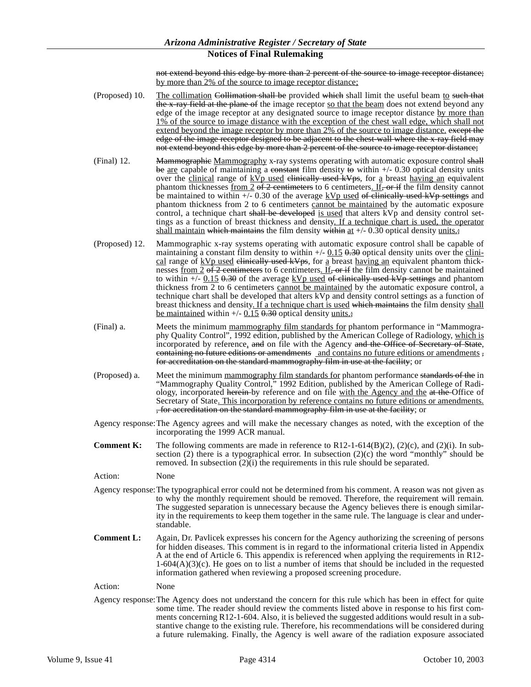not extend beyond this edge by more than 2 percent of the source to image receptor distance; by more than 2% of the source to image receptor distance;

- (Proposed) 10. The collimation Collimation shall be provided which shall limit the useful beam to such that the x-ray field at the plane of the image receptor so that the beam does not extend beyond any edge of the image receptor at any designated source to image receptor distance by more than 1% of the source to image distance with the exception of the chest wall edge, which shall not extend beyond the image receptor by more than 2% of the source to image distance. except the edge of the image receptor designed to be adjacent to the chest-wall where the x-ray field may not extend beyond this edge by more than 2 percent of the source to image receptor distance;
- (Final) 12. Mammographie Mammography x-ray systems operating with automatic exposure control shall be are capable of maintaining a constant film density to within  $+/- 0.30$  optical density units over the clinical range of  $KVp$  used elimically used  $KVps$ , for a breast having an equivalent phantom thicknesses from  $2 \times 2$  centimeters to 6 centimeters. If, or if the film density cannot be maintained to within  $\frac{1}{5}$  0.30 of the average kVp used of clinically used kVp settings and phantom thickness from 2 to 6 centimeters cannot be maintained by the automatic exposure control, a technique chart shall be developed is used that alters kVp and density control settings as a function of breast thickness and density. If a technique chart is used, the operator shall maintain which maintains the film density within at  $+/- 0.30$  optical density units.;
- (Proposed) 12. Mammographic x-ray systems operating with automatic exposure control shall be capable of maintaining a constant film density to within  $+/-$  0.15 0.30 optical density units over the clinical range of  $kVp$  used elinically used  $kVps$ , for a breast having an equivalent phantom thicknesses from 2 of 2 centimeters to 6 centimeters. If, or if the film density cannot be maintained to within  $\frac{+}{-}$  0.15 0.30 of the average kVp used of clinically used kVp settings and phantom thickness from 2 to 6 centimeters cannot be maintained by the automatic exposure control, a technique chart shall be developed that alters kVp and density control settings as a function of breast thickness and density. If a technique chart is used which maintains the film density shall be maintained within  $+/-$  0.15  $+$  0.30 optical density units.;
- (Final) a. Meets the minimum mammography film standards for phantom performance in "Mammography Quality Control", 1992 edition, published by the American College of Radiology, which is incorporated by reference, and on file with the Agency and the Office of Secretary of State, containing no future editions or amendments and contains no future editions or amendments , for accreditation on the standard mammography film in use at the facility; or
- (Proposed) a. Meet the minimum mammography film standards for phantom performance standards of the in "Mammography Quality Control," 1992 Edition, published by the American College of Radiology, incorporated herein by reference and on file with the Agency and the at the Office of Secretary of State. This incorporation by reference contains no future editions or amendments. , for accreditation on the standard mammography film in use at the facility; or
- Agency response:The Agency agrees and will make the necessary changes as noted, with the exception of the incorporating the 1999 ACR manual.
- **Comment K:** The following comments are made in reference to R12-1-614(B)(2), (2)(c), and (2)(i). In subsection (2) there is a typographical error. In subsection  $(2)(c)$  the word "monthly" should be removed. In subsection  $(2)(i)$  the requirements in this rule should be separated.

Action: None

- Agency response:The typographical error could not be determined from his comment. A reason was not given as to why the monthly requirement should be removed. Therefore, the requirement will remain. The suggested separation is unnecessary because the Agency believes there is enough similarity in the requirements to keep them together in the same rule. The language is clear and understandable.
- **Comment L:** Again, Dr. Pavlicek expresses his concern for the Agency authorizing the screening of persons for hidden diseases. This comment is in regard to the informational criteria listed in Appendix A at the end of Article 6. This appendix is referenced when applying the requirements in R12-  $1-604(A)(3)(c)$ . He goes on to list a number of items that should be included in the requested information gathered when reviewing a proposed screening procedure.
- Action: None
- Agency response:The Agency does not understand the concern for this rule which has been in effect for quite some time. The reader should review the comments listed above in response to his first comments concerning R12-1-604. Also, it is believed the suggested additions would result in a substantive change to the existing rule. Therefore, his recommendations will be considered during a future rulemaking. Finally, the Agency is well aware of the radiation exposure associated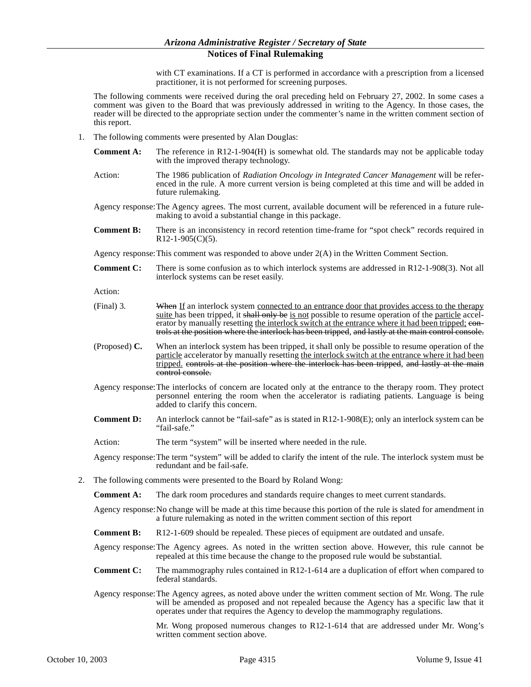with CT examinations. If a CT is performed in accordance with a prescription from a licensed practitioner, it is not performed for screening purposes.

The following comments were received during the oral preceding held on February 27, 2002. In some cases a comment was given to the Board that was previously addressed in writing to the Agency. In those cases, the reader will be directed to the appropriate section under the commenter's name in the written comment section of this report.

- 1. The following comments were presented by Alan Douglas:
	- **Comment A:** The reference in R12-1-904(H) is somewhat old. The standards may not be applicable today with the improved therapy technology.
	- Action: The 1986 publication of *Radiation Oncology in Integrated Cancer Management* will be referenced in the rule. A more current version is being completed at this time and will be added in future rulemaking.
	- Agency response:The Agency agrees. The most current, available document will be referenced in a future rulemaking to avoid a substantial change in this package.
	- **Comment B:** There is an inconsistency in record retention time-frame for "spot check" records required in  $R12-1-905(C)(5)$ .
	- Agency response:This comment was responded to above under 2(A) in the Written Comment Section.
	- **Comment C:** There is some confusion as to which interlock systems are addressed in R12-1-908(3). Not all interlock systems can be reset easily.

Action:

- (Final) 3. When If an interlock system connected to an entrance door that provides access to the therapy suite has been tripped, it shall only be is not possible to resume operation of the particle accelerator by manually resetting the interlock switch at the entrance where it had been tripped; eontrols at the position where the interlock has been tripped, and lastly at the main control console.
- (Proposed) **C.** When an interlock system has been tripped, it shall only be possible to resume operation of the particle accelerator by manually resetting the interlock switch at the entrance where it had been tripped, controls at the position where the interlock has been tripped, and lastly at the main control console.
- Agency response:The interlocks of concern are located only at the entrance to the therapy room. They protect personnel entering the room when the accelerator is radiating patients. Language is being added to clarify this concern.
- **Comment D:** An interlock cannot be "fail-safe" as is stated in R12-1-908(E); only an interlock system can be "fail-safe."
- Action: The term "system" will be inserted where needed in the rule.

Agency response:The term "system" will be added to clarify the intent of the rule. The interlock system must be redundant and be fail-safe.

2. The following comments were presented to the Board by Roland Wong:

**Comment A:** The dark room procedures and standards require changes to meet current standards.

Agency response:No change will be made at this time because this portion of the rule is slated for amendment in a future rulemaking as noted in the written comment section of this report

**Comment B:** R12-1-609 should be repealed. These pieces of equipment are outdated and unsafe.

Agency response:The Agency agrees. As noted in the written section above. However, this rule cannot be repealed at this time because the change to the proposed rule would be substantial.

- **Comment C:** The mammography rules contained in R12-1-614 are a duplication of effort when compared to federal standards.
- Agency response:The Agency agrees, as noted above under the written comment section of Mr. Wong. The rule will be amended as proposed and not repealed because the Agency has a specific law that it operates under that requires the Agency to develop the mammography regulations.

Mr. Wong proposed numerous changes to R12-1-614 that are addressed under Mr. Wong's written comment section above.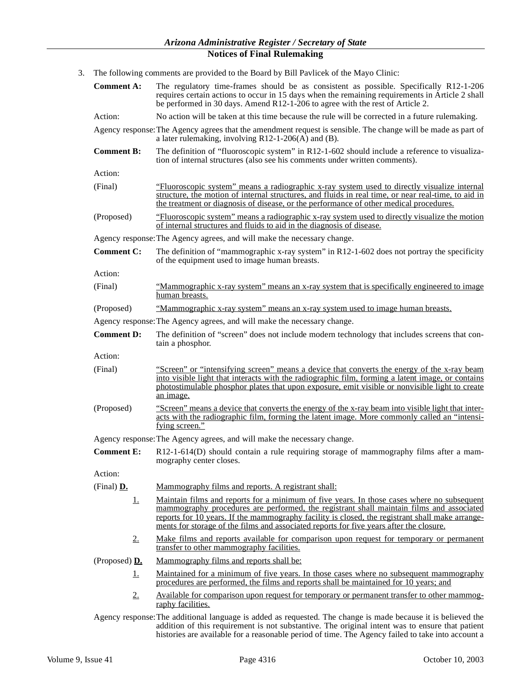3. The following comments are provided to the Board by Bill Pavlicek of the Mayo Clinic:

| <b>Comment A:</b> | The regulatory time-frames should be as consistent as possible. Specifically R12-1-206<br>requires certain actions to occur in 15 days when the remaining requirements in Article 2 shall<br>be performed in 30 days. Amend R12-1-206 to agree with the rest of Article 2.                                                                                                           |
|-------------------|--------------------------------------------------------------------------------------------------------------------------------------------------------------------------------------------------------------------------------------------------------------------------------------------------------------------------------------------------------------------------------------|
| Action:           | No action will be taken at this time because the rule will be corrected in a future rulemaking.                                                                                                                                                                                                                                                                                      |
|                   | Agency response: The Agency agrees that the amendment request is sensible. The change will be made as part of<br>a later rulemaking, involving $R12-1-206(A)$ and (B).                                                                                                                                                                                                               |
| <b>Comment B:</b> | The definition of "fluoroscopic system" in R12-1-602 should include a reference to visualiza-<br>tion of internal structures (also see his comments under written comments).                                                                                                                                                                                                         |
| Action:           |                                                                                                                                                                                                                                                                                                                                                                                      |
| (Final)           | <u>"Fluoroscopic system" means a radiographic x-ray system used to directly visualize internal</u><br>structure, the motion of internal structures, and fluids in real time, or near real-time, to aid in<br>the treatment or diagnosis of disease, or the performance of other medical procedures.                                                                                  |
| (Proposed)        | "Fluoroscopic system" means a radiographic x-ray system used to directly visualize the motion<br>of internal structures and fluids to aid in the diagnosis of disease.                                                                                                                                                                                                               |
|                   | Agency response: The Agency agrees, and will make the necessary change.                                                                                                                                                                                                                                                                                                              |
| <b>Comment C:</b> | The definition of "mammographic x-ray system" in $R12-1-602$ does not portray the specificity<br>of the equipment used to image human breasts.                                                                                                                                                                                                                                       |
| Action:           |                                                                                                                                                                                                                                                                                                                                                                                      |
| (Final)           | <u>"Mammographic x-ray system" means an x-ray system that is specifically engineered to image</u><br>human breasts.                                                                                                                                                                                                                                                                  |
| (Proposed)        | "Mammographic x-ray system" means an x-ray system used to image human breasts.                                                                                                                                                                                                                                                                                                       |
|                   | Agency response: The Agency agrees, and will make the necessary change.                                                                                                                                                                                                                                                                                                              |
| <b>Comment D:</b> | The definition of "screen" does not include modern technology that includes screens that con-<br>tain a phosphor.                                                                                                                                                                                                                                                                    |
| Action:           |                                                                                                                                                                                                                                                                                                                                                                                      |
| (Final)           | "Screen" or "intensifying screen" means a device that converts the energy of the x-ray beam<br>into visible light that interacts with the radiographic film, forming a latent image, or contains                                                                                                                                                                                     |
|                   | photostimulable phosphor plates that upon exposure, emit visible or nonvisible light to create<br>an image.                                                                                                                                                                                                                                                                          |
| (Proposed)        | "Screen" means a device that converts the energy of the x-ray beam into visible light that inter-<br>acts with the radiographic film, forming the latent image. More commonly called an "intensi-<br>fying screen."                                                                                                                                                                  |
|                   | Agency response: The Agency agrees, and will make the necessary change.                                                                                                                                                                                                                                                                                                              |
| <b>Comment E:</b> | R12-1-614(D) should contain a rule requiring storage of mammography films after a mam-<br>mography center closes.                                                                                                                                                                                                                                                                    |
| Action:           |                                                                                                                                                                                                                                                                                                                                                                                      |
| (Final) D.        | Mammography films and reports. A registrant shall:                                                                                                                                                                                                                                                                                                                                   |
| <u>1.</u>         | Maintain films and reports for a minimum of five years. In those cases where no subsequent<br>mammography procedures are performed, the registrant shall maintain films and associated<br>reports for 10 years. If the mammography facility is closed, the registrant shall make arrange-<br>ments for storage of the films and associated reports for five years after the closure. |
| 2.                | Make films and reports available for comparison upon request for temporary or permanent<br>transfer to other mammography facilities.                                                                                                                                                                                                                                                 |
| (Proposed) $D.$   | Mammography films and reports shall be:                                                                                                                                                                                                                                                                                                                                              |
| <u>1.</u>         | Maintained for a minimum of five years. In those cases where no subsequent mammography<br>procedures are performed, the films and reports shall be maintained for 10 years; and                                                                                                                                                                                                      |
| 2.                | Available for comparison upon request for temporary or permanent transfer to other mammog-<br>raphy facilities.                                                                                                                                                                                                                                                                      |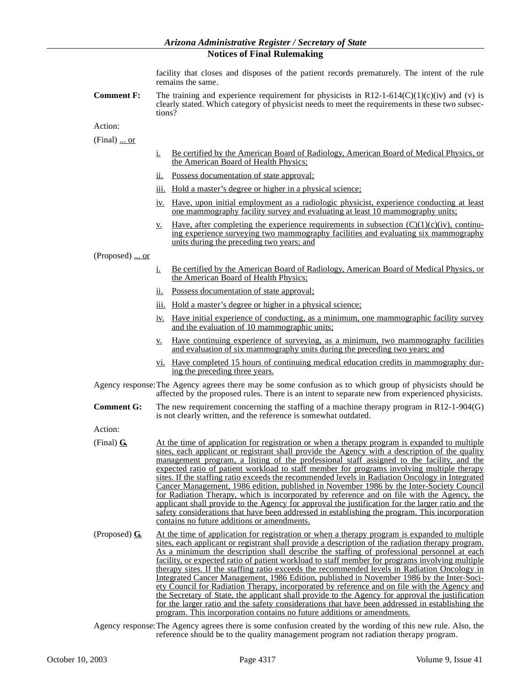facility that closes and disposes of the patient records prematurely. The intent of the rule remains the same.

**Comment F:** The training and experience requirement for physicists in R12-1-614(C)(1)(c)(iv) and (v) is clearly stated. Which category of physicist needs to meet the requirements in these two subsections?

Action:

(Final) ... or

- i. Be certified by the American Board of Radiology, American Board of Medical Physics, or the American Board of Health Physics;
- ii. Possess documentation of state approval;
- iii. Hold a master's degree or higher in a physical science;
- iv. Have, upon initial employment as a radiologic physicist, experience conducting at least one mammography facility survey and evaluating at least 10 mammography units;
- <u>v.</u> Have, after completing the experience requirements in subsection  $(C)(1)(c)(iv)$ , continuing experience surveying two mammography facilities and evaluating six mammography units during the preceding two years; and

(Proposed) ... or

- i. Be certified by the American Board of Radiology, American Board of Medical Physics, or the American Board of Health Physics;
- ii. Possess documentation of state approval;
- iii. Hold a master's degree or higher in a physical science;
- iv. Have initial experience of conducting, as a minimum, one mammographic facility survey and the evaluation of 10 mammographic units;
- v. Have continuing experience of surveying, as a minimum, two mammography facilities and evaluation of six mammography units during the preceding two years; and
- vi. Have completed 15 hours of continuing medical education credits in mammography during the preceding three years.
- Agency response:The Agency agrees there may be some confusion as to which group of physicists should be affected by the proposed rules. There is an intent to separate new from experienced physicists.
- **Comment G:** The new requirement concerning the staffing of a machine therapy program in R12-1-904(G) is not clearly written, and the reference is somewhat outdated.

Action:

- (Final) **G.** At the time of application for registration or when a therapy program is expanded to multiple sites, each applicant or registrant shall provide the Agency with a description of the quality management program, a listing of the professional staff assigned to the facility, and the expected ratio of patient workload to staff member for programs involving multiple therapy sites. If the staffing ratio exceeds the recommended levels in Radiation Oncology in Integrated Cancer Management, 1986 edition, published in November 1986 by the Inter-Society Council for Radiation Therapy, which is incorporated by reference and on file with the Agency, the applicant shall provide to the Agency for approval the justification for the larger ratio and the safety considerations that have been addressed in establishing the program. This incorporation contains no future additions or amendments.
- (Proposed) **G.** At the time of application for registration or when a therapy program is expanded to multiple sites, each applicant or registrant shall provide a description of the radiation therapy program. As a minimum the description shall describe the staffing of professional personnel at each facility, or expected ratio of patient workload to staff member for programs involving multiple therapy sites. If the staffing ratio exceeds the recommended levels in Radiation Oncology in Integrated Cancer Management, 1986 Edition, published in November 1986 by the Inter-Society Council for Radiation Therapy, incorporated by reference and on file with the Agency and the Secretary of State, the applicant shall provide to the Agency for approval the justification for the larger ratio and the safety considerations that have been addressed in establishing the program. This incorporation contains no future additions or amendments.

Agency response:The Agency agrees there is some confusion created by the wording of this new rule. Also, the reference should be to the quality management program not radiation therapy program.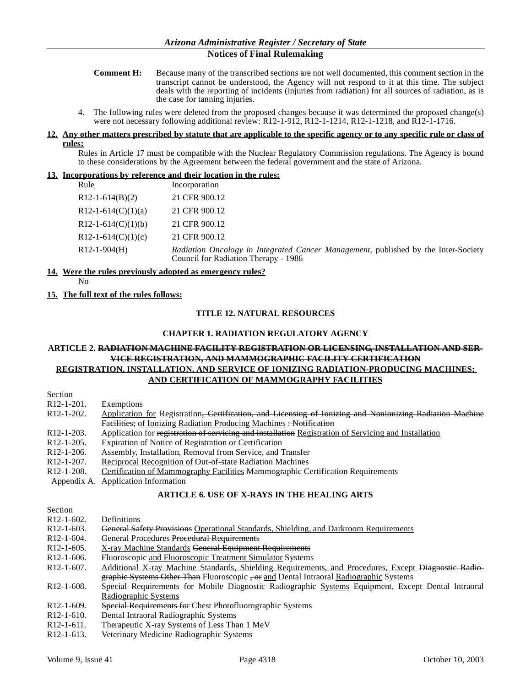- **Comment H:** Because many of the transcribed sections are not well documented, this comment section in the transcript cannot be understood, the Agency will not respond to it at this time. The subject deals with the reporting of incidents (injuries from radiation) for all sources of radiation, as is the case for tanning injuries.
- 4. The following rules were deleted from the proposed changes because it was determined the proposed change(s) were not necessary following additional review: R12-1-912, R12-1-1214, R12-1-1218, and R12-1-1716.

#### **12. Any other matters prescribed by statute that are applicable to the specific agency or to any specific rule or class of rules:**

Rules in Article 17 must be compatible with the Nuclear Regulatory Commission regulations. The Agency is bound to these considerations by the Agreement between the federal government and the state of Arizona.

#### **13. Incorporations by reference and their location in the rules:**

| <u>Rule</u>                     | Incorporation                                                                                                              |
|---------------------------------|----------------------------------------------------------------------------------------------------------------------------|
| $R12-1-614(B)(2)$               | 21 CFR 900.12                                                                                                              |
| R <sub>12</sub> -1-614(C)(1)(a) | 21 CFR 900.12                                                                                                              |
| R <sub>12</sub> -1-614(C)(1)(b) | 21 CFR 900.12                                                                                                              |
| R <sub>12</sub> -1-614(C)(1)(c) | 21 CFR 900.12                                                                                                              |
| $R12-1-904(H)$                  | Radiation Oncology in Integrated Cancer Management, published by the Inter-Society<br>Council for Radiation Therapy - 1986 |

#### **14. Were the rules previously adopted as emergency rules?**

No

#### **15. The full text of the rules follows:**

# **TITLE 12. NATURAL RESOURCES**

#### **CHAPTER 1. RADIATION REGULATORY AGENCY**

#### **ARTICLE 2. RADIATION MACHINE FACILITY REGISTRATION OR LICENSING, INSTALLATION AND SER-VICE REGISTRATION, AND MAMMOGRAPHIC FACILITY CERTIFICATION REGISTRATION, INSTALLATION, AND SERVICE OF IONIZING RADIATION-PRODUCING MACHINES;**

# **AND CERTIFICATION OF MAMMOGRAPHY FACILITIES**

| Section                 |                                                                                                          |
|-------------------------|----------------------------------------------------------------------------------------------------------|
| R <sub>12</sub> -1-201. | Exemptions                                                                                               |
| R12-1-202.              | Application for Registration, Certification, and Licensing of Ionizing and Nonionizing Radiation Machine |
|                         | Facilities; of Ionizing Radiation Producing Machines: Notification                                       |
| R <sub>12</sub> -1-203. | Application for registration of servicing and installation Registration of Servicing and Installation    |
| R <sub>12</sub> -1-205. | Expiration of Notice of Registration or Certification                                                    |
| R12-1-206.              | Assembly, Installation, Removal from Service, and Transfer                                               |
| R12-1-207.              | <b>Reciprocal Recognition of Out-of-state Radiation Machines</b>                                         |
| R <sub>12</sub> -1-208. | Certification of Mammography Facilities <del>Mammographic Certification Requirements</del>               |
|                         | Appendix A. Application Information                                                                      |

#### **ARTICLE 6. USE OF X-RAYS IN THE HEALING ARTS**

| Section                 |                                                                                                                 |
|-------------------------|-----------------------------------------------------------------------------------------------------------------|
| $R12-1-602$ .           | Definitions                                                                                                     |
| $R12-1-603$ .           | <b>General Safety Provisions</b> Operational Standards, Shielding, and Darkroom Requirements                    |
| $R12-1-604$ .           | General Procedures Procedural Requirements                                                                      |
| $R12-1-605$ .           | X-ray Machine Standards General Equipment Requirements                                                          |
| $R12-1-606$ .           | Fluoroscopic and Fluoroscopic Treatment Simulator Systems                                                       |
| $R12-1-607$ .           | Additional X-ray Machine Standards, Shielding Requirements, and Procedures, Except <del>Diagnostic Radio-</del> |
|                         | graphic Systems Other Than Fluoroscopic -or and Dental Intraoral Radiographic Systems                           |
| $R12-1-608.$            | Special Requirements for Mobile Diagnostic Radiographic Systems Equipment, Except Dental Intraoral              |
|                         | Radiographic Systems                                                                                            |
| R <sub>12</sub> -1-609. | <b>Special Requirements for Chest Photofluorographic Systems</b>                                                |
| $R12-1-610.$            | Dental Intraoral Radiographic Systems                                                                           |
| $R12-1-611.$            | Therapeutic X-ray Systems of Less Than 1 MeV                                                                    |
| <b>PERMIT 24 A</b>      |                                                                                                                 |

R12-1-613. Veterinary Medicine Radiographic Systems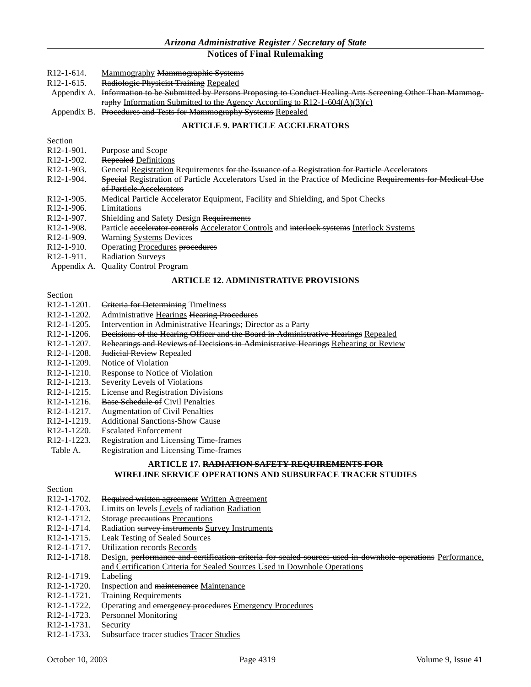- R12-1-614. Mammography Mammographic Systems
- R12-1-615. Radiologic Physicist Training Repealed
- Appendix A. Information to be Submitted by Persons Proposing to Conduct Healing Arts Screening Other Than Mammography Information Submitted to the Agency According to  $R12-1-604(A)(3)(c)$
- Appendix B. Procedures and Tests for Mammography Systems Repealed

#### **ARTICLE 9. PARTICLE ACCELERATORS**

Section

R12-1-901. Purpose and Scope

- R12-1-902. Repealed Definitions
- R12-1-903. General Registration Requirements for the Issuance of a Registration for Particle Accelerators
- R12-1-904. Special Registration of Particle Accelerators Used in the Practice of Medicine Requirements for Medical Use of Particle Accelerators
- R12-1-905. Medical Particle Accelerator Equipment, Facility and Shielding, and Spot Checks
- R12-1-906. Limitations
- R12-1-907. Shielding and Safety Design Requirements<br>R12-1-908. Particle accelerator controls Accelerator Co
- Particle accelerator controls Accelerator Controls and interlock systems Interlock Systems
- R12-1-909. Warning Systems Devices
- R12-1-910. Operating Procedures procedures
- R12-1-911. Radiation Surveys
- Appendix A. Quality Control Program

#### **ARTICLE 12. ADMINISTRATIVE PROVISIONS**

**Section** 

- R12-1-1201. Criteria for Determining Timeliness
- R12-1-1202. Administrative Hearings Hearing Procedures
- R12-1-1205. Intervention in Administrative Hearings; Director as a Party
- R12-1-1206. <del>Decisions of the Hearing Officer and the Board in Administrative Hearings Repealed</del><br>R12-1-1207. Rehearings and Reviews of Decisions in Administrative Hearings Rehearing or Revie
- R12-1-1207. Rehearings and Reviews of Decisions in Administrative Hearings Rehearing or Review<br>R12-1-1208. Hudicial Review Repealed
- R12-1-1208. <del>Judicial Review</del> Repealed<br>R12-1-1209. Notice of Violation
- Notice of Violation
- R12-1-1210. Response to Notice of Violation
- R12-1-1213. Severity Levels of Violations
- R12-1-1215. License and Registration Divisions
- R12-1-1216. Base Schedule of Civil Penalties
- R12-1-1217. Augmentation of Civil Penalties
- R12-1-1219. Additional Sanctions-Show Cause<br>R12-1-1220. Escalated Enforcement
- R12-1-1220. Escalated Enforcement<br>R12-1-1223. Registration and Licens
- R12-1-1223. Registration and Licensing Time-frames
- Registration and Licensing Time-frames

# **ARTICLE 17. RADIATION SAFETY REQUIREMENTS FOR WIRELINE SERVICE OPERATIONS AND SUBSURFACE TRACER STUDIES**

| Section                               |                                                                                                            |
|---------------------------------------|------------------------------------------------------------------------------------------------------------|
| R <sub>12</sub> -1-1702.              | Required written agreement Written Agreement                                                               |
| R <sub>12</sub> -1-1703.              | Limits on levels Levels of radiation Radiation                                                             |
| R <sub>12</sub> -1-17 <sub>12</sub> . | Storage precautions Precautions                                                                            |
| R <sub>12</sub> -1-1714.              | Radiation survey instruments Survey Instruments                                                            |
| R <sub>12</sub> -1-1715.              | Leak Testing of Sealed Sources                                                                             |
| R <sub>12</sub> -1-1717.              | Utilization records Records                                                                                |
| R <sub>12</sub> -1-1718.              | Design, performance and certification criteria for scaled sources used in downhole operations Performance. |
|                                       | and Certification Criteria for Sealed Sources Used in Downhole Operations                                  |
| R <sub>12</sub> -1-17 <sub>19</sub> . | Labeling                                                                                                   |
| R <sub>12</sub> -1-1720.              | Inspection and maintenance Maintenance                                                                     |
| R <sub>12</sub> -1-1721.              | <b>Training Requirements</b>                                                                               |
| R <sub>12</sub> -1-1722.              | Operating and emergency procedures Emergency Procedures                                                    |
| R <sub>12</sub> -1-1723.              | Personnel Monitoring                                                                                       |
| R <sub>12</sub> -1-1731.              | Security                                                                                                   |
| R <sub>12</sub> -1-1733.              | Subsurface tracer studies Tracer Studies                                                                   |
|                                       |                                                                                                            |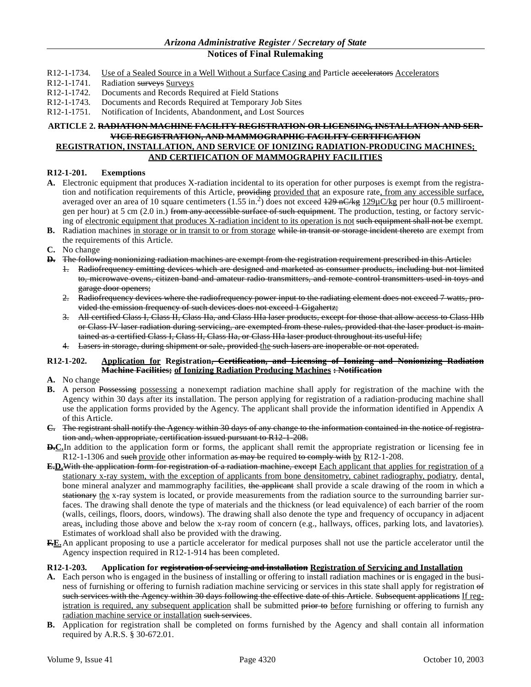- R12-1-1734. Use of a Sealed Source in a Well Without a Surface Casing and Particle accelerators Accelerators
- R12-1-1741. Radiation surveys Surveys<br>R12-1-1742. Documents and Records Re
- Documents and Records Required at Field Stations
- R12-1-1743. Documents and Records Required at Temporary Job Sites
- R12-1-1751. Notification of Incidents, Abandonment, and Lost Sources

# **ARTICLE 2. RADIATION MACHINE FACILITY REGISTRATION OR LICENSING, INSTALLATION AND SER-VICE REGISTRATION, AND MAMMOGRAPHIC FACILITY CERTIFICATION REGISTRATION, INSTALLATION, AND SERVICE OF IONIZING RADIATION-PRODUCING MACHINES;**

# **AND CERTIFICATION OF MAMMOGRAPHY FACILITIES**

# **R12-1-201. Exemptions**

- **A.** Electronic equipment that produces X-radiation incidental to its operation for other purposes is exempt from the registration and notification requirements of this Article, providing provided that an exposure rate, from any accessible surface, averaged over an area of 10 square centimeters (1.55 in.<sup>2</sup>) does not exceed  $\frac{129 \text{ nC/kg}}{29 \text{ nC/kg}}$  per hour (0.5 milliroentgen per hour) at 5 cm  $(2.0 \text{ in.})$  from any accessible surface of such equipment. The production, testing, or factory servicing of electronic equipment that produces X-radiation incident to its operation is not such equipment shall not be exempt.
- **B.** Radiation machines in storage or in transit to or from storage while in transit or storage incident thereto are exempt from the requirements of this Article.
- **C.** No change
- **D.** The following nonionizing radiation machines are exempt from the registration requirement prescribed in this Article:
	- 1. Radiofrequency emitting devices which are designed and marketed as consumer products, including but not limited to, microwave ovens, citizen band and amateur radio transmitters, and remote control transmitters used in toys and garage door openers;
	- 2. Radiofrequency devices where the radiofrequency power input to the radiating element does not exceed 7 watts, provided the emission frequency of such devices does not exceed 1 Gigahertz;
	- 3. All certified Class I, Class II, Class IIa, and Class IIIa laser products, except for those that allow access to Class IIIb or Class IV laser radiation during servicing, are exempted from these rules, provided that the laser product is maintained as a certified Class I, Class II, Class IIa, or Class IIIa laser product throughout its useful life;
	- 4. Lasers in storage, during shipment or sale, provided the such lasers are inoperable or not operated.

#### **R12-1-202. Application for Registration, Certification, and Licensing of Ionizing and Nonionizing Radiation Machine Facilities; of Ionizing Radiation Producing Machines : Notification**

- **A.** No change
- **B.** A person Possessing possessing a nonexempt radiation machine shall apply for registration of the machine with the Agency within 30 days after its installation. The person applying for registration of a radiation-producing machine shall use the application forms provided by the Agency. The applicant shall provide the information identified in Appendix A of this Article.
- **C.** The registrant shall notify the Agency within 30 days of any change to the information contained in the notice of registration and, when appropriate, certification issued pursuant to R12-1-208.
- **D.C.**In addition to the application form or forms, the applicant shall remit the appropriate registration or licensing fee in R12-1-1306 and such provide other information as may be required to comply with by R12-1-208.
- **E.D.**With the application form for registration of a radiation machine, except Each applicant that applies for registration of a stationary x-ray system, with the exception of applicants from bone densitometry, cabinet radiography, podiatry, dental, bone mineral analyzer and mammography facilities, the applicant shall provide a scale drawing of the room in which a stationary the x-ray system is located, or provide measurements from the radiation source to the surrounding barrier surfaces. The drawing shall denote the type of materials and the thickness (or lead equivalence) of each barrier of the room (walls, ceilings, floors, doors, windows). The drawing shall also denote the type and frequency of occupancy in adjacent areas, including those above and below the x-ray room of concern (e.g., hallways, offices, parking lots, and lavatories). Estimates of workload shall also be provided with the drawing.
- **F.E.**An applicant proposing to use a particle accelerator for medical purposes shall not use the particle accelerator until the Agency inspection required in R12-1-914 has been completed.

#### **R12-1-203. Application for registration of servicing and installation Registration of Servicing and Installation**

- **A.** Each person who is engaged in the business of installing or offering to install radiation machines or is engaged in the business of furnishing or offering to furnish radiation machine servicing or services in this state shall apply for registration of such services with the Agency within 30 days following the effective date of this Article. Subsequent applications If registration is required, any subsequent application shall be submitted prior to before furnishing or offering to furnish any radiation machine service or installation such services.
- **B.** Application for registration shall be completed on forms furnished by the Agency and shall contain all information required by A.R.S. § 30-672.01.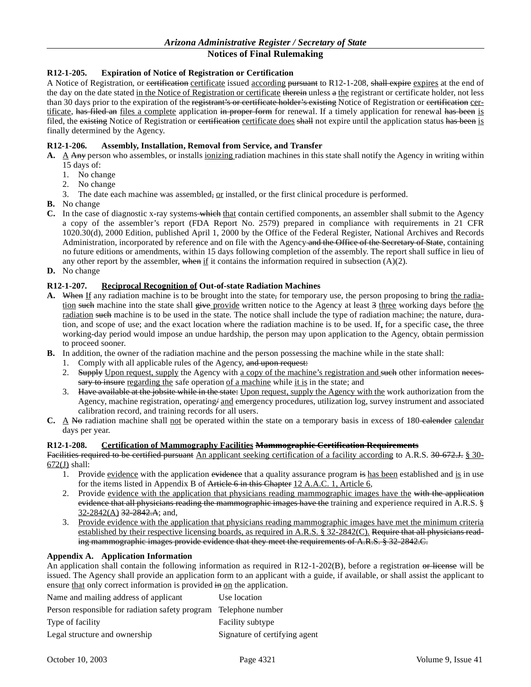# **R12-1-205. Expiration of Notice of Registration or Certification**

A Notice of Registration, or certification certificate issued according pursuant to R12-1-208, shall expire expires at the end of the day on the date stated in the Notice of Registration or certificate therein unless a the registrant or certificate holder, not less than 30 days prior to the expiration of the registrant's or certificate holder's existing Notice of Registration or eertification certificate, has filed an files a complete application in proper form for renewal. If a timely application for renewal has been is filed, the existing Notice of Registration or certification certificate does shall not expire until the application status has been is finally determined by the Agency.

# **R12-1-206. Assembly, Installation, Removal from Service, and Transfer**

- A. A Any person who assembles, or installs *ionizing* radiation machines in this state shall notify the Agency in writing within 15 days of:
	- 1. No change
	- 2. No change
	- 3. The date each machine was assembled,  $or$  installed, or the first clinical procedure is performed.</u>
- **B.** No change
- **C.** In the case of diagnostic x-ray systems which that contain certified components, an assembler shall submit to the Agency a copy of the assembler's report (FDA Report No. 2579) prepared in compliance with requirements in 21 CFR 1020.30(d), 2000 Edition, published April 1, 2000 by the Office of the Federal Register, National Archives and Records Administration, incorporated by reference and on file with the Agency and the Office of the Secretary of State, containing no future editions or amendments, within 15 days following completion of the assembly. The report shall suffice in lieu of any other report by the assembler, when if it contains the information required in subsection  $(A)(2)$ .
- **D.** No change

### **R12-1-207. Reciprocal Recognition of Out-of-state Radiation Machines**

- **A.** When If any radiation machine is to be brought into the state, for temporary use, the person proposing to bring the radiation such machine into the state shall give provide written notice to the Agency at least  $\frac{3}{5}$  three working days before the radiation such machine is to be used in the state. The notice shall include the type of radiation machine; the nature, duration, and scope of use; and the exact location where the radiation machine is to be used. If, for a specific case, the three working-day period would impose an undue hardship, the person may upon application to the Agency, obtain permission to proceed sooner.
- **B.** In addition, the owner of the radiation machine and the person possessing the machine while in the state shall:
	- 1. Comply with all applicable rules of the Agency, and upon request:
	- 2. Supply Upon request, supply the Agency with a copy of the machine's registration and such other information necessary to insure regarding the safe operation of a machine while it is in the state; and
	- 3. Have available at the jobsite while in the state: Upon request, supply the Agency with the work authorization from the Agency, machine registration, operating and emergency procedures, utilization log, survey instrument and associated calibration record, and training records for all users.
- **C.** A No radiation machine shall not be operated within the state on a temporary basis in excess of 180 calendar calendar days per year.

### **R12-1-208. Certification of Mammography Facilities Mammographic Certification Requirements**

Facilities required to be certified pursuant An applicant seeking certification of a facility according to A.R.S. 30-672.J. § 30- $672(J)$  shall:

- 1. Provide evidence with the application evidence that a quality assurance program is has been established and is in use for the items listed in Appendix B of Article 6 in this Chapter 12 A.A.C. 1, Article 6,
- 2. Provide evidence with the application that physicians reading mammographic images have the with the application evidence that all physicians reading the mammographic images have the training and experience required in A.R.S. §  $32-2842(A)$   $32-2842.A$ ; and,
- 3. Provide evidence with the application that physicians reading mammographic images have met the minimum criteria established by their respective licensing boards, as required in A.R.S.  $\S 32{\text -}2842(\text{C})$ . Require that all physicians reading mammographic images provide evidence that they meet the requirements of A.R.S. § 32-2842.C.

#### **Appendix A. Application Information**

An application shall contain the following information as required in  $R12-1-202(B)$ , before a registration or license will be issued. The Agency shall provide an application form to an applicant with a guide, if available, or shall assist the applicant to ensure that only correct information is provided  $\overline{m}$  on the application.

| Name and mailing address of applicant                            | Use location                  |
|------------------------------------------------------------------|-------------------------------|
| Person responsible for radiation safety program Telephone number |                               |
| Type of facility                                                 | <b>Facility subtype</b>       |
| Legal structure and ownership                                    | Signature of certifying agent |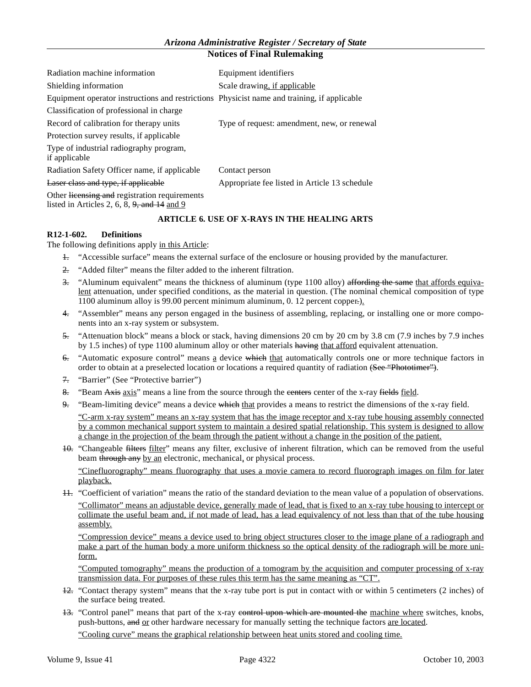| Radiation machine information                                                                   | Equipment identifiers                         |
|-------------------------------------------------------------------------------------------------|-----------------------------------------------|
| Shielding information                                                                           | Scale drawing, if applicable                  |
| Equipment operator instructions and restrictions Physicist name and training, if applicable     |                                               |
| Classification of professional in charge                                                        |                                               |
| Record of calibration for therapy units                                                         | Type of request: amendment, new, or renewal   |
| Protection survey results, if applicable                                                        |                                               |
| Type of industrial radiography program,<br>if applicable                                        |                                               |
| Radiation Safety Officer name, if applicable                                                    | Contact person                                |
| Laser class and type, if applicable                                                             | Appropriate fee listed in Article 13 schedule |
| Other licensing and registration requirements<br>listed in Articles 2, 6, 8, $9$ , and 14 and 9 |                                               |

# **ARTICLE 6. USE OF X-RAYS IN THE HEALING ARTS**

# **R12-1-602. Definitions**

The following definitions apply in this Article:

- 1. "Accessible surface" means the external surface of the enclosure or housing provided by the manufacturer.
- 2. "Added filter" means the filter added to the inherent filtration.
- 3. "Aluminum equivalent" means the thickness of aluminum (type  $1100$  alloy) affording the same that affords equivalent attenuation, under specified conditions, as the material in question. (The nominal chemical composition of type 1100 aluminum alloy is 99.00 percent minimum aluminum, 0. 12 percent copper.).
- 4. "Assembler" means any person engaged in the business of assembling, replacing, or installing one or more components into an x-ray system or subsystem.
- 5. "Attenuation block" means a block or stack, having dimensions 20 cm by 20 cm by 3.8 cm (7.9 inches by 7.9 inches by 1.5 inches) of type 1100 aluminum alloy or other materials having that afford equivalent attenuation.
- 6. "Automatic exposure control" means a device which that automatically controls one or more technique factors in order to obtain at a preselected location or locations a required quantity of radiation (See "Phototimer").
- 7. "Barrier" (See "Protective barrier")
- 8. "Beam Axis axis" means a line from the source through the centers center of the x-ray fields field.
- 9. "Beam-limiting device" means a device which that provides a means to restrict the dimensions of the x-ray field. "C-arm x-ray system" means an x-ray system that has the image receptor and x-ray tube housing assembly connected by a common mechanical support system to maintain a desired spatial relationship. This system is designed to allow a change in the projection of the beam through the patient without a change in the position of the patient.
- 10. "Changeable filters filter" means any filter, exclusive of inherent filtration, which can be removed from the useful beam through any by an electronic, mechanical, or physical process.

"Cinefluorography" means fluorography that uses a movie camera to record fluorograph images on film for later playback.

11. "Coefficient of variation" means the ratio of the standard deviation to the mean value of a population of observations. "Collimator" means an adjustable device, generally made of lead, that is fixed to an x-ray tube housing to intercept or collimate the useful beam and, if not made of lead, has a lead equivalency of not less than that of the tube housing assembly.

"Compression device" means a device used to bring object structures closer to the image plane of a radiograph and make a part of the human body a more uniform thickness so the optical density of the radiograph will be more uniform.

"Computed tomography" means the production of a tomogram by the acquisition and computer processing of x-ray transmission data. For purposes of these rules this term has the same meaning as "CT".

- 12. "Contact therapy system" means that the x-ray tube port is put in contact with or within 5 centimeters (2 inches) of the surface being treated.
- 13. "Control panel" means that part of the x-ray control upon which are mounted the machine where switches, knobs, push-buttons, and or other hardware necessary for manually setting the technique factors are located.

"Cooling curve" means the graphical relationship between heat units stored and cooling time.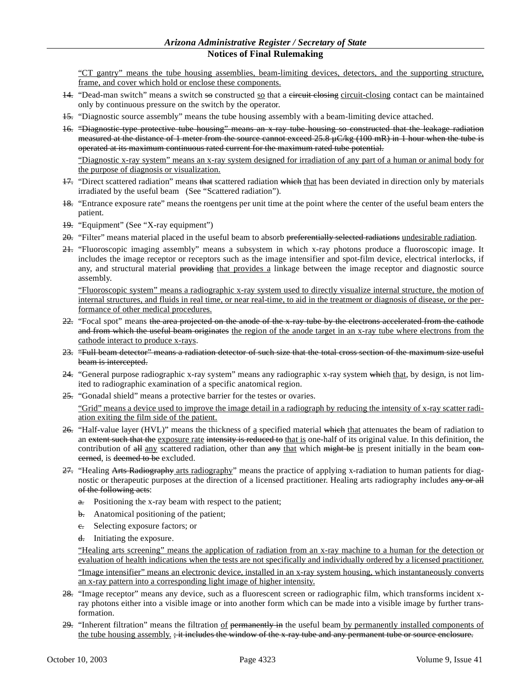"CT gantry" means the tube housing assemblies, beam-limiting devices, detectors, and the supporting structure, frame, and cover which hold or enclose these components.

- $14.$  "Dead-man switch" means a switch so constructed so that a eireuit elosing circuit-closing contact can be maintained only by continuous pressure on the switch by the operator.
- 15. "Diagnostic source assembly" means the tube housing assembly with a beam-limiting device attached.
- 16. "Diagnostic-type protective tube housing" means an x-ray tube housing so constructed that the leakage radiation measured at the distance of 1 meter from the source cannot exceed  $25.8 \mu C/kg$  (100 mR) in 1 hour when the tube is operated at its maximum continuous rated current for the maximum rated tube potential.

"Diagnostic x-ray system" means an x-ray system designed for irradiation of any part of a human or animal body for the purpose of diagnosis or visualization.

- 17. "Direct scattered radiation" means that scattered radiation which that has been deviated in direction only by materials irradiated by the useful beam (See "Scattered radiation").
- 18. "Entrance exposure rate" means the roentgens per unit time at the point where the center of the useful beam enters the patient.
- 19. "Equipment" (See "X-ray equipment")
- 20. "Filter" means material placed in the useful beam to absorb preferentially selected radiations undesirable radiation.
- 21. "Fluoroscopic imaging assembly" means a subsystem in which x-ray photons produce a fluoroscopic image. It includes the image receptor or receptors such as the image intensifier and spot-film device, electrical interlocks, if any, and structural material providing that provides a linkage between the image receptor and diagnostic source assembly.

"Fluoroscopic system" means a radiographic x-ray system used to directly visualize internal structure, the motion of internal structures, and fluids in real time, or near real-time, to aid in the treatment or diagnosis of disease, or the performance of other medical procedures.

- 22. "Focal spot" means the area projected on the anode of the x-ray tube by the electrons accelerated from the cathode and from which the useful beam originates the region of the anode target in an x-ray tube where electrons from the cathode interact to produce x-rays.
- 23. "Full beam detector" means a radiation detector of such size that the total cross section of the maximum size useful beam is intercepted.
- $24.$  "General purpose radiographic x-ray system" means any radiographic x-ray system which that, by design, is not limited to radiographic examination of a specific anatomical region.
- 25. "Gonadal shield" means a protective barrier for the testes or ovaries.

"Grid" means a device used to improve the image detail in a radiograph by reducing the intensity of x-ray scatter radiation exiting the film side of the patient.

- $26.$  "Half-value layer (HVL)" means the thickness of a specified material which that attenuates the beam of radiation to an extent such that the exposure rate intensity is reduced to that is one-half of its original value. In this definition, the contribution of  $\frac{di}{dt}$  any scattered radiation, other than  $\frac{di}{dt}$  which  $\frac{di}{dt}$  be is present initially in the beam eonerned, is deemed to be excluded.
- 27. "Healing Arts Radiography arts radiography" means the practice of applying x-radiation to human patients for diagnostic or therapeutic purposes at the direction of a licensed practitioner. Healing arts radiography includes any or all of the following acts:
	- $\theta$ . Positioning the x-ray beam with respect to the patient;
	- b. Anatomical positioning of the patient;
	- e. Selecting exposure factors; or
	- $\frac{d}{dx}$  Initiating the exposure.

"Healing arts screening" means the application of radiation from an x-ray machine to a human for the detection or evaluation of health indications when the tests are not specifically and individually ordered by a licensed practitioner. "Image intensifier" means an electronic device, installed in an x-ray system housing, which instantaneously converts an x-ray pattern into a corresponding light image of higher intensity.

- 28. "Image receptor" means any device, such as a fluorescent screen or radiographic film, which transforms incident xray photons either into a visible image or into another form which can be made into a visible image by further transformation.
- 29. "Inherent filtration" means the filtration of permanently in the useful beam by permanently installed components of the tube housing assembly. ; it includes the window of the x-ray tube and any permanent tube or source enclosure.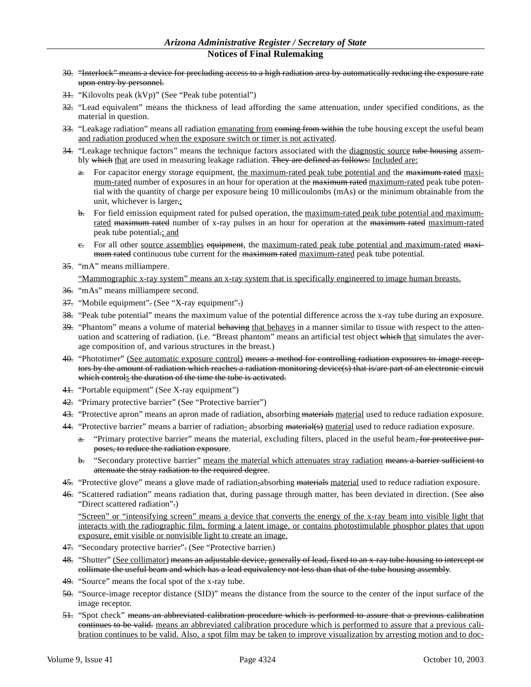- 30. "Interlock" means a device for precluding access to a high radiation area by automatically reducing the exposure rate upon entry by personnel.
- 31. "Kilovolts peak (kVp)" (See "Peak tube potential")
- 32. "Lead equivalent" means the thickness of lead affording the same attenuation, under specified conditions, as the material in question.
- 33. "Leakage radiation" means all radiation emanating from eoming from within the tube housing except the useful beam and radiation produced when the exposure switch or timer is not activated.
- 34. "Leakage technique factors" means the technique factors associated with the diagnostic source tube housing assembly which that are used in measuring leakage radiation. They are defined as follows: Included are:
	- a. For capacitor energy storage equipment, the maximum-rated peak tube potential and the maximum rated maximum-rated number of exposures in an hour for operation at the maximum rated maximum-rated peak tube potential with the quantity of charge per exposure being 10 millicoulombs (mAs) or the minimum obtainable from the unit, whichever is larger.;
	- b. For field emission equipment rated for pulsed operation, the maximum-rated peak tube potential and maximumrated maximum rated number of x-ray pulses in an hour for operation at the maximum rated maximum-rated peak tube potential.; and
	- e. For all other source assemblies equipment, the maximum-rated peak tube potential and maximum-rated maximum rated continuous tube current for the maximum rated maximum-rated peak tube potential.
- 35. "mA" means milliampere.

"Mammographic x-ray system" means an x-ray system that is specifically engineered to image human breasts.

- 36. "mAs" means milliampere second.
- 37. "Mobile equipment". (See "X-ray equipment".)
- $38.$  "Peak tube potential" means the maximum value of the potential difference across the x-ray tube during an exposure.
- 39. "Phantom" means a volume of material behaving that behaves in a manner similar to tissue with respect to the attenuation and scattering of radiation. (i.e. "Breast phantom" means an artificial test object which that simulates the average composition of, and various structures in the breast.)
- 40. "Phototimer" (See automatic exposure control) means a method for controlling radiation exposures to image receptors by the amount of radiation which reaches a radiation monitoring device(s) that is/are part of an electronic circuit which controls the duration of the time the tube is activated.
- 41. "Portable equipment" (See X-ray equipment")
- 42. "Primary protective barrier" (See "Protective barrier")
- 43. "Protective apron" means an apron made of radiation, absorbing materials material used to reduce radiation exposure.
- 44. "Protective barrier" means a barrier of radiation- absorbing material(s) material used to reduce radiation exposure.
	- a. "Primary protective barrier" means the material, excluding filters, placed in the useful beam, for protective purposes, to reduce the radiation exposure.
	- b. "Secondary protective barrier" means the material which attenuates stray radiation means a barrier sufficient to attenuate the stray radiation to the required degree.
- 45. "Protective glove" means a glove made of radiation-absorbing materials material used to reduce radiation exposure.
- 46. "Scattered radiation" means radiation that, during passage through matter, has been deviated in direction. (See also "Direct scattered radiation".)

"Screen" or "intensifying screen" means a device that converts the energy of the x-ray beam into visible light that interacts with the radiographic film, forming a latent image, or contains photostimulable phosphor plates that upon exposure, emit visible or nonvisible light to create an image.

- 47. "Secondary protective barrier". (See "Protective barrier.)
- 48. "Shutter" (See collimator) means an adjustable device, generally of lead, fixed to an x-ray tube housing to intercept or collimate the useful beam and which has a lead equivalency not less than that of the tube housing assembly.
- 49. "Source" means the focal spot of the x-ray tube.
- 50. "Source-image receptor distance (SID)" means the distance from the source to the center of the input surface of the image receptor.
- 51. "Spot check" means an abbreviated calibration procedure which is performed to assure that a previous calibration continues to be valid. means an abbreviated calibration procedure which is performed to assure that a previous calibration continues to be valid. Also, a spot film may be taken to improve visualization by arresting motion and to doc-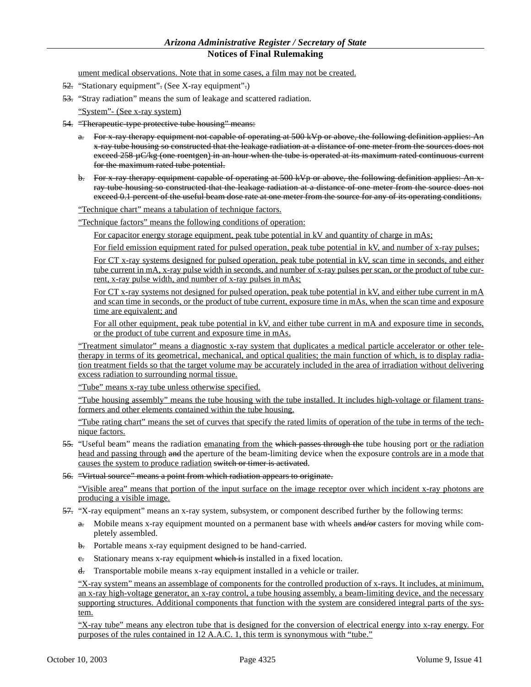ument medical observations. Note that in some cases, a film may not be created.

- 52. "Stationary equipment". (See X-ray equipment".)
- 53. "Stray radiation" means the sum of leakage and scattered radiation.

"System"- (See x-ray system)

- 54. "Therapeutic-type protective tube housing" means:
	- a. For x-ray therapy equipment not capable of operating at 500 kVp or above, the following definition applies: An x-ray tube housing so constructed that the leakage radiation at a distance of one meter from the sources does not exceed 258 µC/kg (one roentgen) in an hour when the tube is operated at its maximum rated continuous current for the maximum rated tube potential.
	- b. For x-ray therapy equipment capable of operating at 500 kVp or above, the following definition applies: An xray tube housing so constructed that the leakage radiation at a distance of one meter from the source does not exceed 0.1 percent of the useful beam dose rate at one meter from the source for any of its operating conditions.
	- "Technique chart" means a tabulation of technique factors.
	- "Technique factors" means the following conditions of operation:

For capacitor energy storage equipment, peak tube potential in kV and quantity of charge in mAs;

For field emission equipment rated for pulsed operation, peak tube potential in kV, and number of x-ray pulses;

For CT x-ray systems designed for pulsed operation, peak tube potential in kV, scan time in seconds, and either tube current in mA, x-ray pulse width in seconds, and number of x-ray pulses per scan, or the product of tube current, x-ray pulse width, and number of x-ray pulses in mAs;

For CT x-ray systems not designed for pulsed operation, peak tube potential in kV, and either tube current in mA and scan time in seconds, or the product of tube current, exposure time in mAs, when the scan time and exposure time are equivalent; and

For all other equipment, peak tube potential in kV, and either tube current in mA and exposure time in seconds, or the product of tube current and exposure time in mAs.

"Treatment simulator" means a diagnostic x-ray system that duplicates a medical particle accelerator or other teletherapy in terms of its geometrical, mechanical, and optical qualities; the main function of which, is to display radiation treatment fields so that the target volume may be accurately included in the area of irradiation without delivering excess radiation to surrounding normal tissue.

"Tube" means x-ray tube unless otherwise specified.

"Tube housing assembly" means the tube housing with the tube installed. It includes high-voltage or filament transformers and other elements contained within the tube housing.

"Tube rating chart" means the set of curves that specify the rated limits of operation of the tube in terms of the technique factors.

- 55. "Useful beam" means the radiation emanating from the which passes through the tube housing port or the radiation head and passing through and the aperture of the beam-limiting device when the exposure controls are in a mode that causes the system to produce radiation switch or timer is activated.
- 56. "Virtual source" means a point from which radiation appears to originate.

"Visible area" means that portion of the input surface on the image receptor over which incident x-ray photons are producing a visible image.

- 57. "X-ray equipment" means an x-ray system, subsystem, or component described further by the following terms:
	- a. Mobile means x-ray equipment mounted on a permanent base with wheels and/or casters for moving while completely assembled.
	- b. Portable means x-ray equipment designed to be hand-carried.
	- e. Stationary means x-ray equipment which is installed in a fixed location.
	- d. Transportable mobile means x-ray equipment installed in a vehicle or trailer.

"X-ray system" means an assemblage of components for the controlled production of x-rays. It includes, at minimum, an x-ray high-voltage generator, an x-ray control, a tube housing assembly, a beam-limiting device, and the necessary supporting structures. Additional components that function with the system are considered integral parts of the system.

"X-ray tube" means any electron tube that is designed for the conversion of electrical energy into x-ray energy. For purposes of the rules contained in 12 A.A.C. 1, this term is synonymous with "tube."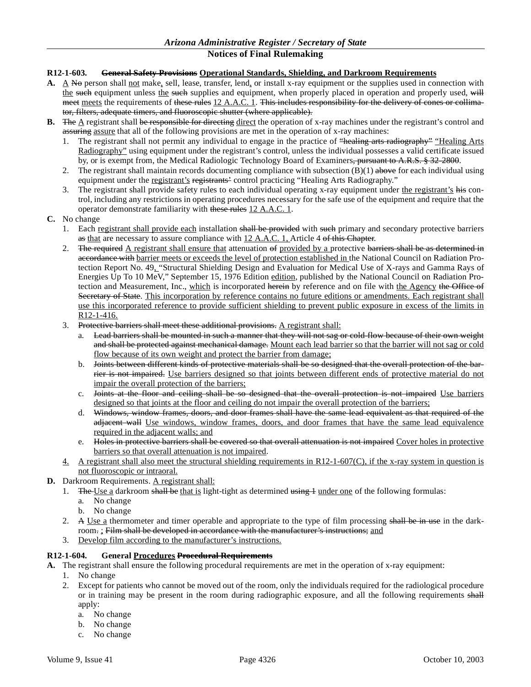# **R12-1-603. General Safety Provisions Operational Standards, Shielding, and Darkroom Requirements**

- A. A No person shall not make, sell, lease, transfer, lend, or install x-ray equipment or the supplies used in connection with the such equipment unless the such supplies and equipment, when properly placed in operation and properly used, will meet meets the requirements of these rules 12 A.A.C. 1. This includes responsibility for the delivery of cones or collimator, filters, adequate timers, and fluoroscopic shutter (where applicable).
- **B.** The A registrant shall be responsible for directing direct the operation of x-ray machines under the registrant's control and assuring assure that all of the following provisions are met in the operation of x-ray machines:
	- 1. The registrant shall not permit any individual to engage in the practice of "healing arts radiography" "Healing Arts Radiography" using equipment under the registrant's control, unless the individual possesses a valid certificate issued by, or is exempt from, the Medical Radiologic Technology Board of Examiners<del>, pursuant to A.R.S. § 32-2800</del>.
	- 2. The registrant shall maintain records documenting compliance with subsection  $(B)(1)$  above for each individual using equipment under the registrant's registrants' control practicing "Healing Arts Radiography."
	- 3. The registrant shall provide safety rules to each individual operating x-ray equipment under the registrant's his control, including any restrictions in operating procedures necessary for the safe use of the equipment and require that the operator demonstrate familiarity with these rules 12 A.A.C. 1.
- **C.** No change
	- 1. Each registrant shall provide each installation shall be provided with such primary and secondary protective barriers as that are necessary to assure compliance with 12 A.A.C. 1, Article 4 of this Chapter.
	- 2. The required  $\Delta$  registrant shall ensure that attenuation of provided by a protective barriers shall be as determined in accordance with barrier meets or exceeds the level of protection established in the National Council on Radiation Protection Report No. 49, "Structural Shielding Design and Evaluation for Medical Use of X-rays and Gamma Rays of Energies Up To 10 MeV," September 15, 1976 Edition edition, published by the National Council on Radiation Protection and Measurement, Inc., which is incorporated herein by reference and on file with the Agency the Office of Secretary of State. This incorporation by reference contains no future editions or amendments. Each registrant shall use this incorporated reference to provide sufficient shielding to prevent public exposure in excess of the limits in R12-1-416.
	- 3. Protective barriers shall meet these additional provisions. A registrant shall:
		- a. Lead barriers shall be mounted in such a manner that they will not sag or cold-flow because of their own weight and shall be protected against mechanical damage. Mount each lead barrier so that the barrier will not sag or cold flow because of its own weight and protect the barrier from damage;
		- b. Joints between different kinds of protective materials shall be so designed that the overall protection of the barrier is not impaired. Use barriers designed so that joints between different ends of protective material do not impair the overall protection of the barriers;
		- c. Joints at the floor and ceiling shall be so designed that the overall protection is not impaired Use barriers designed so that joints at the floor and ceiling do not impair the overall protection of the barriers;
		- d. Windows, window frames, doors, and door frames shall have the same lead equivalent as that required of the adjacent wall Use windows, window frames, doors, and door frames that have the same lead equivalence required in the adjacent walls; and
		- e. Holes in protective barriers shall be covered so that overall attenuation is not impaired Cover holes in protective barriers so that overall attenuation is not impaired.
	- 4. A registrant shall also meet the structural shielding requirements in R12-1-607(C), if the x-ray system in question is not fluoroscopic or intraoral.
- **D.** Darkroom Requirements. A registrant shall:
	- 1. The Use a darkroom shall be that is light-tight as determined  $\frac{1}{\text{using }1}$  under one of the following formulas:
		- a. No change
		- b. No change
	- 2. A Use a thermometer and timer operable and appropriate to the type of film processing shall be in use in the darkroom. ; Film shall be developed in accordance with the manufacturer's instructions; and
	- 3. Develop film according to the manufacturer's instructions.

# **R12-1-604. General Procedures Procedural Requirements**

**A.** The registrant shall ensure the following procedural requirements are met in the operation of x-ray equipment:

- 1. No change
- 2. Except for patients who cannot be moved out of the room, only the individuals required for the radiological procedure or in training may be present in the room during radiographic exposure, and all the following requirements shall apply:
	- a. No change
	- b. No change
	- c. No change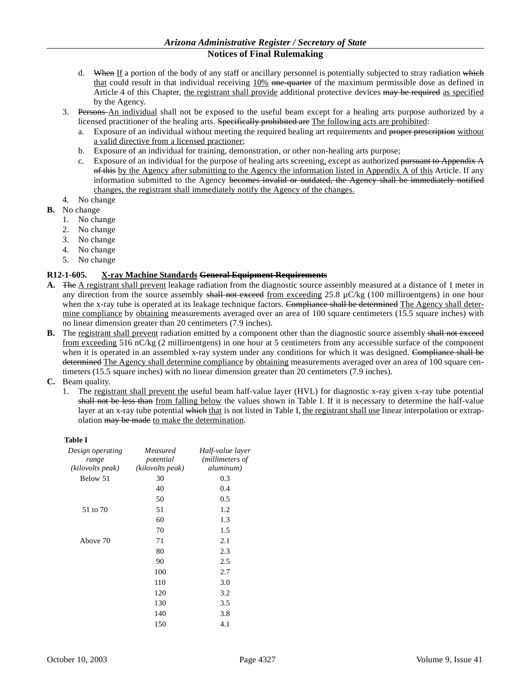- d. When If a portion of the body of any staff or ancillary personnel is potentially subjected to stray radiation which that could result in that individual receiving 10% one-quarter of the maximum permissible dose as defined in Article 4 of this Chapter, the registrant shall provide additional protective devices may be required as specified by the Agency.
- 3. Persons An individual shall not be exposed to the useful beam except for a healing arts purpose authorized by a licensed practitioner of the healing arts. Specifically prohibited are The following acts are prohibited:
	- a. Exposure of an individual without meeting the required healing art requirements and proper prescription without a valid directive from a licensed practioner;
	- b. Exposure of an individual for training, demonstration, or other non-healing arts purpose;
	- c. Exposure of an individual for the purpose of healing arts screening, except as authorized <del>pursuant to Appendix A</del> of this by the Agency after submitting to the Agency the information listed in Appendix A of this Article. If any information submitted to the Agency becomes invalid or outdated, the Agency shall be immediately notified changes, the registrant shall immediately notify the Agency of the changes.
- 4. No change
- **B.** No change
	- 1. No change
	- 2. No change
	- 3. No change
	- 4. No change
	- 5. No change

# **R12-1-605. X-ray Machine Standards General Equipment Requirements**

- **A.** The A registrant shall prevent leakage radiation from the diagnostic source assembly measured at a distance of 1 meter in any direction from the source assembly shall not exceed from exceeding 25.8  $\mu$ C/kg (100 milliroentgens) in one hour when the x-ray tube is operated at its leakage technique factors. Compliance shall be determined The Agency shall determine compliance by obtaining measurements averaged over an area of 100 square centimeters (15.5 square inches) with no linear dimension greater than 20 centimeters (7.9 inches).
- **B.** The registrant shall prevent radiation emitted by a component other than the diagnostic source assembly shall not exceed from exceeding 516 nC/kg (2 milliroentgens) in one hour at 5 centimeters from any accessible surface of the component when it is operated in an assembled x-ray system under any conditions for which it was designed. Compliance shall be determined The Agency shall determine compliance by obtaining measurements averaged over an area of 100 square centimeters (15.5 square inches) with no linear dimension greater than 20 centimeters (7.9 inches).
- **C.** Beam quality.
	- 1. The registrant shall prevent the useful beam half-value layer (HVL) for diagnostic x-ray given x-ray tube potential shall not be less than from falling below the values shown in Table I. If it is necessary to determine the half-value layer at an x-ray tube potential which that is not listed in Table I, the registrant shall use linear interpolation or extrapolation may be made to make the determination.

# **Table I**

| Design operating<br>range | Measured<br>potential | Half-value layer<br>( <i>millimeters of</i> |
|---------------------------|-----------------------|---------------------------------------------|
| (kilovolts peak)          | (kilovolts peak)      | <i>aluminum</i> )                           |
| Below 51                  | 30                    | 0.3                                         |
|                           | 40                    | 0.4                                         |
|                           | 50                    | 0.5                                         |
| 51 to 70                  | 51                    | 1.2                                         |
|                           | 60                    | 1.3                                         |
|                           | 70                    | 1.5                                         |
| Above 70                  | 71                    | 2.1                                         |
|                           | 80                    | 2.3                                         |
|                           | 90                    | 2.5                                         |
|                           | 100                   | 2.7                                         |
|                           | 110                   | 3.0                                         |
|                           | 120                   | 3.2                                         |
|                           | 130                   | 3.5                                         |
|                           | 140                   | 3.8                                         |
|                           | 150                   | 4.1                                         |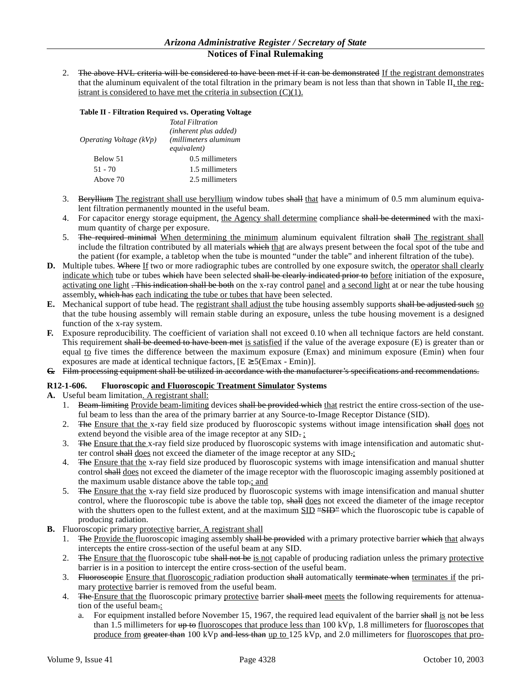2. The above HVL criteria will be considered to have been met if it can be demonstrated If the registrant demonstrates that the aluminum equivalent of the total filtration in the primary beam is not less than that shown in Table II, the registrant is considered to have met the criteria in subsection  $(C)(1)$ .

# **Table II - Filtration Required vs. Operating Voltage**

| Operating Voltage $(kVp)$ | <b>Total Filtration</b><br>(inherent plus added)<br><i>(millimeters aluminum</i> )<br>equivalent) |  |
|---------------------------|---------------------------------------------------------------------------------------------------|--|
| Below 51                  | 0.5 millimeters                                                                                   |  |
| $51 - 70$                 | 1.5 millimeters                                                                                   |  |
| Above 70                  | 2.5 millimeters                                                                                   |  |

- 3. Beryllium The registrant shall use beryllium window tubes shall that have a minimum of 0.5 mm aluminum equivalent filtration permanently mounted in the useful beam.
- 4. For capacitor energy storage equipment, the Agency shall determine compliance shall be determined with the maximum quantity of charge per exposure.
- 5. The required minimal When determining the minimum aluminum equivalent filtration shall The registrant shall include the filtration contributed by all materials which that are always present between the focal spot of the tube and the patient (for example, a tabletop when the tube is mounted "under the table" and inherent filtration of the tube).
- **D.** Multiple tubes. Where If two or more radiographic tubes are controlled by one exposure switch, the <u>operator shall clearly</u> indicate which tube or tubes which have been selected shall be clearly indicated prior to before initiation of the exposure, activating one light . This indication shall be both on the x-ray control panel and a second light at or near the tube housing assembly, which has each indicating the tube or tubes that have been selected.
- **E.** Mechanical support of tube head. The registrant shall adjust the tube housing assembly supports shall be adjusted such so that the tube housing assembly will remain stable during an exposure, unless the tube housing movement is a designed function of the x-ray system.
- **F.** Exposure reproducibility. The coefficient of variation shall not exceed 0.10 when all technique factors are held constant. This requirement shall be deemed to have been met is satisfied if the value of the average exposure (E) is greater than or equal to five times the difference between the maximum exposure (Emax) and minimum exposure (Emin) when four exposures are made at identical technique factors,  $[E \ge 5(Emax - Emin)].$
- **G.** Film processing equipment shall be utilized in accordance with the manufacturer's specifications and recommendations.

# **R12-1-606. Fluoroscopic and Fluoroscopic Treatment Simulator Systems**

- **A.** Useful beam limitation. A registrant shall:
	- 1. Beam-limiting Provide beam-limiting devices shall be provided which that restrict the entire cross-section of the useful beam to less than the area of the primary barrier at any Source-to-Image Receptor Distance (SID).
	- 2. The Ensure that the x-ray field size produced by fluoroscopic systems without image intensification shall does not extend beyond the visible area of the image receptor at any SID.
	- 3. The Ensure that the x-ray field size produced by fluoroscopic systems with image intensification and automatic shutter control shall does not exceed the diameter of the image receptor at any SID.;
	- 4. The Ensure that the x-ray field size produced by fluoroscopic systems with image intensification and manual shutter control shall does not exceed the diameter of the image receptor with the fluoroscopic imaging assembly positioned at the maximum usable distance above the table top.; and
	- 5. The Ensure that the x-ray field size produced by fluoroscopic systems with image intensification and manual shutter control, where the fluoroscopic tube is above the table top, shall does not exceed the diameter of the image receptor with the shutters open to the fullest extent, and at the maximum SID "SHD" which the fluoroscopic tube is capable of producing radiation.
- **B.** Fluoroscopic primary protective barrier. A registrant shall
	- 1. The Provide the fluoroscopic imaging assembly shall be provided with a primary protective barrier which that always intercepts the entire cross-section of the useful beam at any SID.
	- 2. The Ensure that the fluoroscopic tube shall not be is not capable of producing radiation unless the primary protective barrier is in a position to intercept the entire cross-section of the useful beam.
	- 3. Fluoroscopie Ensure that fluoroscopic radiation production shall automatically terminate when terminates if the primary protective barrier is removed from the useful beam.
	- 4. The Ensure that the fluoroscopic primary protective barrier shall meet meets the following requirements for attenuation of the useful beam.:
		- a. For equipment installed before November 15, 1967, the required lead equivalent of the barrier shall is not be less than 1.5 millimeters for  $\frac{up}{to}$  fluoroscopes that produce less than 100 kVp, 1.8 millimeters for fluoroscopes that produce from greater than 100 kVp and less than up to 125 kVp, and 2.0 millimeters for fluoroscopes that pro-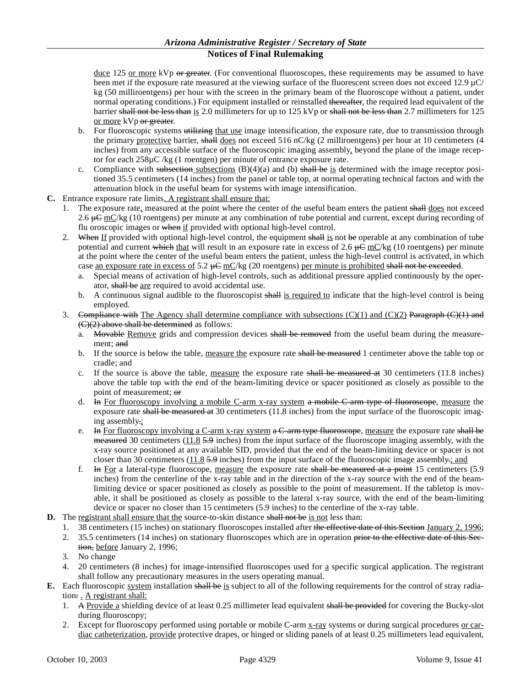duce 125 or more kVp or greater. (For conventional fluoroscopes, these requirements may be assumed to have been met if the exposure rate measured at the viewing surface of the fluorescent screen does not exceed 12.9 µC/ kg (50 milliroentgens) per hour with the screen in the primary beam of the fluoroscope without a patient, under normal operating conditions.) For equipment installed or reinstalled thereafter, the required lead equivalent of the barrier shall not be less than is 2.0 millimeters for up to 125 kVp or shall not be less than 2.7 millimeters for 125 or more kVp or greater.

- b. For fluoroscopic systems utilizing that use image intensification, the exposure rate, due to transmission through the primary protective barrier, shall does not exceed 516 nC/kg (2 milliroentgens) per hour at 10 centimeters (4 inches) from any accessible surface of the fluoroscopic imaging assembly, beyond the plane of the image receptor for each 258µC /kg (1 roentgen) per minute of entrance exposure rate.
- c. Compliance with subsection subsections  $(B)(4)(a)$  and (b) shall be is determined with the image receptor positioned 35.5 centimeters (14 inches) from the panel or table top, at normal operating technical factors and with the attenuation block in the useful beam for systems with image intensification.
- **C.** Entrance exposure rate limits. A registrant shall ensure that:
	- 1. The exposure rate, measured at the point where the center of the useful beam enters the patient shall does not exceed 2.6  $\#C$  mC/kg (10 roentgens) per minute at any combination of tube potential and current, except during recording of flu oroscopic images or when if provided with optional high-level control.
	- 2. When If provided with optional high-level control, the equipment shall is not be operable at any combination of tube potential and current which that will result in an exposure rate in excess of 2.6  $\mu \dot{C}$  mC/kg (10 roentgens) per minute at the point where the center of the useful beam enters the patient, unless the high-level control is activated, in which case an exposure rate in excess of 5.2  $\mu$ C mC/kg (20 roentgens) per minute is prohibited shall not be exceeded.
		- a. Special means of activation of high-level controls, such as additional pressure applied continuously by the operator, shall be are required to avoid accidental use.
		- b. A continuous signal audible to the fluoroscopist shall is required to indicate that the high-level control is being employed.
	- 3. Compliance with The Agency shall determine compliance with subsections  $(C)(1)$  and  $(C)(2)$  Paragraph  $(C)(1)$  and  $(C)(2)$  above shall be determined as follows:
		- a. Movable Remove grids and compression devices shall be removed from the useful beam during the measurement: and
		- b. If the source is below the table, measure the exposure rate shall be measured 1 centimeter above the table top or cradle; and
		- c. If the source is above the table, measure the exposure rate shall be measured at  $30$  centimeters (11.8 inches) above the table top with the end of the beam-limiting device or spacer positioned as closely as possible to the point of measurement; or
		- d. In For fluoroscopy involving a mobile C-arm x-ray system a mobile C-arm type of fluoroscope, measure the exposure rate shall be measured at 30 centimeters (11.8 inches) from the input surface of the fluoroscopic imaging assembly.;
		- e. In For fluoroscopy involving a C-arm x-ray system  $\alpha$  C-arm type fluoroscope, measure the exposure rate shall be measured 30 centimeters (11.8 5.9 inches) from the input surface of the fluoroscope imaging assembly, with the x-ray source positioned at any available SID, provided that the end of the beam-limiting device or spacer is not closer than 30 centimeters  $(11.8 5.9$  inches) from the input surface of the fluoroscopic image assembly-; and
		- f. In For a lateral-type fluoroscope, measure the exposure rate shall be measured at a point 15 centimeters  $(5.9)$ inches) from the centerline of the x-ray table and in the direction of the x-ray source with the end of the beamlimiting device or spacer positioned as closely as possible to the point of measurement. If the tabletop is movable, it shall be positioned as closely as possible to the lateral x-ray source, with the end of the beam-limiting device or spacer no closer than 15 centimeters (5.9 inches) to the centerline of the x-ray table.
- **D.** The registrant shall ensure that the source-to-skin distance shall not be is not less than:
	- 1. 38 centimeters (15 inches) on stationary fluoroscopes installed after the effective date of this Section January 2, 1996;
	- 2. 35.5 centimeters (14 inches) on stationary fluoroscopes which are in operation prior to the effective date of this Section, before January 2, 1996;
	- 3. No change
	- 4. 20 centimeters (8 inches) for image-intensified fluoroscopes used for a specific surgical application. The registrant shall follow any precautionary measures in the users operating manual.
- **E.** Each fluoroscopic system installation shall be is subject to all of the following requirements for the control of stray radiation: . A registrant shall:
	- 1. A Provide a shielding device of at least 0.25 millimeter lead equivalent shall be provided for covering the Bucky-slot during fluoroscopy;
	- 2. Except for fluoroscopy performed using portable or mobile C-arm x-ray systems or during surgical procedures or cardiac catheterization, provide protective drapes, or hinged or sliding panels of at least 0.25 millimeters lead equivalent,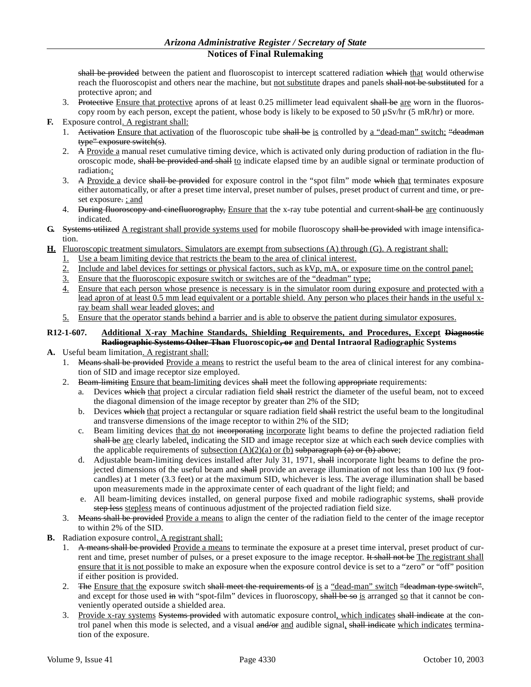shall be provided between the patient and fluoroscopist to intercept scattered radiation which that would otherwise reach the fluoroscopist and others near the machine, but not substitute drapes and panels shall not be substituted for a protective apron; and

- 3. Protective Ensure that protective aprons of at least 0.25 millimeter lead equivalent shall be are worn in the fluoroscopy room by each person, except the patient, whose body is likely to be exposed to 50  $\mu$ Sv/hr (5 mR/hr) or more.
- **F.** Exposure control. A registrant shall:
	- 1. Activation Ensure that activation of the fluoroscopic tube shall be is controlled by a "dead-man" switch; "deadman type" exposure switch(s).
	- 2. A Provide a manual reset cumulative timing device, which is activated only during production of radiation in the fluoroscopic mode, shall be provided and shall to indicate elapsed time by an audible signal or terminate production of radiation.;
	- 3. A Provide a device shall be provided for exposure control in the "spot film" mode which that terminates exposure either automatically, or after a preset time interval, preset number of pulses, preset product of current and time, or preset exposure. ; and
	- 4. During fluoroscopy and cinefluorography, Ensure that the x-ray tube potential and current shall be are continuously indicated.
- **G.** Systems utilized A registrant shall provide systems used for mobile fluoroscopy shall be provided with image intensification.
- **H.** Fluoroscopic treatment simulators. Simulators are exempt from subsections (A) through (G). A registrant shall:
	- Use a beam limiting device that restricts the beam to the area of clinical interest.
	- 2. Include and label devices for settings or physical factors, such as kVp, mA, or exposure time on the control panel;
	- 3. Ensure that the fluoroscopic exposure switch or switches are of the "deadman" type;
	- 4. Ensure that each person whose presence is necessary is in the simulator room during exposure and protected with a lead apron of at least 0.5 mm lead equivalent or a portable shield. Any person who places their hands in the useful xray beam shall wear leaded gloves; and
	- 5. Ensure that the operator stands behind a barrier and is able to observe the patient during simulator exposures.

# **R12-1-607. Additional X-ray Machine Standards, Shielding Requirements, and Procedures, Except Diagnostic Radiographic Systems Other Than Fluoroscopic, or and Dental Intraoral Radiographic Systems**

- **A.** Useful beam limitation. A registrant shall:
	- 1. Means shall be provided Provide a means to restrict the useful beam to the area of clinical interest for any combination of SID and image receptor size employed.
	- 2. Beam-limiting Ensure that beam-limiting devices shall meet the following appropriate requirements:
		- a. Devices which that project a circular radiation field shall restrict the diameter of the useful beam, not to exceed the diagonal dimension of the image receptor by greater than 2% of the SID;
		- b. Devices which that project a rectangular or square radiation field shall restrict the useful beam to the longitudinal and transverse dimensions of the image receptor to within 2% of the SID;
		- c. Beam limiting devices that do not incorporating incorporate light beams to define the projected radiation field shall be are clearly labeled, indicating the SID and image receptor size at which each such device complies with the applicable requirements of  $subsection (A)(2)(a)$  or (b) subparagraph (a) or (b) above;
		- d. Adjustable beam-limiting devices installed after July 31, 1971, shall incorporate light beams to define the projected dimensions of the useful beam and shall provide an average illumination of not less than 100 lux (9 footcandles) at 1 meter (3.3 feet) or at the maximum SID, whichever is less. The average illumination shall be based upon measurements made in the approximate center of each quadrant of the light field; and
		- e. All beam-limiting devices installed, on general purpose fixed and mobile radiographic systems, shall provide step less stepless means of continuous adjustment of the projected radiation field size.
	- 3. Means shall be provided Provide a means to align the center of the radiation field to the center of the image receptor to within 2% of the SID.
- **B.** Radiation exposure control. A registrant shall:
	- 1. A means shall be provided Provide a means to terminate the exposure at a preset time interval, preset product of current and time, preset number of pulses, or a preset exposure to the image receptor. It shall not be The registrant shall ensure that it is not possible to make an exposure when the exposure control device is set to a "zero" or "off" position if either position is provided.
	- 2. The Ensure that the exposure switch shall meet the requirements of is a "dead-man" switch "deadman type switch", and except for those used in with "spot-film" devices in fluoroscopy, shall be so is arranged so that it cannot be conveniently operated outside a shielded area.
	- 3. Provide x-ray systems Systems provided with automatic exposure control, which indicates shall indicate at the control panel when this mode is selected, and a visual and/or and audible signal, shall indicate which indicates termination of the exposure.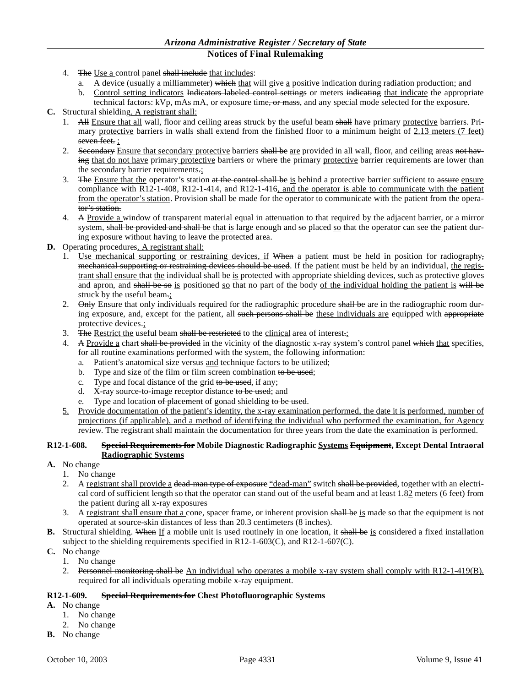- 4. The Use a control panel shall include that includes:
	- a. A device (usually a milliammeter) which that will give a positive indication during radiation production; and
	- b. Control setting indicators Indicators labeled control settings or meters indicating that indicate the appropriate technical factors: kVp,  $\text{mAs}$  mA, or exposure time, or mass, and any special mode selected for the exposure.
- **C.** Structural shielding. A registrant shall:
	- 1. All Ensure that all wall, floor and ceiling areas struck by the useful beam shall have primary protective barriers. Primary protective barriers in walls shall extend from the finished floor to a minimum height of 2.13 meters (7 feet) seven feet. :
	- 2. Secondary Ensure that secondary protective barriers shall be are provided in all wall, floor, and ceiling areas not having that do not have primary protective barriers or where the primary protective barrier requirements are lower than the secondary barrier requirements.;
	- 3. The Ensure that the operator's station at the control shall be is behind a protective barrier sufficient to assure ensure compliance with R12-1-408, R12-1-414, and R12-1-416, and the operator is able to communicate with the patient from the operator's station. Provision shall be made for the operator to communicate with the patient from the operator's station.
	- 4. A Provide a window of transparent material equal in attenuation to that required by the adjacent barrier, or a mirror system, shall be provided and shall be that is large enough and so placed so that the operator can see the patient during exposure without having to leave the protected area.
- **D.** Operating procedures. A registrant shall:
	- 1. Use mechanical supporting or restraining devices, if When a patient must be held in position for radiography, mechanical supporting or restraining devices should be used. If the patient must be held by an individual, the registrant shall ensure that the individual shall be is protected with appropriate shielding devices, such as protective gloves and apron, and shall be so is positioned so that no part of the body of the individual holding the patient is will be struck by the useful beam.;
	- 2. Only Ensure that only individuals required for the radiographic procedure shall be are in the radiographic room during exposure, and, except for the patient, all such persons shall be these individuals are equipped with appropriate protective devices.;
	- 3. The Restrict the useful beam shall be restricted to the clinical area of interest.
	- 4. A Provide a chart shall be provided in the vicinity of the diagnostic x-ray system's control panel which that specifies, for all routine examinations performed with the system, the following information:
		- a. Patient's anatomical size versus and technique factors to be utilized;
		- b. Type and size of the film or film screen combination to be used;
		- c. Type and focal distance of the grid to be used, if any;
		- d. X-ray source-to-image receptor distance to be used; and
		- e. Type and location of placement of gonad shielding to be used.
	- 5. Provide documentation of the patient's identity, the x-ray examination performed, the date it is performed, number of projections (if applicable), and a method of identifying the individual who performed the examination, for Agency review. The registrant shall maintain the documentation for three years from the date the examination is performed.

### **R12-1-608. Special Requirements for Mobile Diagnostic Radiographic Systems Equipment, Except Dental Intraoral Radiographic Systems**

- **A.** No change
	- 1. No change
	- 2. A registrant shall provide a dead-man type of exposure "dead-man" switch shall be provided, together with an electrical cord of sufficient length so that the operator can stand out of the useful beam and at least 1.82 meters (6 feet) from the patient during all x-ray exposures
	- 3. A registrant shall ensure that a cone, spacer frame, or inherent provision shall be is made so that the equipment is not operated at source-skin distances of less than 20.3 centimeters (8 inches).
- **B.** Structural shielding. When If a mobile unit is used routinely in one location, it shall be is considered a fixed installation subject to the shielding requirements specified in R12-1-603(C), and R12-1-607(C).
- **C.** No change
	- 1. No change
	- 2. Personnel monitoring shall be An individual who operates a mobile x-ray system shall comply with R12-1-419(B). required for all individuals operating mobile x-ray equipment.

# **R12-1-609. Special Requirements for Chest Photofluorographic Systems**

- **A.** No change
	- 1. No change
	- 2. No change
- **B.** No change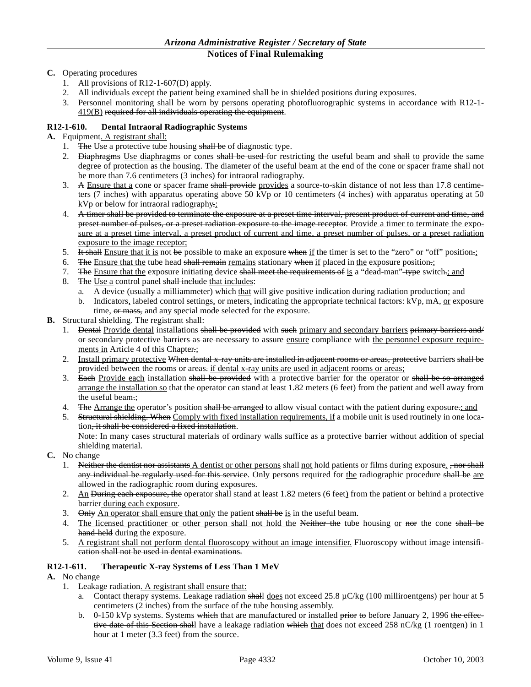# **C.** Operating procedures

- 1. All provisions of R12-1-607(D) apply.
- 2. All individuals except the patient being examined shall be in shielded positions during exposures.
- 3. Personnel monitoring shall be worn by persons operating photofluorographic systems in accordance with R12-1- 419(B) required for all individuals operating the equipment.

# **R12-1-610. Dental Intraoral Radiographic Systems**

- **A.** Equipment. A registrant shall:
	- 1. The Use a protective tube housing shall be of diagnostic type.
	- 2. Diaphragms Use diaphragms or cones shall be used for restricting the useful beam and shall to provide the same degree of protection as the housing. The diameter of the useful beam at the end of the cone or spacer frame shall not be more than 7.6 centimeters (3 inches) for intraoral radiography.
	- 3. A Ensure that a cone or spacer frame shall provide provides a source-to-skin distance of not less than 17.8 centimeters (7 inches) with apparatus operating above 50 kVp or 10 centimeters (4 inches) with apparatus operating at 50 kVp or below for intraoral radiography.:
	- 4. A timer shall be provided to terminate the exposure at a preset time interval, present product of current and time, and preset number of pulses, or a preset radiation exposure to the image receptor. Provide a timer to terminate the exposure at a preset time interval, a preset product of current and time, a preset number of pulses, or a preset radiation exposure to the image receptor;
	- 5. It shall Ensure that it is not be possible to make an exposure when if the timer is set to the "zero" or "off" position.;
	- 6. The Ensure that the tube head shall remain remains stationary when if placed in the exposure position.;
	- 7. The Ensure that the exposure initiating device shall meet the requirements of is a "dead-man"-type switch.; and
	- 8. The Use a control panel shall include that includes:
		- a. A device (usually a milliammeter) which that will give positive indication during radiation production; and
		- b. Indicators, labeled control settings, or meters, indicating the appropriate technical factors: kVp, mA, or exposure time, or mass, and any special mode selected for the exposure.
- **B.** Structural shielding. The registrant shall:
	- 1. Dental Provide dental installations shall be provided with such primary and secondary barriers primary barriers and/ or secondary protective barriers as are necessary to assure ensure compliance with the personnel exposure requirements in Article 4 of this Chapter.;
	- 2. Install primary protective When dental x-ray units are installed in adjacent rooms or areas, protective barriers shall be provided between the rooms or areas. if dental x-ray units are used in adjacent rooms or areas;
	- 3. Each Provide each installation shall be provided with a protective barrier for the operator or shall be so arranged arrange the installation so that the operator can stand at least 1.82 meters (6 feet) from the patient and well away from the useful beam.;
	- 4. The Arrange the operator's position shall be arranged to allow visual contact with the patient during exposure.; and
	- 5. Structural shielding. When Comply with fixed installation requirements, if a mobile unit is used routinely in one location<del>, it shall be considered a fixed installation</del>.

Note: In many cases structural materials of ordinary walls suffice as a protective barrier without addition of special shielding material.

- **C.** No change
	- 1. Neither the dentist nor assistants A dentist or other persons shall not hold patients or films during exposure. <del>, nor shall</del> any individual be regularly used for this service. Only persons required for the radiographic procedure shall be are allowed in the radiographic room during exposures.
	- 2. An <del>During each exposure, the</del> operator shall stand at least 1.82 meters (6 feet) from the patient or behind a protective barrier during each exposure.
	- 3. Only An operator shall ensure that only the patient shall be is in the useful beam.
	- 4. The licensed practitioner or other person shall not hold the Neither the tube housing or nor the cone shall be hand-held during the exposure.
	- 5. A registrant shall not perform dental fluoroscopy without an image intensifier. Fluoroscopy without image intensification shall not be used in dental examinations.

# **R12-1-611. Therapeutic X-ray Systems of Less Than 1 MeV**

- **A.** No change
	- 1. Leakage radiation. A registrant shall ensure that:
		- a. Contact therapy systems. Leakage radiation shall does not exceed 25.8  $\mu$ C/kg (100 milliroentgens) per hour at 5 centimeters (2 inches) from the surface of the tube housing assembly.
		- b. 0-150 kVp systems. Systems which that are manufactured or installed prior to before January 2, 1996 the effective date of this Section shall have a leakage radiation which that does not exceed 258 nC/kg (1 roentgen) in 1 hour at 1 meter (3.3 feet) from the source.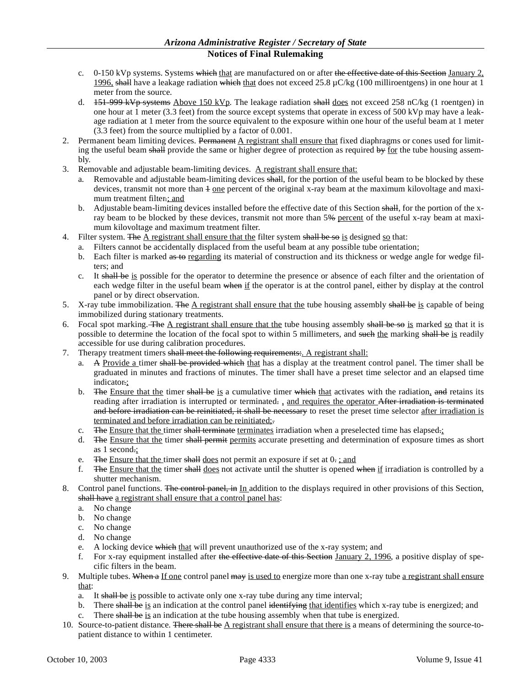- c.  $0-150$  kVp systems. Systems which that are manufactured on or after the effective date of this Section January 2, 1996, shall have a leakage radiation which that does not exceed 25.8  $\mu$ C/kg (100 milliroentgens) in one hour at 1 meter from the source.
- d. 151-999 kVp systems Above 150 kVp. The leakage radiation shall does not exceed 258 nC/kg (1 roentgen) in one hour at 1 meter (3.3 feet) from the source except systems that operate in excess of 500 kVp may have a leakage radiation at 1 meter from the source equivalent to the exposure within one hour of the useful beam at 1 meter (3.3 feet) from the source multiplied by a factor of 0.001.
- 2. Permanent beam limiting devices. Permanent A registrant shall ensure that fixed diaphragms or cones used for limiting the useful beam shall provide the same or higher degree of protection as required by for the tube housing assembly.
- 3. Removable and adjustable beam-limiting devices. A registrant shall ensure that:
	- a. Removable and adjustable beam-limiting devices shall, for the portion of the useful beam to be blocked by these devices, transmit not more than  $\pm$  one percent of the original x-ray beam at the maximum kilovoltage and maximum treatment filter.; and
	- b. Adjustable beam-limiting devices installed before the effective date of this Section shall, for the portion of the xray beam to be blocked by these devices, transmit not more than 5% percent of the useful x-ray beam at maximum kilovoltage and maximum treatment filter.
- 4. Filter system. The  $\overline{A}$  registrant shall ensure that the filter system shall be so is designed so that:
	- a. Filters cannot be accidentally displaced from the useful beam at any possible tube orientation;
	- b. Each filter is marked as to regarding its material of construction and its thickness or wedge angle for wedge filters; and
	- c. It shall be is possible for the operator to determine the presence or absence of each filter and the orientation of each wedge filter in the useful beam when if the operator is at the control panel, either by display at the control panel or by direct observation.
- 5. X-ray tube immobilization. The A registrant shall ensure that the tube housing assembly shall be is capable of being immobilized during stationary treatments.
- 6. Focal spot marking. The  $\Delta$  registrant shall ensure that the tube housing assembly shall be so is marked so that it is possible to determine the location of the focal spot to within 5 millimeters, and such the marking shall be is readily accessible for use during calibration procedures.
- 7. Therapy treatment timers shall meet the following requirements: A registrant shall:
	- a. A Provide a timer shall be provided which that has a display at the treatment control panel. The timer shall be graduated in minutes and fractions of minutes. The timer shall have a preset time selector and an elapsed time indicator.;
	- b. The Ensure that the timer shall be is a cumulative timer which that activates with the radiation, and retains its reading after irradiation is interrupted or terminated. and requires the operator After irradiation is terminated and before irradiation can be reinitiated, it shall be necessary to reset the preset time selector after irradiation is terminated and before irradiation can be reinitiated;.
	- c. The Ensure that the timer shall terminate terminates irradiation when a preselected time has elapsed $\pm$ ;
	- d. The Ensure that the timer shall permit permits accurate presetting and determination of exposure times as short as 1 second.;
	- e. The Ensure that the timer shall does not permit an exposure if set at  $0$ . ; and
	- f. The Ensure that the timer shall does not activate until the shutter is opened when if irradiation is controlled by a shutter mechanism.
- 8. Control panel functions. The control panel, in In addition to the displays required in other provisions of this Section, shall have a registrant shall ensure that a control panel has:
	- a. No change
	- b. No change
	- c. No change
	- d. No change
	- e. A locking device which that will prevent unauthorized use of the x-ray system; and
	- f. For x-ray equipment installed after the effective date of this Section January 2, 1996, a positive display of specific filters in the beam.
- 9. Multiple tubes. When a If one control panel may is used to energize more than one x-ray tube a registrant shall ensure that:
	- a. It shall be is possible to activate only one x-ray tube during any time interval;
	- b. There shall be is an indication at the control panel identifying that identifies which x-ray tube is energized; and
	- c. There shall be is an indication at the tube housing assembly when that tube is energized.
- 10. Source-to-patient distance. There shall be A registrant shall ensure that there is a means of determining the source-topatient distance to within 1 centimeter.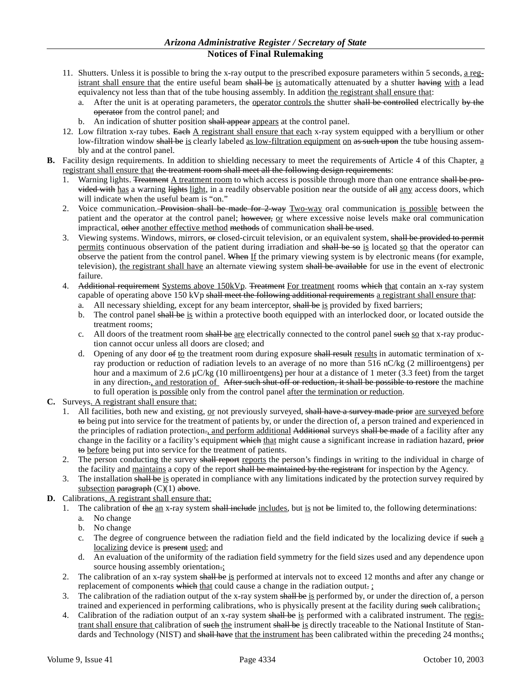- 11. Shutters. Unless it is possible to bring the x-ray output to the prescribed exposure parameters within 5 seconds, a registrant shall ensure that the entire useful beam shall be is automatically attenuated by a shutter having with a lead equivalency not less than that of the tube housing assembly. In addition the registrant shall ensure that:
	- a. After the unit is at operating parameters, the operator controls the shutter shall be controlled electrically by the operator from the control panel; and
	- b. An indication of shutter position shall appear appears at the control panel.
- 12. Low filtration x-ray tubes. Each A registrant shall ensure that each x-ray system equipped with a beryllium or other low-filtration window shall be is clearly labeled as low-filtration equipment on as such upon the tube housing assembly and at the control panel.
- **B.** Facility design requirements. In addition to shielding necessary to meet the requirements of Article 4 of this Chapter, a registrant shall ensure that the treatment room shall meet all the following design requirements:
	- 1. Warning lights. Treatment A treatment room to which access is possible through more than one entrance shall be provided with has a warning lights light, in a readily observable position near the outside of all any access doors, which will indicate when the useful beam is "on."
	- 2. Voice communication. Provision shall be made for 2-way Two-way oral communication is possible between the patient and the operator at the control panel; however, or where excessive noise levels make oral communication impractical, other another effective method methods of communication shall be used.
	- 3. Viewing systems. Windows, mirrors, or closed-circuit television, or an equivalent system, shall be provided to permit permits continuous observation of the patient during irradiation and shall be so is located so that the operator can observe the patient from the control panel. When If the primary viewing system is by electronic means (for example, television), the registrant shall have an alternate viewing system shall be available for use in the event of electronic failure.
	- 4. Additional requirement Systems above 150kVp. Treatment For treatment rooms which that contain an x-ray system capable of operating above 150 kVp shall meet the following additional requirements a registrant shall ensure that:
		- a. All necessary shielding, except for any beam interceptor, shall be is provided by fixed barriers;
		- b. The control panel shall be is within a protective booth equipped with an interlocked door, or located outside the treatment rooms;
		- c. All doors of the treatment room shall be are electrically connected to the control panel such so that x-ray production cannot occur unless all doors are closed; and
		- d. Opening of any door of to the treatment room during exposure shall result results in automatic termination of xray production or reduction of radiation levels to an average of no more than 516 nC/kg (2 milliroentgens) per hour and a maximum of 2.6  $\mu$ C/kg (10 milliroentgens) per hour at a distance of 1 meter (3.3 feet) from the target in any direction<sub>.</sub>, and restoration of After such shut-off or reduction, it shall be possible to restore the machine to full operation is possible only from the control panel after the termination or reduction.
- **C.** Surveys. A registrant shall ensure that:
	- 1. All facilities, both new and existing, or not previously surveyed, shall have a survey made prior are surveyed before to being put into service for the treatment of patients by, or under the direction of, a person trained and experienced in the principles of radiation protection., and perform additional Additional surveys shall be made of a facility after any change in the facility or a facility's equipment which that might cause a significant increase in radiation hazard, prior to before being put into service for the treatment of patients.
	- 2. The person conducting the survey shall report reports the person's findings in writing to the individual in charge of the facility and maintains a copy of the report shall be maintained by the registrant for inspection by the Agency.
	- The installation shall be is operated in compliance with any limitations indicated by the protection survey required by subsection paragraph  $(C)(1)$  above.
- **D.** Calibrations. A registrant shall ensure that:
	- 1. The calibration of the  $\Delta m$  x-ray system shall include includes, but is not be limited to, the following determinations:
		- a. No change
		- b. No change
		- c. The degree of congruence between the radiation field and the field indicated by the localizing device if such a localizing device is present used; and
		- d. An evaluation of the uniformity of the radiation field symmetry for the field sizes used and any dependence upon source housing assembly orientation.;
	- 2. The calibration of an x-ray system shall be is performed at intervals not to exceed 12 months and after any change or replacement of components which that could cause a change in the radiation output.
	- 3. The calibration of the radiation output of the x-ray system shall be is performed by, or under the direction of, a person trained and experienced in performing calibrations, who is physically present at the facility during such calibration.;
	- 4. Calibration of the radiation output of an x-ray system shall be is performed with a calibrated instrument. The registrant shall ensure that calibration of such the instrument shall be is directly traceable to the National Institute of Standards and Technology (NIST) and shall have that the instrument has been calibrated within the preceding 24 months.;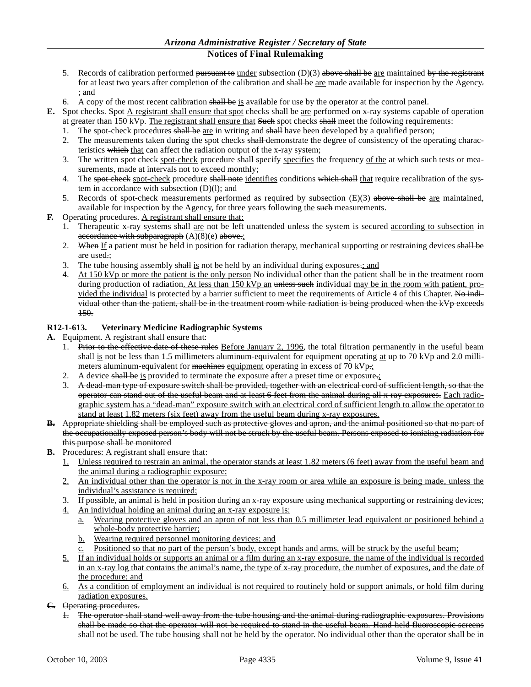- 5. Records of calibration performed pursuant to under subsection  $(D)(3)$  above shall be are maintained by the registrant for at least two years after completion of the calibration and shall be are made available for inspection by the Agency. ; and
- 6. A copy of the most recent calibration shall be is available for use by the operator at the control panel.
- **E.** Spot checks. Spot A registrant shall ensure that spot checks shall be are performed on x-ray systems capable of operation at greater than 150 kVp. The registrant shall ensure that Such spot checks shall meet the following requirements:
	- 1. The spot-check procedures shall be are in writing and shall have been developed by a qualified person;
	- 2. The measurements taken during the spot checks shall-demonstrate the degree of consistency of the operating characteristics which that can affect the radiation output of the x-ray system;
	- 3. The written spot-check spot-check procedure shall specify specifies the frequency of the at which such tests or measurements, made at intervals not to exceed monthly;
	- 4. The spot-check spot-check procedure shall note identifies conditions which shall that require recalibration of the system in accordance with subsection (D)(l); and
	- 5. Records of spot-check measurements performed as required by subsection  $(E)(3)$  above shall be are maintained, available for inspection by the Agency, for three years following the such measurements.
- **F.** Operating procedures. A registrant shall ensure that:
	- 1. Therapeutic x-ray systems shall are not be left unattended unless the system is secured according to subsection in accordance with subparagraph  $(A)(8)(e)$  above.;
	- 2. When If a patient must be held in position for radiation therapy, mechanical supporting or restraining devices shall be are used.;
	- 3. The tube housing assembly shall is not be held by an individual during exposures. $:$  and
	- 4. At 150 kVp or more the patient is the only person No individual other than the patient shall be in the treatment room during production of radiation. At less than 150 kVp an unless such individual may be in the room with patient, provided the individual is protected by a barrier sufficient to meet the requirements of Article 4 of this Chapter. No individual other than the patient, shall be in the treatment room while radiation is being produced when the kVp exceeds 150.

### **R12-1-613. Veterinary Medicine Radiographic Systems**

- **A.** Equipment. A registrant shall ensure that:
	- 1. Prior to the effective date of these rules Before January 2, 1996, the total filtration permanently in the useful beam shall is not be less than 1.5 millimeters aluminum-equivalent for equipment operating at up to 70 kVp and 2.0 millimeters aluminum-equivalent for machines equipment operating in excess of 70 kVp.;
	- 2. A device shall be is provided to terminate the exposure after a preset time or exposure.
	- 3. A dead-man type of exposure switch shall be provided, together with an electrical cord of sufficient length, so that the operator can stand out of the useful beam and at least 6 feet from the animal during all x-ray exposures. Each radiographic system has a "dead-man" exposure switch with an electrical cord of sufficient length to allow the operator to stand at least 1.82 meters (six feet) away from the useful beam during x-ray exposures.
- **B.** Appropriate shielding shall be employed such as protective gloves and apron, and the animal positioned so that no part of the occupationally exposed person's body will not be struck by the useful beam. Persons exposed to ionizing radiation for this purpose shall be monitored
- **B.** Procedures: A registrant shall ensure that:
	- 1. Unless required to restrain an animal, the operator stands at least 1.82 meters (6 feet) away from the useful beam and the animal during a radiographic exposure;
	- 2. An individual other than the operator is not in the x-ray room or area while an exposure is being made, unless the individual's assistance is required;
	- 3. If possible, an animal is held in position during an x-ray exposure using mechanical supporting or restraining devices;
	- 4. An individual holding an animal during an x-ray exposure is:
		- a. Wearing protective gloves and an apron of not less than 0.5 millimeter lead equivalent or positioned behind a whole-body protective barrier;
		- b. Wearing required personnel monitoring devices; and
		- c. Positioned so that no part of the person's body, except hands and arms, will be struck by the useful beam;
	- 5. If an individual holds or supports an animal or a film during an x-ray exposure, the name of the individual is recorded in an x-ray log that contains the animal's name, the type of x-ray procedure, the number of exposures, and the date of the procedure; and
	- 6. As a condition of employment an individual is not required to routinely hold or support animals, or hold film during radiation exposures.
- **C.** Operating procedures.
	- 1. The operator shall stand well away from the tube housing and the animal during radiographic exposures. Provisions shall be made so that the operator will not be required to stand in the useful beam. Hand-held fluoroscopic screens shall not be used. The tube housing shall not be held by the operator. No individual other than the operator shall be in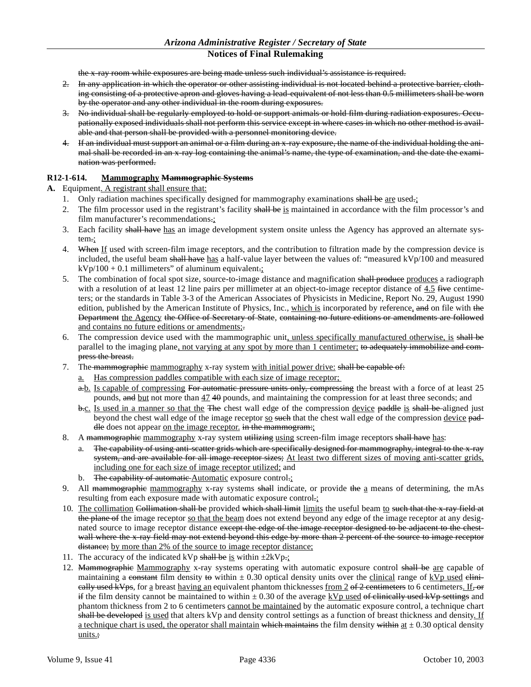the x-ray room while exposures are being made unless such individual's assistance is required.

- 2. In any application in which the operator or other assisting individual is not located behind a protective barrier, clothing consisting of a protective apron and gloves having a lead-equivalent of not less than 0.5 millimeters shall be worn by the operator and any other individual in the room during exposures.
- 3. No individual shall be regularly employed to hold or support animals or hold film during radiation exposures. Occupationally exposed individuals shall not perform this service except in where cases in which no other method is available and that person shall be provided with a personnel monitoring device.
- 4. If an individual must support an animal or a film during an x-ray exposure, the name of the individual holding the animal shall be recorded in an x-ray log containing the animal's name, the type of examination, and the date the examination was performed.

### **R12-1-614. Mammography Mammographic Systems**

**A.** Equipment. A registrant shall ensure that:

- 1. Only radiation machines specifically designed for mammography examinations shall be are used.;
- 2. The film processor used in the registrant's facility shall be is maintained in accordance with the film processor's and film manufacturer's recommendations.;
- 3. Each facility shall have has an image development system onsite unless the Agency has approved an alternate system.;
- 4. When If used with screen-film image receptors, and the contribution to filtration made by the compression device is included, the useful beam shall have has a half-value layer between the values of: "measured kVp/100 and measured  $kVp/100 + 0.1$  millimeters" of aluminum equivalent.;
- 5. The combination of focal spot size, source-to-image distance and magnification shall produce produces a radiograph with a resolution of at least 12 line pairs per millimeter at an object-to-image receptor distance of 4.5  $\frac{1}{2}$  five centimeters; or the standards in Table 3-3 of the American Associates of Physicists in Medicine, Report No. 29, August 1990 edition, published by the American Institute of Physics, Inc., which is incorporated by reference, and on file with the Department the Agency the Office of Secretary of State, containing no future editions or amendments are followed and contains no future editions or amendments;.
- 6. The compression device used with the mammographic unit, unless specifically manufactured otherwise, is shall be parallel to the imaging plane, not varying at any spot by more than 1 centimeter; to adequately immobilize and compress the breast.
- 7. The mammographic mammography x-ray system with initial power drive: shall be capable of:
	- a. Has compression paddles compatible with each size of image receptor;
	- a.b. Is capable of compressing For automatic pressure units only, compressing the breast with a force of at least 25 pounds, and but not more than  $47.40$  pounds, and maintaining the compression for at least three seconds; and
	- b.c. Is used in a manner so that the The chest wall edge of the compression device paddle is shall be aligned just beyond the chest wall edge of the image receptor so such that the chest wall edge of the compression device paddle does not appear on the image receptor. in the mammogram:
- 8. A mammographie mammography x-ray system utilizing using screen-film image receptors shall have has:
	- a. The capability of using anti-scatter grids which are specifically designed for mammography, integral to the x-ray system, and are available for all image receptor sizes; At least two different sizes of moving anti-scatter grids, including one for each size of image receptor utilized; and
	- b. The capability of automatic Automatic exposure control.:
- 9. All mammographie mammography x-ray systems shall indicate, or provide the a means of determining, the mAs resulting from each exposure made with automatic exposure control.;
- 10. The collimation Collimation shall be provided which shall limit limits the useful beam to such that the x-ray field at the plane of the image receptor so that the beam does not extend beyond any edge of the image receptor at any designated source to image receptor distance except the edge of the image receptor designed to be adjacent to the chestwall where the x-ray field may not extend beyond this edge by more than 2 percent of the source to image receptor distance; by more than 2% of the source to image receptor distance;
- 11. The accuracy of the indicated kVp shall be is within  $\pm 2kVp$ .
- 12. Mammographie Mammography x-ray systems operating with automatic exposure control shall be are capable of maintaining a constant film density to within  $\pm$  0.30 optical density units over the clinical range of kVp used elinieally used kVps, for a breast having an equivalent phantom thicknesses from 2 of 2 centimeters to 6 centimeters. If, or if the film density cannot be maintained to within  $\pm$  0.30 of the average kVp used of clinically used kVp settings and phantom thickness from 2 to 6 centimeters cannot be maintained by the automatic exposure control, a technique chart shall be developed is used that alters kVp and density control settings as a function of breast thickness and density. If a technique chart is used, the operator shall maintain which maintains the film density within at  $\pm$  0.30 optical density units.;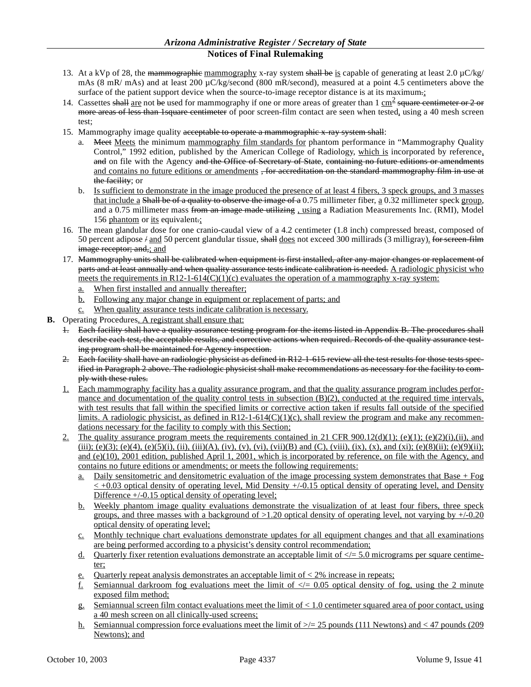- 13. At a kVp of 28, the mammographic mammography x-ray system shall be is capable of generating at least  $2.0 \mu C/kg$ mAs (8 mR/ mAs) and at least 200  $\mu$ C/kg/second (800 mR/second), measured at a point 4.5 centimeters above the surface of the patient support device when the source-to-image receptor distance is at its maximum.;
- 14. Cassettes shall are not be used for mammography if one or more areas of greater than  $1 \text{ cm}^2$  square centimeter or 2 or more areas of less than 1 square centimeter of poor screen-film contact are seen when tested, using a 40 mesh screen test;
- 15. Mammography image quality acceptable to operate a mammographic x-ray system shall:
	- a. Meet Meets the minimum mammography film standards for phantom performance in "Mammography Quality" Control," 1992 edition, published by the American College of Radiology, which is incorporated by reference, and on file with the Agency and the Office of Secretary of State, containing no future editions or amendments and contains no future editions or amendments, for accreditation on the standard mammography film in use at the facility; or
	- b. Is sufficient to demonstrate in the image produced the presence of at least 4 fibers, 3 speck groups, and 3 masses that include a Shall be of a quality to observe the image of a 0.75 millimeter fiber, a 0.32 millimeter speck group, and a 0.75 millimeter mass from an image made utilizing, using a Radiation Measurements Inc. (RMI), Model 156 phantom or its equivalent.;
- 16. The mean glandular dose for one cranio-caudal view of a 4.2 centimeter (1.8 inch) compressed breast, composed of 50 percent adipose  $\frac{1}{4}$  and 50 percent glandular tissue, shall does not exceed 300 millirads (3 milligray). for sereen-film image receptor; and,; and
- 17. Mammography units shall be calibrated when equipment is first installed, after any major changes or replacement of parts and at least annually and when quality assurance tests indicate calibration is needed. A radiologic physicist who meets the requirements in R12-1-614(C)(1)(c) evaluates the operation of a mammography x-ray system:
	- a. When first installed and annually thereafter;
	- b. Following any major change in equipment or replacement of parts; and
	- c. When quality assurance tests indicate calibration is necessary.
- **B.** Operating Procedures. A registrant shall ensure that:
	- 1. Each facility shall have a quality assurance testing program for the items listed in Appendix B. The procedures shall describe each test, the acceptable results, and corrective actions when required. Records of the quality assurance testing program shall be maintained for Agency inspection.
	- 2. Each facility shall have an radiologic physicist as defined in R12-1-615 review all the test results for those tests specified in Paragraph 2 above. The radiologic physicist shall make recommendations as necessary for the facility to comply with these rules.
	- 1. Each mammography facility has a quality assurance program, and that the quality assurance program includes performance and documentation of the quality control tests in subsection  $(B)(2)$ , conducted at the required time intervals, with test results that fall within the specified limits or corrective action taken if results fall outside of the specified limits. A radiologic physicist, as defined in  $R12-1-614(C)(1)(c)$ , shall review the program and make any recommendations necessary for the facility to comply with this Section;
	- 2. The quality assurance program meets the requirements contained in 21 CFR 900.12(d)(1); (e)(1); (e)(2)(i),(ii), and (iii); (e)(3); (e)(4), (e)(5)(i), (ii), (iii)(A), (iv), (vi), (vii)(B) and (C), (viii), (ix), (x), and (xi); (e)(8)(ii); (e)(9)(ii); and (e)(10), 2001 edition, published April 1, 2001, which is incorporated by reference, on file with the Agency, and contains no future editions or amendments; or meets the following requirements:
		- a. Daily sensitometric and densitometric evaluation of the image processing system demonstrates that Base + Fog  $\leq$  +0.03 optical density of operating level, Mid Density +/-0.15 optical density of operating level, and Density Difference  $+/-0.15$  optical density of operating level;
		- b. Weekly phantom image quality evaluations demonstrate the visualization of at least four fibers, three speck groups, and three masses with a background of  $>1.20$  optical density of operating level, not varying by  $+/-0.20$ optical density of operating level;
		- c. Monthly technique chart evaluations demonstrate updates for all equipment changes and that all examinations are being performed according to a physicist's density control recommendation;
		- d. Quarterly fixer retention evaluations demonstrate an acceptable limit of  $\langle \rangle = 5.0$  micrograms per square centimeter;
		- e. Quarterly repeat analysis demonstrates an acceptable limit of  $\lt 2\%$  increase in repeats;
		- f. Semiannual darkroom fog evaluations meet the limit of  $\ll$  = 0.05 optical density of fog, using the 2 minute exposed film method;
		- g. Semiannual screen film contact evaluations meet the limit of < 1.0 centimeter squared area of poor contact, using a 40 mesh screen on all clinically-used screens;
		- h. Semiannual compression force evaluations meet the limit of  $\geq$  25 pounds (111 Newtons) and < 47 pounds (209 Newtons); and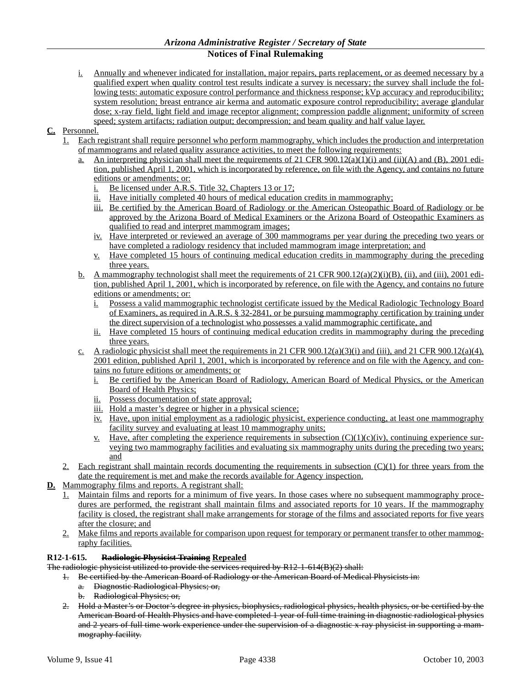i. Annually and whenever indicated for installation, major repairs, parts replacement, or as deemed necessary by a qualified expert when quality control test results indicate a survey is necessary; the survey shall include the following tests: automatic exposure control performance and thickness response; kVp accuracy and reproducibility; system resolution; breast entrance air kerma and automatic exposure control reproducibility; average glandular dose; x-ray field, light field and image receptor alignment; compression paddle alignment; uniformity of screen speed; system artifacts; radiation output; decompression; and beam quality and half value layer.

# **C.** Personnel.

- 1. Each registrant shall require personnel who perform mammography, which includes the production and interpretation of mammograms and related quality assurance activities, to meet the following requirements:
	- a. An interpreting physician shall meet the requirements of 21 CFR  $900.12(a)(1)(i)$  and (ii)(A) and (B), 2001 edition, published April 1, 2001, which is incorporated by reference, on file with the Agency, and contains no future editions or amendments; or:
		- i. Be licensed under A.R.S. Title 32, Chapters 13 or 17;
		- ii. Have initially completed 40 hours of medical education credits in mammography;
		- iii. Be certified by the American Board of Radiology or the American Osteopathic Board of Radiology or be approved by the Arizona Board of Medical Examiners or the Arizona Board of Osteopathic Examiners as qualified to read and interpret mammogram images;
		- iv. Have interpreted or reviewed an average of 300 mammograms per year during the preceding two years or have completed a radiology residency that included mammogram image interpretation; and
		- v. Have completed 15 hours of continuing medical education credits in mammography during the preceding three years.
	- b. A mammography technologist shall meet the requirements of 21 CFR 900.12(a)(2)(i)(B), (ii), and (iii), 2001 edition, published April 1, 2001, which is incorporated by reference, on file with the Agency, and contains no future editions or amendments; or:
		- i. Possess a valid mammographic technologist certificate issued by the Medical Radiologic Technology Board of Examiners, as required in A.R.S. § 32-2841, or be pursuing mammography certification by training under the direct supervision of a technologist who possesses a valid mammographic certificate, and
		- ii. Have completed 15 hours of continuing medical education credits in mammography during the preceding three years.
	- c. A radiologic physicist shall meet the requirements in 21 CFR 900.12(a)(3)(i) and (iii), and 21 CFR 900.12(a)(4), 2001 edition, published April 1, 2001, which is incorporated by reference and on file with the Agency, and contains no future editions or amendments; or
		- i. Be certified by the American Board of Radiology, American Board of Medical Physics, or the American Board of Health Physics;
		- ii. Possess documentation of state approval;
		- iii. Hold a master's degree or higher in a physical science;
		- iv. Have, upon initial employment as a radiologic physicist, experience conducting, at least one mammography facility survey and evaluating at least 10 mammography units;
		- <u>v.</u> Have, after completing the experience requirements in subsection  $(C)(1)(c)(iv)$ , continuing experience surveying two mammography facilities and evaluating six mammography units during the preceding two years; and
- 2. Each registrant shall maintain records documenting the requirements in subsection  $(C)(1)$  for three years from the date the requirement is met and make the records available for Agency inspection.

# **D.** Mammography films and reports. A registrant shall:

- 1. Maintain films and reports for a minimum of five years. In those cases where no subsequent mammography procedures are performed, the registrant shall maintain films and associated reports for 10 years. If the mammography facility is closed, the registrant shall make arrangements for storage of the films and associated reports for five years after the closure; and
- 2. Make films and reports available for comparison upon request for temporary or permanent transfer to other mammography facilities.

#### **R12-1-615. Radiologic Physicist Training Repealed**

The radiologic physicist utilized to provide the services required by R12-1-614(B)(2) shall:

1. Be certified by the American Board of Radiology or the American Board of Medical Physicists in:

- a. Diagnostic Radiological Physics; or,
- b. Radiological Physics; or,
- 2. Hold a Master's or Doctor's degree in physics, biophysics, radiological physics, health physics, or be certified by the American Board of Health Physics and have completed 1 year of full time training in diagnostic radiological physics and 2 years of full time work experience under the supervision of a diagnostic x-ray physicist in supporting a mammography facility.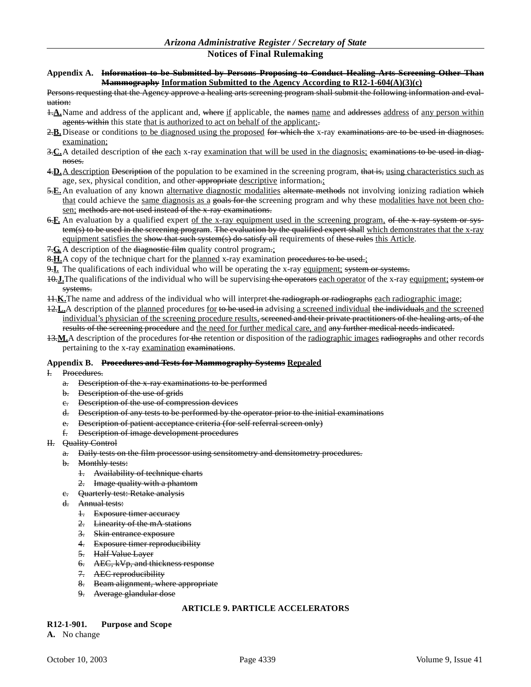#### **Appendix A. Information to be Submitted by Persons Proposing to Conduct Healing Arts Screening Other Than Mammography Information Submitted to the Agency According to R12-1-604(A)(3)(c)**

Persons requesting that the Agency approve a healing arts screening program shall submit the following information and evaluation:

- $\pm \underline{\mathbf{A}}$ . Name and address of the applicant and, where if applicable, the names name and addresses address of any person within agents within this state that is authorized to act on behalf of the applicant;
- 2.**B.** Disease or conditions to be diagnosed using the proposed for which the x-ray examinations are to be used in diagnoses. examination;
- 3.**C.**A detailed description of the each x-ray examination that will be used in the diagnosis; examinations to be used in diagnoses.
- 4. D. A description Description of the population to be examined in the screening program, that is, using characteristics such as age, sex, physical condition, and other appropriate descriptive information.:
- 5. E. An evaluation of any known alternative diagnostic modalities alternate methods not involving ionizing radiation which that could achieve the same diagnosis as a goals for the screening program and why these modalities have not been chosen; methods are not used instead of the x-ray examinations.
- 6.**F.** An evaluation by a qualified expert of the x-ray equipment used in the screening program, of the x-ray system or system(s) to be used in the sereening program. The evaluation by the qualified expert shall which demonstrates that the x-ray equipment satisfies the show that such system(s) do satisfy all requirements of these rules this Article.
- 7.C. A description of the <del>diagnostic film</del> quality control program.;
- 8. H. A copy of the technique chart for the planned x-ray examination procedures to be used.;
- 9.**I.** The qualifications of each individual who will be operating the x-ray equipment; system or systems.
- 10.**J.**The qualifications of the individual who will be supervising the operators each operator of the x-ray equipment; system or systems.
- 11.**K.**The name and address of the individual who will interpret the radiograph or radiographs each radiographic image;
- 12. L. A description of the planned procedures for to be used in advising a screened individual the individuals and the screened individual's physician of the screening procedure results, sereened and their private practitioners of the healing arts, of the results of the screening procedure and the need for further medical care, and any further medical needs indicated.
- 13.**M.**A description of the procedures for the retention or disposition of the radiographic images radiographs and other records pertaining to the x-ray examination examinations.

#### **Appendix B. Procedures and Tests for Mammography Systems Repealed**

- I. Procedures.
	- a. Description of the x-ray examinations to be performed
	- b. Description of the use of grids
	- c. Description of the use of compression devices
	- d. Description of any tests to be performed by the operator prior to the initial examinations
	- e. Description of patient acceptance criteria (for self referral screen only)
	- f. Description of image development procedures
- II. Quality Control
	- a. Daily tests on the film processor using sensitometry and densitometry procedures.
	- b. Monthly tests:
		- 1. Availability of technique charts
		- 2. Image quality with a phantom
	- c. Quarterly test: Retake analysis
	- d. Annual tests:
		- 1. Exposure timer accuracy
		- 2. Linearity of the mA stations
		- 3. Skin entrance exposure
		- 4. Exposure timer reproducibility
		- 5. Half Value Layer
		- 6. AEC, kVp, and thickness response
		- 7. AEC reproducibility
		- 8. Beam alignment, where appropriate
		- 9. Average glandular dose

# **ARTICLE 9. PARTICLE ACCELERATORS**

#### **R12-1-901. Purpose and Scope**

**A.** No change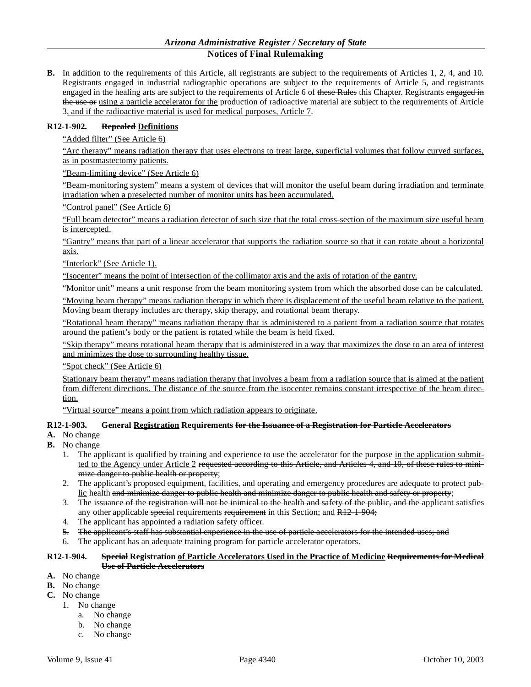**B.** In addition to the requirements of this Article, all registrants are subject to the requirements of Articles 1, 2, 4, and 10. Registrants engaged in industrial radiographic operations are subject to the requirements of Article 5, and registrants engaged in the healing arts are subject to the requirements of Article 6 of these Rules this Chapter. Registrants engaged in the use or using a particle accelerator for the production of radioactive material are subject to the requirements of Article 3, and if the radioactive material is used for medical purposes, Article 7.

### **R12-1-902. Repealed Definitions**

"Added filter" (See Article 6)

"Arc therapy" means radiation therapy that uses electrons to treat large, superficial volumes that follow curved surfaces, as in postmastectomy patients.

"Beam-limiting device" (See Article 6)

"Beam-monitoring system" means a system of devices that will monitor the useful beam during irradiation and terminate irradiation when a preselected number of monitor units has been accumulated.

"Control panel" (See Article 6)

"Full beam detector" means a radiation detector of such size that the total cross-section of the maximum size useful beam is intercepted.

"Gantry" means that part of a linear accelerator that supports the radiation source so that it can rotate about a horizontal axis.

"Interlock" (See Article 1).

"Isocenter" means the point of intersection of the collimator axis and the axis of rotation of the gantry.

"Monitor unit" means a unit response from the beam monitoring system from which the absorbed dose can be calculated.

"Moving beam therapy" means radiation therapy in which there is displacement of the useful beam relative to the patient. Moving beam therapy includes arc therapy, skip therapy, and rotational beam therapy.

"Rotational beam therapy" means radiation therapy that is administered to a patient from a radiation source that rotates around the patient's body or the patient is rotated while the beam is held fixed.

"Skip therapy" means rotational beam therapy that is administered in a way that maximizes the dose to an area of interest and minimizes the dose to surrounding healthy tissue.

"Spot check" (See Article 6)

Stationary beam therapy" means radiation therapy that involves a beam from a radiation source that is aimed at the patient from different directions. The distance of the source from the isocenter remains constant irrespective of the beam direction.

"Virtual source" means a point from which radiation appears to originate.

### **R12-1-903. General Registration Requirements for the Issuance of a Registration for Particle Accelerators**

- **A.** No change
- **B.** No change
	- 1. The applicant is qualified by training and experience to use the accelerator for the purpose in the application submitted to the Agency under Article 2 requested according to this Article, and Articles 4, and 10, of these rules to minimize danger to public health or property;
	- 2. The applicant's proposed equipment, facilities, and operating and emergency procedures are adequate to protect public health and minimize danger to public health and minimize danger to public health and safety or property;
	- 3. The issuance of the registration will not be inimical to the health and safety of the public, and the applicant satisfies any other applicable special requirements requirement in this Section; and R12-1-904;
	- 4. The applicant has appointed a radiation safety officer.
	- 5. The applicant's staff has substantial experience in the use of particle accelerators for the intended uses; and
	- 6. The applicant has an adequate training program for particle accelerator operators.

#### **R12-1-904. Special Registration of Particle Accelerators Used in the Practice of Medicine Requirements for Medical Use of Particle Accelerators**

- **A.** No change
- **B.** No change
- **C.** No change
	- 1. No change
		- a. No change
		- b. No change
		- c. No change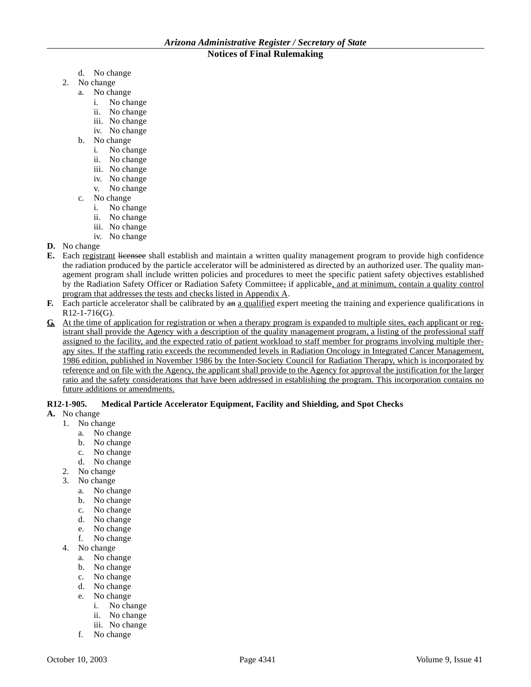- d. No change
- 2. No change
	- a. No change
		- i. No change
		- ii. No change
		- iii. No change
		- iv. No change
	- b. No change
		- i. No change
		- ii. No change
		- iii. No change
		- iv. No change
		- v. No change
	- c. No change
		- i. No change
		- ii. No change
		- iii. No change
		- iv. No change
- **D.** No change
- **E.** Each registrant licensee shall establish and maintain a written quality management program to provide high confidence the radiation produced by the particle accelerator will be administered as directed by an authorized user. The quality management program shall include written policies and procedures to meet the specific patient safety objectives established by the Radiation Safety Officer or Radiation Safety Committee; if applicable, and at minimum, contain a quality control program that addresses the tests and checks listed in Appendix A.
- **F.** Each particle accelerator shall be calibrated by  $\theta$  and qualified expert meeting the training and experience qualifications in  $R12 - 1 - 716$ (G).
- **G.** At the time of application for registration or when a therapy program is expanded to multiple sites, each applicant or registrant shall provide the Agency with a description of the quality management program, a listing of the professional staff assigned to the facility, and the expected ratio of patient workload to staff member for programs involving multiple therapy sites. If the staffing ratio exceeds the recommended levels in Radiation Oncology in Integrated Cancer Management, 1986 edition, published in November 1986 by the Inter-Society Council for Radiation Therapy, which is incorporated by reference and on file with the Agency, the applicant shall provide to the Agency for approval the justification for the larger ratio and the safety considerations that have been addressed in establishing the program. This incorporation contains no future additions or amendments.

# **R12-1-905. Medical Particle Accelerator Equipment, Facility and Shielding, and Spot Checks**

- **A.** No change
	- 1. No change
		- a. No change
		- b. No change
		- c. No change
		- d. No change
	- 2. No change
	- 3. No change
		- a. No change
		- b. No change
		- c. No change
		- d. No change
		- e. No change
		- f. No change
	- 4. No change
		- a. No change
		- b. No change
		- c. No change
		- d. No change
		- e. No change
			- i. No change
			- ii. No change
			- iii. No change
		- f. No change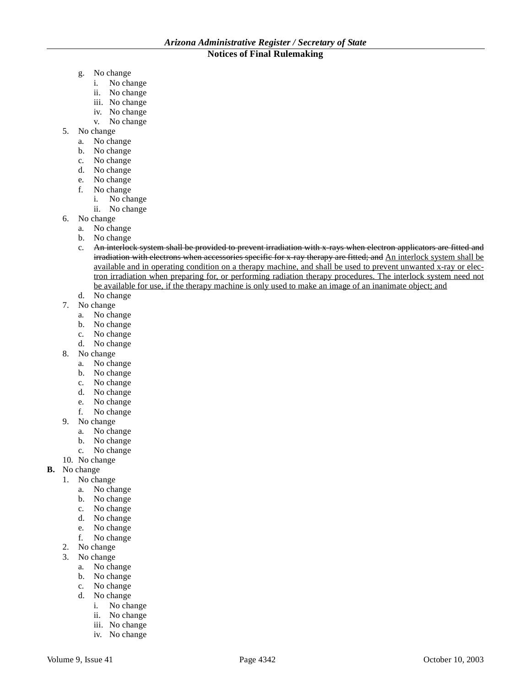- g. No change
	- i. No change
	- ii. No change
	- iii. No change
	- iv. No change
	- v. No change
- 5. No change
	- a. No change
	- b. No change
	- c. No change
	- d. No change
	- e. No change
	- f. No change
		- i. No change
		- ii. No change
- 6. No change
	- a. No change
	- b. No change
	- c. An interlock system shall be provided to prevent irradiation with x-rays when electron applicators are fitted and irradiation with electrons when accessories specific for x-ray therapy are fitted; and An interlock system shall be available and in operating condition on a therapy machine, and shall be used to prevent unwanted x-ray or electron irradiation when preparing for, or performing radiation therapy procedures. The interlock system need not be available for use, if the therapy machine is only used to make an image of an inanimate object; and
	- d. No change
- 7. No change
	- a. No change
	- b. No change
	- c. No change
	- d. No change
- 8. No change
	- a. No change
	- b. No change
	- c. No change
	- d. No change
	- e. No change
	- f. No change
- 9. No change
	- a. No change
	- b. No change
	- c. No change
- 10. No change
- **B.** No change
	- 1. No change
		- a. No change
		- b. No change
		- c. No change
		- d. No change
		- e. No change
		- f. No change
	- 2. No change
	- 3. No change
		- a. No change
		- b. No change
		- c. No change
		- d. No change
			- i. No change
			- ii. No change
			- iii. No change
			- iv. No change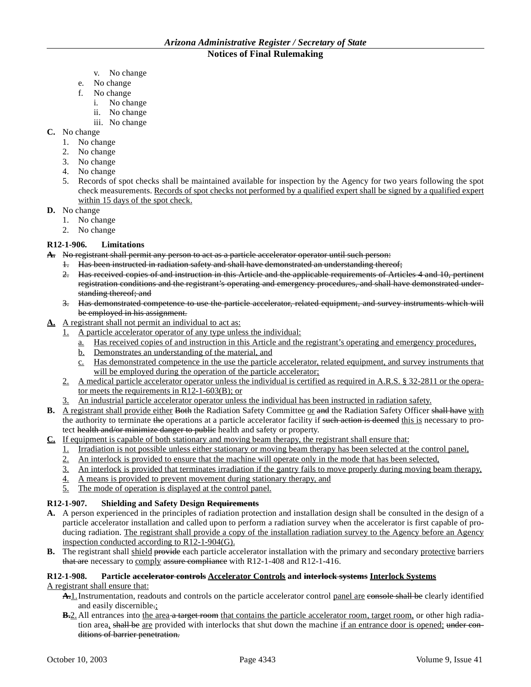- v. No change
- e. No change
- f. No change
	- i. No change
	- ii. No change
	- iii. No change
- **C.** No change
	- 1. No change
	- 2. No change
	- 3. No change
	- 4. No change
	- 5. Records of spot checks shall be maintained available for inspection by the Agency for two years following the spot check measurements. Records of spot checks not performed by a qualified expert shall be signed by a qualified expert within 15 days of the spot check.
- **D.** No change
	- 1. No change
	- 2. No change

# **R12-1-906. Limitations**

**A.** No registrant shall permit any person to act as a particle accelerator operator until such person:

- 1. Has been instructed in radiation safety and shall have demonstrated an understanding thereof;
- 2. Has received copies of and instruction in this Article and the applicable requirements of Articles 4 and 10, pertinent registration conditions and the registrant's operating and emergency procedures, and shall have demonstrated understanding thereof; and
- 3. Has demonstrated competence to use the particle accelerator, related equipment, and survey instruments which will be employed in his assignment.
- **A.** A registrant shall not permit an individual to act as:
	- 1. A particle accelerator operator of any type unless the individual:
		- a. Has received copies of and instruction in this Article and the registrant's operating and emergency procedures,
		- b. Demonstrates an understanding of the material, and
		- c. Has demonstrated competence in the use the particle accelerator, related equipment, and survey instruments that will be employed during the operation of the particle accelerator;
	- 2. A medical particle accelerator operator unless the individual is certified as required in A.R.S. § 32-2811 or the operator meets the requirements in R12-1-603(B); or
	- 3. An industrial particle accelerator operator unless the individual has been instructed in radiation safety.
- **B.** A registrant shall provide either Both the Radiation Safety Committee or and the Radiation Safety Officer shall have with the authority to terminate the operations at a particle accelerator facility if such action is deemed this is necessary to protect health and/or minimize danger to public health and safety or property.
- **C.** If equipment is capable of both stationary and moving beam therapy, the registrant shall ensure that:
	- 1. Irradiation is not possible unless either stationary or moving beam therapy has been selected at the control panel,
	- 2. An interlock is provided to ensure that the machine will operate only in the mode that has been selected,
	- 3. An interlock is provided that terminates irradiation if the gantry fails to move properly during moving beam therapy,
	- 4. A means is provided to prevent movement during stationary therapy, and
	- 5. The mode of operation is displayed at the control panel.

# **R12-1-907. Shielding and Safety Design Requirements**

- **A.** A person experienced in the principles of radiation protection and installation design shall be consulted in the design of a particle accelerator installation and called upon to perform a radiation survey when the accelerator is first capable of producing radiation. The registrant shall provide a copy of the installation radiation survey to the Agency before an Agency inspection conducted according to R12-1-904(G).
- **B.** The registrant shall shield provide each particle accelerator installation with the primary and secondary protective barriers that are necessary to comply assure compliance with R12-1-408 and R12-1-416.

# **R12-1-908. Particle accelerator controls Accelerator Controls and interlock systems Interlock Systems**

A registrant shall ensure that:

- A. 1. Instrumentation, readouts and controls on the particle accelerator control panel are console shall be clearly identified and easily discernible.;
- **B.**2. All entrances into the area a target room that contains the particle accelerator room, target room, or other high radiation area, shall be are provided with interlocks that shut down the machine if an entrance door is opened; under conditions of barrier penetration.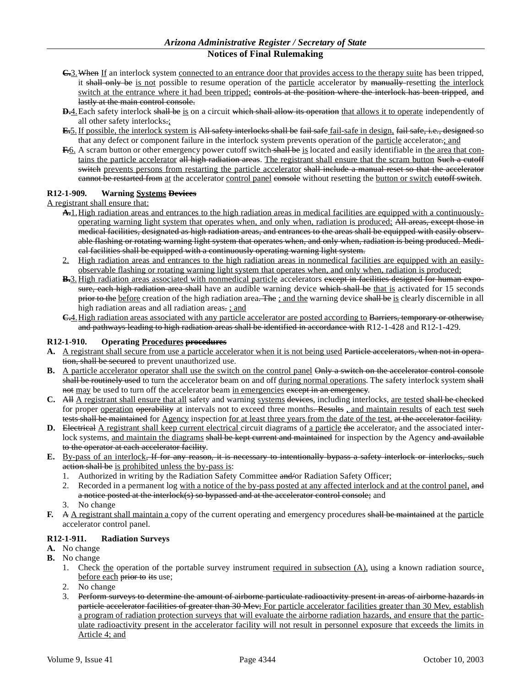- **C.**3.When If an interlock system connected to an entrance door that provides access to the therapy suite has been tripped, it shall only be is not possible to resume operation of the particle accelerator by manually-resetting the interlock switch at the entrance where it had been tripped; controls at the position where the interlock has been tripped, and lastly at the main control console.
- **D.**4. Each safety interlock shall be is on a circuit which shall allow its operation that allows it to operate independently of all other safety interlocks.;
- **E.**5. If possible, the interlock system is All safety interlocks shall be fail safe fail-safe in design, fail safe, i.e., designed so that any defect or component failure in the interlock system prevents operation of the particle accelerator.; and
- **F.**6. A scram button or other emergency power cutoff switch shall be is located and easily identifiable in the area that contains the particle accelerator all high radiation areas. The registrant shall ensure that the scram button Such a cutoff switch prevents persons from restarting the particle accelerator shall include a manual reset so that the accelerator eannot be restarted from at the accelerator control panel console without resetting the button or switch eutoff switch.

### **R12-1-909. Warning Systems Devices**

A registrant shall ensure that:

- **A.**1.High radiation areas and entrances to the high radiation areas in medical facilities are equipped with a continuouslyoperating warning light system that operates when, and only when, radiation is produced; All areas, except those in medical facilities, designated as high radiation areas, and entrances to the areas shall be equipped with easily observable flashing or rotating warning light system that operates when, and only when, radiation is being produced. Medical facilities shall be equipped with a continuously operating warning light system.
- 2. High radiation areas and entrances to the high radiation areas in nonmedical facilities are equipped with an easilyobservable flashing or rotating warning light system that operates when, and only when, radiation is produced;
- **B.**3. High radiation areas associated with nonmedical particle accelerators except in facilities designed for human exposure, each high radiation area shall have an audible warning device which shall be that is activated for 15 seconds prior to the before creation of the high radiation area. The ; and the warning device shall be is clearly discernible in all high radiation areas and all radiation areas. ; and
- **C.**4.High radiation areas associated with any particle accelerator are posted according to Barriers, temporary or otherwise, and pathways leading to high radiation areas shall be identified in accordance with R12-1-428 and R12-1-429.

#### **R12-1-910. Operating Procedures procedures**

- **A.** A registrant shall secure from use a particle accelerator when it is not being used Particle accelerators, when not in operation, shall be secured to prevent unauthorized use.
- **B.** A particle accelerator operator shall use the switch on the control panel Only a switch on the accelerator control console shall be routinely used to turn the accelerator beam on and off during normal operations. The safety interlock system shall not may be used to turn off the accelerator beam in emergencies except in an emergency.
- C. All A registrant shall ensure that all safety and warning systems devices, including interlocks, are tested shall be checked for proper <u>operation</u> operability at intervals not to exceed three months. Results , and maintain results of each test such tests shall be maintained for Agency inspection for at least three years from the date of the test, at the accelerator facility.
- **D.** Electrical A registrant shall keep current electrical circuit diagrams of a particle the accelerator, and the associated interlock systems, and maintain the diagrams shall be kept current and maintained for inspection by the Agency and available to the operator at each accelerator facility.
- **E.** By-pass of an interlock, If for any reason, it is necessary to intentionally bypass a safety interlock or interlocks, such action shall be is prohibited unless the by-pass is:
	- 1. Authorized in writing by the Radiation Safety Committee and/or Radiation Safety Officer;
	- 2. Recorded in a permanent log with a notice of the by-pass posted at any affected interlock and at the control panel, and a notice posted at the interlock(s) so bypassed and at the accelerator control console; and
	- 3. No change
- **F.** A <u>A registrant shall maintain a</u> copy of the current operating and emergency procedures shall be maintained at the particle accelerator control panel.

# **R12-1-911. Radiation Surveys**

- **A.** No change
- **B.** No change
	- 1. Check the operation of the portable survey instrument required in subsection (A), using a known radiation source, before each prior to its use;
	- 2. No change
	- 3. Perform surveys to determine the amount of airborne particulate radioactivity present in areas of airborne hazards in particle accelerator facilities of greater than 30 Mev; For particle accelerator facilities greater than 30 Mev, establish a program of radiation protection surveys that will evaluate the airborne radiation hazards, and ensure that the particulate radioactivity present in the accelerator facility will not result in personnel exposure that exceeds the limits in Article 4; and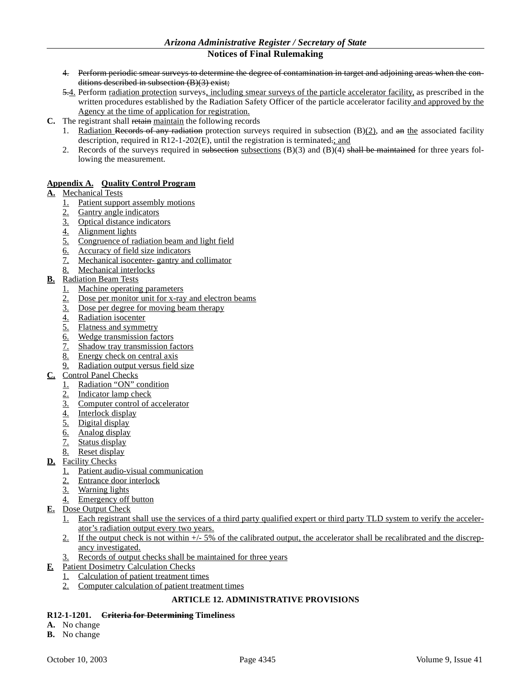- 4. Perform periodic smear surveys to determine the degree of contamination in target and adjoining areas when the conditions described in subsection (B)(3) exist;
- 5.4. Perform <u>radiation protection</u> surveys, including smear surveys of the particle accelerator facility, as prescribed in the written procedures established by the Radiation Safety Officer of the particle accelerator facility and approved by the Agency at the time of application for registration.
- **C.** The registrant shall retain maintain the following records
	- 1. Radiation Records of any radiation protection surveys required in subsection  $(B)(2)$ , and an the associated facility description, required in R12-1-202(E), until the registration is terminated.; and
	- 2. Records of the surveys required in subsections subsections  $(B)(3)$  and  $(B)(4)$  shall be maintained for three years following the measurement.

# **Appendix A. Quality Control Program**

# **A.** Mechanical Tests

- 1. Patient support assembly motions
- 2. Gantry angle indicators
- 3. Optical distance indicators
- 4. Alignment lights
- 5. Congruence of radiation beam and light field
- 6. Accuracy of field size indicators
- 7. Mechanical isocenter- gantry and collimator
- 8. Mechanical interlocks
- **B.** Radiation Beam Tests
	- 1. Machine operating parameters
	- 2. Dose per monitor unit for x-ray and electron beams
	- 3. Dose per degree for moving beam therapy
	- 4. Radiation isocenter
	- 5. Flatness and symmetry
	- 6. Wedge transmission factors
	- 7. Shadow tray transmission factors
	- 8. Energy check on central axis
	- 9. Radiation output versus field size
- **C.** Control Panel Checks
	- 1. Radiation "ON" condition
	- 2. Indicator lamp check
	- 3. Computer control of accelerator
	- 4. Interlock display
	- 5. Digital display
	- 6. Analog display
	- 7. Status display
	- 8. Reset display
- **D.** Facility Checks
	- 1. Patient audio-visual communication
	- 2. Entrance door interlock
	- 3. Warning lights
	- 4. Emergency off button
- **E.** Dose Output Check
	- 1. Each registrant shall use the services of a third party qualified expert or third party TLD system to verify the accelerator's radiation output every two years.
	- 2. If the output check is not within  $+/-5\%$  of the calibrated output, the accelerator shall be recalibrated and the discrepancy investigated.
	- 3. Records of output checks shall be maintained for three years
- **F.** Patient Dosimetry Calculation Checks
	- 1. Calculation of patient treatment times
	- 2. Computer calculation of patient treatment times

# **ARTICLE 12. ADMINISTRATIVE PROVISIONS**

# **R12-1-1201. Criteria for Determining Timeliness**

- **A.** No change
- **B.** No change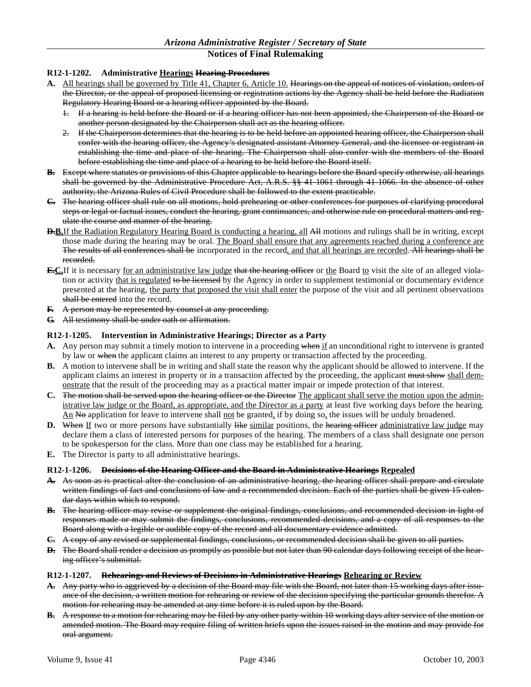### **R12-1-1202. Administrative Hearings Hearing Procedures**

- **A.** All hearings shall be governed by Title 41, Chapter 6, Article 10. Hearings on the appeal of notices of violation, orders of the Director, or the appeal of proposed licensing or registration actions by the Agency shall be held before the Radiation Regulatory Hearing Board or a hearing officer appointed by the Board.
	- 1. If a hearing is held before the Board or if a hearing officer has not been appointed, the Chairperson of the Board or another person designated by the Chairperson shall act as the hearing officer.
	- 2. If the Chairperson determines that the hearing is to be held before an appointed hearing officer, the Chairperson shall confer with the hearing officer, the Agency's designated assistant Attorney General, and the licensee or registrant in establishing the time and place of the hearing. The Chairperson shall also confer with the members of the Board before establishing the time and place of a hearing to be held before the Board itself.
- **B.** Except where statutes or provisions of this Chapter applicable to hearings before the Board specify otherwise, all hearings shall be governed by the Administrative Procedure Act, A.R.S. §§ 41-1061 through 41-1066. In the absence of other authority, the Arizona Rules of Civil Procedure shall be followed to the extent practicable.
- **C.** The hearing officer shall rule on all motions, hold prehearing or other conferences for purposes of clarifying procedural steps or legal or factual issues, conduct the hearing, grant continuances, and otherwise rule on procedural matters and regulate the course and manner of the hearing.
- **D.B.**If the Radiation Regulatory Hearing Board is conducting a hearing, all All motions and rulings shall be in writing, except those made during the hearing may be oral. The Board shall ensure that any agreements reached during a conference are The results of all conferences shall be incorporated in the record, and that all hearings are recorded. All hearings shall be recorded.
- **E.C.**If it is necessary for an administrative law judge that the hearing officer or the Board to visit the site of an alleged violation or activity that is regulated to be licensed by the Agency in order to supplement testimonial or documentary evidence presented at the hearing, the party that proposed the visit shall enter the purpose of the visit and all pertinent observations shall be entered into the record.
- **F.** A person may be represented by counsel at any proceeding.
- **G.** All testimony shall be under oath or affirmation.

#### **R12-1-1205. Intervention in Administrative Hearings; Director as a Party**

- **A.** Any person may submit a timely motion to intervene in a proceeding when if an unconditional right to intervene is granted by law or when the applicant claims an interest to any property or transaction affected by the proceeding.
- **B.** A motion to intervene shall be in writing and shall state the reason why the applicant should be allowed to intervene. If the applicant claims an interest in property or in a transaction affected by the proceeding, the applicant must show shall demonstrate that the result of the proceeding may as a practical matter impair or impede protection of that interest.
- **C.** The motion shall be served upon the hearing officer or the Director The applicant shall serve the motion upon the administrative law judge or the Board, as appropriate, and the Director as a party at least five working days before the hearing.  $\Delta n$  No application for leave to intervene shall not be granted, if by doing so, the issues will be unduly broadened.
- **D.** When If two or more persons have substantially like similar positions, the hearing officer administrative law judge may declare them a class of interested persons for purposes of the hearing. The members of a class shall designate one person to be spokesperson for the class. More than one class may be established for a hearing.
- **E.** The Director is party to all administrative hearings.

#### **R12-1-1206. Decisions of the Hearing Officer and the Board in Administrative Hearings Repealed**

- **A.** As soon as is practical after the conclusion of an administrative hearing, the hearing officer shall prepare and circulate written findings of fact and conclusions of law and a recommended decision. Each of the parties shall be given 15 calendar days within which to respond.
- **B.** The hearing officer may revise or supplement the original findings, conclusions, and recommended decision in light of responses made or may submit the findings, conclusions, recommended decisions, and a copy of all responses to the Board along with a legible or audible copy of the record and all documentary evidence admitted.
- **C.** A copy of any revised or supplemental findings, conclusions, or recommended decision shall be given to all parties.
- **D.** The Board shall render a decision as promptly as possible but not later than 90 calendar days following receipt of the hearing officer's submittal.

#### **R12-1-1207. Rehearings and Reviews of Decisions in Administrative Hearings Rehearing or Review**

- **A.** Any party who is aggrieved by a decision of the Board may file with the Board, not later than 15 working days after issuance of the decision, a written motion for rehearing or review of the decision specifying the particular grounds therefor. A motion for rehearing may be amended at any time before it is ruled upon by the Board.
- **B.** A response to a motion for rehearing may be filed by any other party within 10 working days after service of the motion or amended motion. The Board may require filing of written briefs upon the issues raised in the motion and may provide for oral argument.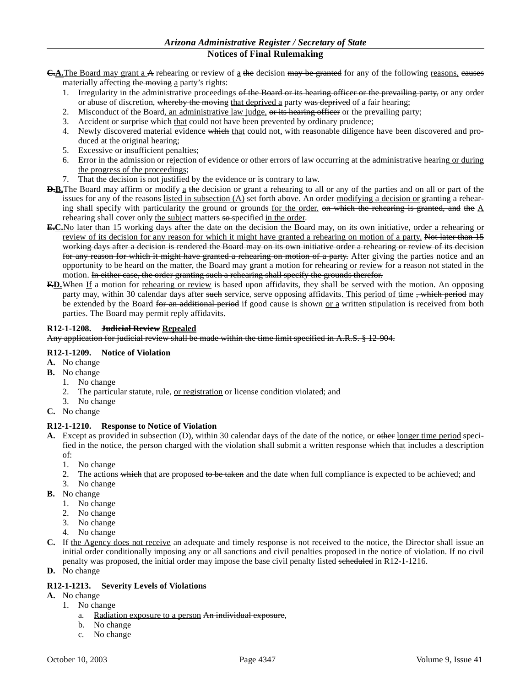- **C.A.**The Board may grant a A rehearing or review of a the decision may be granted for any of the following reasons, eauses materially affecting the moving a party's rights:
	- 1. Irregularity in the administrative proceedings of the Board or its hearing officer or the prevailing party, or any order or abuse of discretion, whereby the moving that deprived a party was deprived of a fair hearing;
	- 2. Misconduct of the Board, an administrative law judge, or its hearing officer or the prevailing party;
	- 3. Accident or surprise which that could not have been prevented by ordinary prudence;
	- 4. Newly discovered material evidence which that could not, with reasonable diligence have been discovered and produced at the original hearing;
	- 5. Excessive or insufficient penalties;
	- 6. Error in the admission or rejection of evidence or other errors of law occurring at the administrative hearing or during the progress of the proceedings;
	- 7. That the decision is not justified by the evidence or is contrary to law.
- **D.B.**The Board may affirm or modify a the decision or grant a rehearing to all or any of the parties and on all or part of the issues for any of the reasons listed in subsection  $(A)$  set forth above. An order modifying a decision or granting a rehearing shall specify with particularity the ground or grounds for the order, on which the rehearing is granted, and the  $\Delta$ rehearing shall cover only the subject matters so-specified in the order.
- **E.C.**No later than 15 working days after the date on the decision the Board may, on its own initiative, order a rehearing or review of its decision for any reason for which it might have granted a rehearing on motion of a party. Not later than 15 working days after a decision is rendered the Board may on its own initiative order a rehearing or review of its decision for any reason for which it might have granted a rehearing on motion of a party. After giving the parties notice and an opportunity to be heard on the matter, the Board may grant a motion for rehearing or review for a reason not stated in the motion. In either case, the order granting such a rehearing shall specify the grounds therefor.
- **F.D.**When If a motion for rehearing or review is based upon affidavits, they shall be served with the motion. An opposing party may, within 30 calendar days after such service, serve opposing affidavits. This period of time , which period may be extended by the Board for an additional period if good cause is shown <u>or a</u> written stipulation is received from both parties. The Board may permit reply affidavits.

### **R12-1-1208. Judicial Review Repealed**

Any application for judicial review shall be made within the time limit specified in A.R.S. § 12-904.

# **R12-1-1209. Notice of Violation**

- **A.** No change
- **B.** No change
	- 1. No change
	- 2. The particular statute, rule, or registration or license condition violated; and
- 3. No change
- **C.** No change

#### **R12-1-1210. Response to Notice of Violation**

- **A.** Except as provided in subsection (D), within 30 calendar days of the date of the notice, or other longer time period specified in the notice, the person charged with the violation shall submit a written response which that includes a description of:
	- 1. No change
	- 2. The actions which that are proposed to be taken and the date when full compliance is expected to be achieved; and
	- 3. No change
- **B.** No change
	- 1. No change
	- 2. No change
	- 3. No change
	- 4. No change
- **C.** If the Agency does not receive an adequate and timely response is not received to the notice, the Director shall issue an initial order conditionally imposing any or all sanctions and civil penalties proposed in the notice of violation. If no civil penalty was proposed, the initial order may impose the base civil penalty listed scheduled in R12-1-1216.
- **D.** No change

# **R12-1-1213. Severity Levels of Violations**

- **A.** No change
	- 1. No change
		- a. Radiation exposure to a person An individual exposure,
		- b. No change
		- c. No change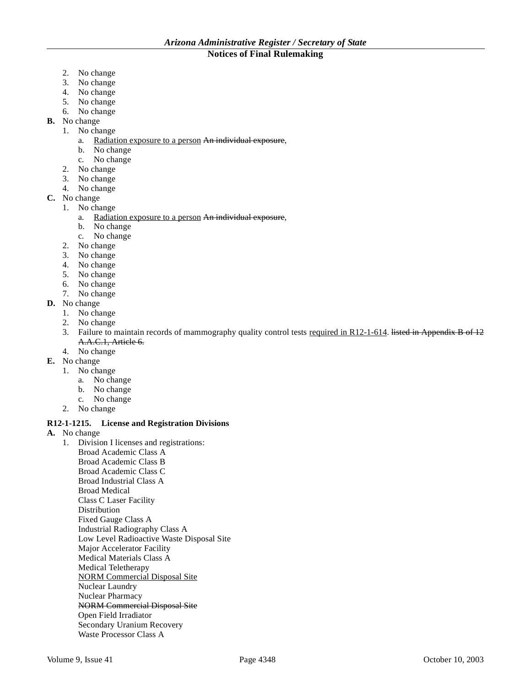- 2. No change
- 3. No change
- 4. No change
- 5. No change
- 6. No change
- **B.** No change
	- 1. No change
		- a. Radiation exposure to a person An individual exposure,
		- b. No change
		- c. No change
	- 2. No change
	- 3. No change
	- 4. No change
- **C.** No change
	- 1. No change
		- a. Radiation exposure to a person An individual exposure,
		- b. No change
		- c. No change
	- 2. No change
	- 3. No change
	- 4. No change
	- 5. No change
	- 6. No change
	- 7. No change
- **D.** No change
	- 1. No change
	- 2. No change
	- 3. Failure to maintain records of mammography quality control tests required in R12-1-614. listed in Appendix B of 12 A.A.C.1, Article 6.
	- 4. No change
- **E.** No change
	- 1. No change
		- a. No change
		- b. No change
		- c. No change
	- 2. No change

# **R12-1-1215. License and Registration Divisions**

- **A.** No change
	- 1. Division I licenses and registrations: Broad Academic Class A Broad Academic Class B Broad Academic Class C Broad Industrial Class A Broad Medical Class C Laser Facility Distribution Fixed Gauge Class A Industrial Radiography Class A Low Level Radioactive Waste Disposal Site Major Accelerator Facility Medical Materials Class A Medical Teletherapy NORM Commercial Disposal Site Nuclear Laundry Nuclear Pharmacy NORM Commercial Disposal Site Open Field Irradiator Secondary Uranium Recovery Waste Processor Class A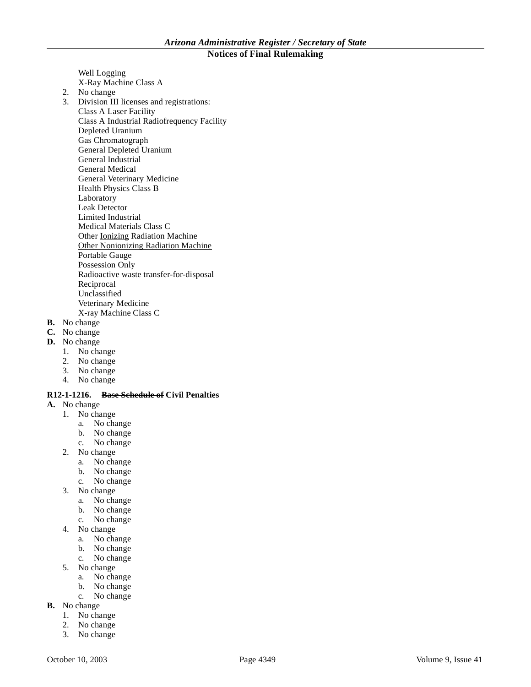Well Logging X-Ray Machine Class A 2. No change 3. Division III licenses and registrations: Class A Laser Facility Class A Industrial Radiofrequency Facility Depleted Uranium Gas Chromatograph General Depleted Uranium General Industrial General Medical General Veterinary Medicine Health Physics Class B Laboratory Leak Detector Limited Industrial Medical Materials Class C Other Ionizing Radiation Machine Other Nonionizing Radiation Machine Portable Gauge Possession Only Radioactive waste transfer-for-disposal Reciprocal Unclassified Veterinary Medicine X-ray Machine Class C

- **B.** No change
- **C.** No change
- **D.** No change
	- 1. No change
	- 2. No change
	- 3. No change
	- 4. No change

### **R12-1-1216. Base Schedule of Civil Penalties**

- **A.** No change
	- 1. No change
		- a. No change
		- b. No change
		- c. No change
	- 2. No change
		- a. No change
		- b. No change
		- c. No change
	- 3. No change
		- a. No change
		- b. No change
		- c. No change
	- 4. No change
		- a. No change
		- b. No change
		- c. No change
	- 5. No change
		- a. No change
		- b. No change
		- c. No change
- **B.** No change
	- 1. No change
	- 2. No change
	- 3. No change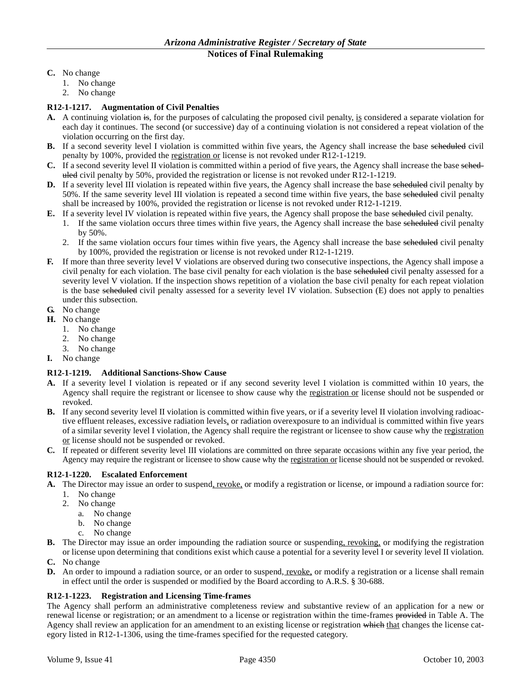- **C.** No change
	- 1. No change
	- 2. No change

# **R12-1-1217. Augmentation of Civil Penalties**

- **A.** A continuing violation is, for the purposes of calculating the proposed civil penalty, is considered a separate violation for each day it continues. The second (or successive) day of a continuing violation is not considered a repeat violation of the violation occurring on the first day.
- **B.** If a second severity level I violation is committed within five years, the Agency shall increase the base seheduled civil penalty by 100%, provided the registration or license is not revoked under R12-1-1219.
- **C.** If a second severity level II violation is committed within a period of five years, the Agency shall increase the base seheduled civil penalty by 50%, provided the registration or license is not revoked under R12-1-1219.
- **D.** If a severity level III violation is repeated within five years, the Agency shall increase the base seheduled civil penalty by 50%. If the same severity level III violation is repeated a second time within five years, the base seheduled civil penalty shall be increased by 100%, provided the registration or license is not revoked under R12-1-1219.
- **E.** If a severity level IV violation is repeated within five years, the Agency shall propose the base scheduled civil penalty.
	- 1. If the same violation occurs three times within five years, the Agency shall increase the base seheduled civil penalty by 50%.
		- 2. If the same violation occurs four times within five years, the Agency shall increase the base scheduled civil penalty by 100%, provided the registration or license is not revoked under R12-1-1219.
- **F.** If more than three severity level V violations are observed during two consecutive inspections, the Agency shall impose a civil penalty for each violation. The base civil penalty for each violation is the base scheduled civil penalty assessed for a severity level V violation. If the inspection shows repetition of a violation the base civil penalty for each repeat violation is the base scheduled civil penalty assessed for a severity level IV violation. Subsection (E) does not apply to penalties under this subsection.
- **G.** No change
- **H.** No change
	- 1. No change
	- 2. No change
	- 3. No change
- **I.** No change

# **R12-1-1219. Additional Sanctions-Show Cause**

- **A.** If a severity level I violation is repeated or if any second severity level I violation is committed within 10 years, the Agency shall require the registrant or licensee to show cause why the registration or license should not be suspended or revoked.
- **B.** If any second severity level II violation is committed within five years, or if a severity level II violation involving radioactive effluent releases, excessive radiation levels, or radiation overexposure to an individual is committed within five years of a similar severity level I violation, the Agency shall require the registrant or licensee to show cause why the registration or license should not be suspended or revoked.
- **C.** If repeated or different severity level III violations are committed on three separate occasions within any five year period, the Agency may require the registrant or licensee to show cause why the registration or license should not be suspended or revoked.

# **R12-1-1220. Escalated Enforcement**

- **A.** The Director may issue an order to suspend, revoke, or modify a registration or license, or impound a radiation source for:
	- 1. No change
	- 2. No change
		- a. No change
		- b. No change
		- c. No change
- **B.** The Director may issue an order impounding the radiation source or suspending, revoking, or modifying the registration or license upon determining that conditions exist which cause a potential for a severity level I or severity level II violation.
- **C.** No change
- **D.** An order to impound a radiation source, or an order to suspend, revoke, or modify a registration or a license shall remain in effect until the order is suspended or modified by the Board according to A.R.S. § 30-688.

# **R12-1-1223. Registration and Licensing Time-frames**

The Agency shall perform an administrative completeness review and substantive review of an application for a new or renewal license or registration; or an amendment to a license or registration within the time-frames provided in Table A. The Agency shall review an application for an amendment to an existing license or registration which that changes the license category listed in R12-1-1306, using the time-frames specified for the requested category.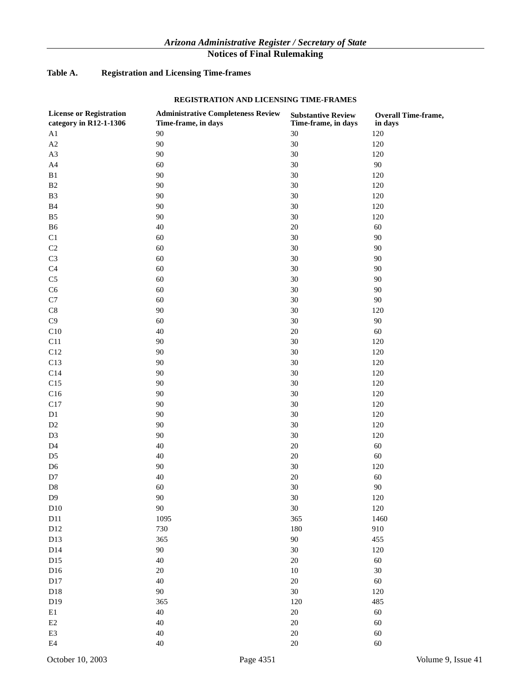# **Table A. Registration and Licensing Time-frames**

# **REGISTRATION AND LICENSING TIME-FRAMES**

| <b>License or Registration</b> | <b>Administrative Completeness Review</b> | <b>Substantive Review</b> | Overall Time-frame, |
|--------------------------------|-------------------------------------------|---------------------------|---------------------|
| category in R12-1-1306         | Time-frame, in days                       | Time-frame, in days       | in days             |
| A1                             | 90                                        | $30\,$                    | 120                 |
| $\mathbf{A2}$                  | $90\text{ }$                              | 30                        | 120                 |
| A3                             | $90\text{ }$                              | 30                        | 120                 |
| A4                             | 60                                        | $30\,$                    | $90\,$              |
| $\mathbf{B}1$                  | 90                                        | $30\,$                    | 120                 |
| $\mathbf{B}2$                  | 90                                        | $30\,$                    | 120                 |
| $\mathbf{B}3$                  | 90                                        | $30\,$                    | 120                 |
| $\mathbf{B}4$                  | 90                                        | $30\,$                    | 120                 |
| ${\bf B5}$                     | 90                                        | $30\,$                    | 120                 |
| B <sub>6</sub>                 | $40\,$                                    | $20\,$                    | 60                  |
| C1                             | 60                                        | $30\,$                    | 90                  |
| $\rm C2$                       | 60                                        | $30\,$                    | 90                  |
| $\rm C3$                       | 60                                        | $30\,$                    | 90                  |
| C <sub>4</sub>                 | 60                                        | $30\,$                    | 90                  |
| $\rm{C5}$                      | 60                                        | $30\,$                    | 90                  |
| C6                             | 60                                        | $30\,$                    | 90                  |
| $\mathbf{C}7$                  | 60                                        | $30\,$                    | 90                  |
| $\mbox{C}8$                    | 90                                        | $30\,$                    | 120                 |
| $\rm C9$                       | 60                                        | $30\,$                    | 90                  |
| C10                            | $40\,$                                    | $20\,$                    | 60                  |
| C11                            | 90                                        | $30\,$                    | 120                 |
| C12                            | 90                                        | $30\,$                    | 120                 |
| C13                            | 90                                        | $30\,$                    | 120                 |
| C14                            | 90                                        | $30\,$                    | 120                 |
| C15                            | 90                                        | $30\,$                    | 120                 |
| C16                            | 90                                        | $30\,$                    | 120                 |
| C17                            | 90                                        | $30\,$                    | 120                 |
| D1                             | 90                                        | $30\,$                    | 120                 |
| $\mathbf{D}2$                  | 90                                        | $30\,$                    | 120                 |
| D <sub>3</sub>                 | 90                                        | $30\,$                    | 120                 |
| D4                             | $40\,$                                    | $20\,$                    | 60                  |
| D <sub>5</sub>                 | $40\,$                                    | $20\,$                    | 60                  |
| D <sub>6</sub>                 | $90\text{ }$                              | $30\,$                    | 120                 |
| $\mathbf{D}7$                  | $40\,$                                    | $20\,$                    | 60                  |
| $\mathbf{D}8$                  | 60                                        | 30                        | 90                  |
| D <sub>9</sub>                 | $90\,$                                    | 30                        | $120\,$             |
| D10                            | 90                                        | $30\,$                    | 120                 |
| D11                            | 1095                                      | 365                       | 1460                |
| D12                            | 730                                       | 180                       | 910                 |
| D13                            | 365                                       | $90\,$                    | 455                 |
| D14                            | $90\text{ }$                              | $30\,$                    | 120                 |
| D15                            | 40                                        | $20\,$                    | 60                  |
| D16                            | 20                                        | $10\,$                    | 30                  |
| D17                            | 40                                        | $20\,$                    | 60                  |
| D18                            | $90\text{ }$                              | $30\,$                    | 120                 |
| D19                            | 365                                       | 120                       | 485                 |
| $\rm E1$                       | $40\,$                                    | $20\,$                    | 60                  |
| $\mathop{\mathrm{E2}}$         | $40\,$                                    | $20\,$                    | 60                  |
| $\mathop{\mathrm{E3}}$         | 40                                        | $20\,$                    | 60                  |
| $\rm E4$                       | 40                                        | $20\,$                    | 60                  |
|                                |                                           |                           |                     |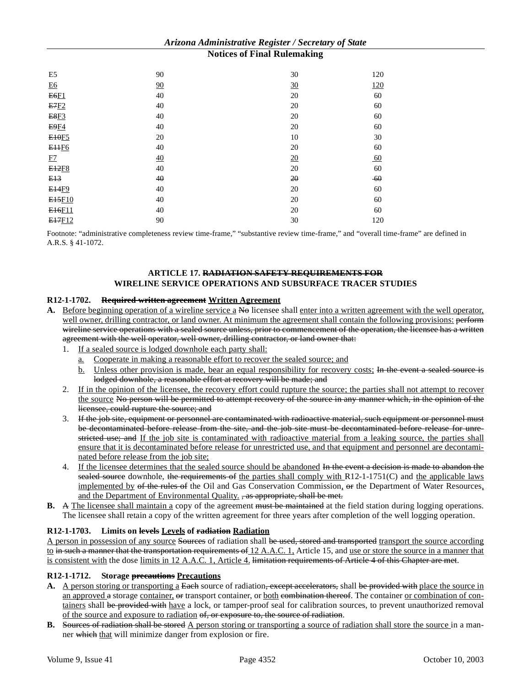| E <sub>5</sub>      | 90 | 30 | 120   |
|---------------------|----|----|-------|
| <b>E6</b>           | 90 | 30 | 120   |
| <b>E6F1</b>         | 40 | 20 | 60    |
| E7E2                | 40 | 20 | 60    |
| <b>E8F3</b>         | 40 | 20 | 60    |
| <b>E9F4</b>         | 40 | 20 | 60    |
| E <sub>10F5</sub>   | 20 | 10 | 30    |
| <b>EHF6</b>         | 40 | 20 | 60    |
| E2                  | 40 | 20 | 60    |
| E <sub>12F8</sub>   | 40 | 20 | 60    |
| E13                 | 40 | 20 | $-60$ |
| <b>E14F9</b>        | 40 | 20 | 60    |
| E <sub>15F10</sub>  | 40 | 20 | 60    |
| E <sub>16F11</sub>  | 40 | 20 | 60    |
| E <sub>17</sub> F12 | 90 | 30 | 120   |

Footnote: "administrative completeness review time-frame," "substantive review time-frame," and "overall time-frame" are defined in A.R.S. § 41-1072.

# **ARTICLE 17. RADIATION SAFETY REQUIREMENTS FOR WIRELINE SERVICE OPERATIONS AND SUBSURFACE TRACER STUDIES**

### **R12-1-1702. Required written agreement Written Agreement**

- A. Before beginning operation of a wireline service a No licensee shall enter into a written agreement with the well operator, well owner, drilling contractor, or land owner. At minimum the agreement shall contain the following provisions: perform wireline service operations with a sealed source unless, prior to commencement of the operation, the licensee has a written agreement with the well operator, well owner, drilling contractor, or land owner that:
	- 1. If a sealed source is lodged downhole each party shall:
		- a. Cooperate in making a reasonable effort to recover the sealed source; and
		- b. Unless other provision is made, bear an equal responsibility for recovery costs; In the event a sealed source is lodged downhole, a reasonable effort at recovery will be made; and
	- 2. If in the opinion of the licensee, the recovery effort could rupture the source; the parties shall not attempt to recover the source No person will be permitted to attempt recovery of the source in any manner which, in the opinion of the licensee, could rupture the source; and
	- 3. If the job site, equipment or personnel are contaminated with radioactive material, such equipment or personnel must be decontaminated before release from the site, and the job site must be decontaminated before release for unrestricted use; and If the job site is contaminated with radioactive material from a leaking source, the parties shall ensure that it is decontaminated before release for unrestricted use, and that equipment and personnel are decontaminated before release from the job site;
	- 4. If the licensee determines that the sealed source should be abandoned In the event a decision is made to abandon the sealed source downhole, the requirements of the parties shall comply with  $R12-1-1751(C)$  and the applicable laws implemented by of the rules of the Oil and Gas Conservation Commission, or the Department of Water Resources, and the Department of Environmental Quality. , as appropriate, shall be met.
- **B.** A The licensee shall maintain a copy of the agreement must be maintained at the field station during logging operations. The licensee shall retain a copy of the written agreement for three years after completion of the well logging operation.

# **R12-1-1703. Limits on levels Levels of radiation Radiation**

A person in possession of any source Sources of radiation shall be used, stored and transported transport the source according to in such a manner that the transportation requirements of 12 A.A.C. 1, Article 15, and use or store the source in a manner that is consistent with the dose limits in 12 A.A.C. 1, Article 4. limitation requirements of Article 4 of this Chapter are met.

#### **R12-1-1712. Storage precautions Precautions**

- A. A person storing or transporting a Each source of radiation, except accelerators, shall be provided with place the source in an approved a storage container, or transport container, or both combination thereof. The container or combination of containers shall be provided with have a lock, or tamper-proof seal for calibration sources, to prevent unauthorized removal of the source and exposure to radiation of, or exposure to, the source of radiation.
- **B.** Sources of radiation shall be stored A person storing or transporting a source of radiation shall store the source in a manner which that will minimize danger from explosion or fire.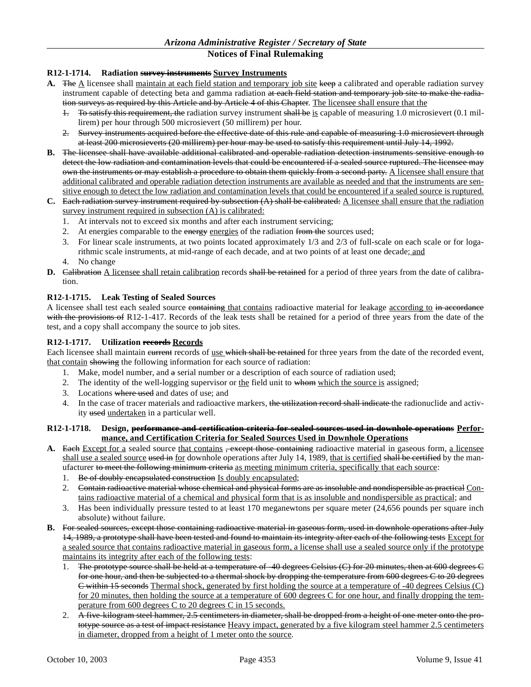# **R12-1-1714. Radiation survey instruments Survey Instruments**

- **A.** The  $\Delta$  licensee shall maintain at each field station and temporary job site keep a calibrated and operable radiation survey instrument capable of detecting beta and gamma radiation at each field station and temporary job site to make the radiation surveys as required by this Article and by Article 4 of this Chapter. The licensee shall ensure that the
	- 1. To satisfy this requirement, the radiation survey instrument shall be is capable of measuring 1.0 microsievert (0.1 millirem) per hour through 500 microsievert (50 millirem) per hour.
	- 2. Survey instruments acquired before the effective date of this rule and capable of measuring 1.0 microsievert through at least 200 microsieverts (20 millirem) per hour may be used to satisfy this requirement until July 14, 1992.
- **B.** The licensee shall have available additional calibrated and operable radiation detection instruments sensitive enough to detect the low radiation and contamination levels that could be encountered if a sealed source ruptured. The licensee may own the instruments or may establish a procedure to obtain them quickly from a second party. A licensee shall ensure that additional calibrated and operable radiation detection instruments are available as needed and that the instruments are sensitive enough to detect the low radiation and contamination levels that could be encountered if a sealed source is ruptured.
- **C.** Each radiation survey instrument required by subsection (A) shall be calibrated: A licensee shall ensure that the radiation survey instrument required in subsection (A) is calibrated:
	- 1. At intervals not to exceed six months and after each instrument servicing;
	- 2. At energies comparable to the energy energies of the radiation from the sources used;
	- 3. For linear scale instruments, at two points located approximately 1/3 and 2/3 of full-scale on each scale or for logarithmic scale instruments, at mid-range of each decade, and at two points of at least one decade; and
	- 4. No change
- **D.** Calibration A licensee shall retain calibration records shall be retained for a period of three years from the date of calibration.

# **R12-1-1715. Leak Testing of Sealed Sources**

A licensee shall test each sealed source containing that contains radioactive material for leakage according to in accordance with the provisions of R12-1-417. Records of the leak tests shall be retained for a period of three years from the date of the test, and a copy shall accompany the source to job sites.

### **R12-1-1717. Utilization records Records**

Each licensee shall maintain current records of use which shall be retained for three years from the date of the recorded event, that contain showing the following information for each source of radiation:

- 1. Make, model number, and a serial number or a description of each source of radiation used;
- 2. The identity of the well-logging supervisor or  $\underline{the}$  field unit to whom which the source is assigned;
- 3. Locations where used and dates of use; and
- 4. In the case of tracer materials and radioactive markers, the utilization record shall indicate the radionuclide and activity used undertaken in a particular well.

### **R12-1-1718. Design, performance and certification criteria for sealed sources used in downhole operations Performance, and Certification Criteria for Sealed Sources Used in Downhole Operations**

- A. Each Except for a sealed source that contains <del>, except those containing</del> radioactive material in gaseous form, a licensee shall use a sealed source used in for downhole operations after July 14, 1989, that is certified shall be certified by the manufacturer to meet the following minimum criteria as meeting minimum criteria, specifically that each source:
	- 1. Be of doubly encapsulated construction Is doubly encapsulated;
	- 2. Contain radioactive material whose chemical and physical forms are as insoluble and nondispersible as practical Contains radioactive material of a chemical and physical form that is as insoluble and nondispersible as practical; and
	- 3. Has been individually pressure tested to at least 170 meganewtons per square meter (24,656 pounds per square inch absolute) without failure.
- **B.** For sealed sources, except those containing radioactive material in gaseous form, used in downhole operations after July 14, 1989, a prototype shall have been tested and found to maintain its integrity after each of the following tests Except for a sealed source that contains radioactive material in gaseous form, a license shall use a sealed source only if the prototype maintains its integrity after each of the following tests:
	- 1. The prototype source shall be held at a temperature of -40 degrees Celsius (C) for 20 minutes, then at 600 degrees C for one hour, and then be subjected to a thermal shock by dropping the temperature from 600 degrees C to 20 degrees C within 15 seconds Thermal shock, generated by first holding the source at a temperature of -40 degrees Celsius (C) for 20 minutes, then holding the source at a temperature of 600 degrees C for one hour, and finally dropping the temperature from 600 degrees C to 20 degrees C in 15 seconds.
	- 2. A five-kilogram steel hammer, 2.5 centimeters in diameter, shall be dropped from a height of one meter onto the prototype source as a test of impact resistance Heavy impact, generated by a five kilogram steel hammer 2.5 centimeters in diameter, dropped from a height of 1 meter onto the source.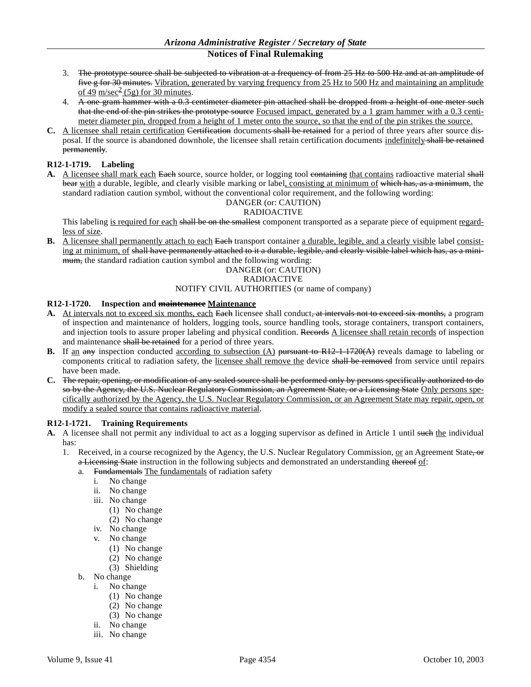- 3. The prototype source shall be subjected to vibration at a frequency of from 25 Hz to 500 Hz and at an amplitude of five g for 30 minutes. Vibration, generated by varying frequency from 25 Hz to 500 Hz and maintaining an amplitude of 49 m/sec<sup>2</sup> (5g) for 30 minutes.
- 4. A one gram hammer with a 0.3 centimeter diameter pin attached shall be dropped from a height of one meter such that the end of the pin strikes the prototype source Focused impact, generated by a 1 gram hammer with a 0.3 centimeter diameter pin, dropped from a height of 1 meter onto the source, so that the end of the pin strikes the source.
- **C.** A licensee shall retain certification Certification documents shall be retained for a period of three years after source disposal. If the source is abandoned downhole, the licensee shall retain certification documents indefinitely shall be retained permanently.

# **R12-1-1719. Labeling**

A. A licensee shall mark each Each source, source holder, or logging tool containing that contains radioactive material shall bear with a durable, legible, and clearly visible marking or label, consisting at minimum of which has, as a minimum, the standard radiation caution symbol, without the conventional color requirement, and the following wording:

# DANGER (or: CAUTION)

# RADIOACTIVE

This labeling is required for each shall be on the smallest component transported as a separate piece of equipment regardless of size.

**B.** A licensee shall permanently attach to each Each transport container a durable, legible, and a clearly visible label consisting at minimum, of shall have permanently attached to it a durable, legible, and clearly visible label which has, as a minimum, the standard radiation caution symbol and the following wording:

### DANGER (or: CAUTION)

#### RADIOACTIVE

# NOTIFY CIVIL AUTHORITIES (or name of company)

# **R12-1-1720. Inspection and maintenance Maintenance**

- A. At intervals not to exceed six months, each Each licensee shall conduct<del>, at intervals not to exceed six months,</del> a program of inspection and maintenance of holders, logging tools, source handling tools, storage containers, transport containers, and injection tools to assure proper labeling and physical condition. Records A licensee shall retain records of inspection and maintenance shall be retained for a period of three years.
- **B.** If an any inspection conducted according to subsection (A) pursuant to R12-1-1720(A) reveals damage to labeling or components critical to radiation safety, the licensee shall remove the device shall be removed from service until repairs have been made.
- **C.** The repair, opening, or modification of any sealed source shall be performed only by persons specifically authorized to do so by the Ageney, the U.S. Nuclear Regulatory Commission, an Agreement State, or a Licensing State Only persons specifically authorized by the Agency, the U.S. Nuclear Regulatory Commission, or an Agreement State may repair, open, or modify a sealed source that contains radioactive material.

#### **R12-1-1721. Training Requirements**

- A. A licensee shall not permit any individual to act as a logging supervisor as defined in Article 1 until such the individual has:
	- 1. Received, in a course recognized by the Agency, the U.S. Nuclear Regulatory Commission, or an Agreement State, or a Licensing State instruction in the following subjects and demonstrated an understanding thereof of:
		- a. Fundamentals The fundamentals of radiation safety
			- i. No change
			- ii. No change
			- iii. No change
				- (1) No change
				- (2) No change
			- iv. No change
			- v. No change
				- (1) No change
				- (2) No change
				- (3) Shielding
		- b. No change
			- i. No change
				- (1) No change
				- (2) No change
				- (3) No change
			- ii. No change
			- iii. No change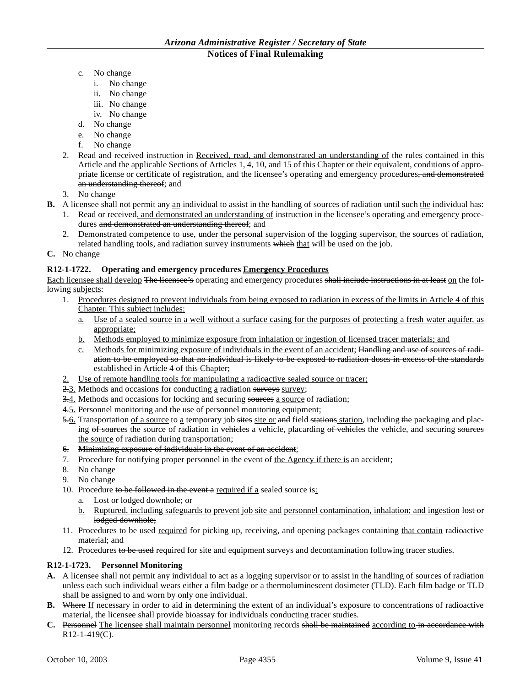- c. No change
	- i. No change
	- ii. No change
	- iii. No change
	- iv. No change
- d. No change
- e. No change
- f. No change
- 2. Read and received instruction in Received, read, and demonstrated an understanding of the rules contained in this Article and the applicable Sections of Articles 1, 4, 10, and 15 of this Chapter or their equivalent, conditions of appropriate license or certificate of registration, and the licensee's operating and emergency procedures, and demonstrated an understanding thereof; and
- 3. No change
- **B.** A licensee shall not permit any an individual to assist in the handling of sources of radiation until such the individual has:
	- 1. Read or received, and demonstrated an understanding of instruction in the licensee's operating and emergency procedures and demonstrated an understanding thereof; and
	- 2. Demonstrated competence to use, under the personal supervision of the logging supervisor, the sources of radiation, related handling tools, and radiation survey instruments which that will be used on the job.
- **C.** No change

# **R12-1-1722. Operating and emergency procedures Emergency Procedures**

Each licensee shall develop The licensee's operating and emergency procedures shall include instructions in at least on the following subjects:

- 1. Procedures designed to prevent individuals from being exposed to radiation in excess of the limits in Article 4 of this Chapter. This subject includes:
	- a. Use of a sealed source in a well without a surface casing for the purposes of protecting a fresh water aquifer, as appropriate;
	- b. Methods employed to minimize exposure from inhalation or ingestion of licensed tracer materials; and
	- c. Methods for minimizing exposure of individuals in the event of an accident; Handling and use of sources of radiation to be employed so that no individual is likely to be exposed to radiation doses in excess of the standards established in Article 4 of this Chapter;
- 2. Use of remote handling tools for manipulating a radioactive sealed source or tracer;
- $2.3$ . Methods and occasions for conducting a radiation surveys survey;
- 3.4. Methods and occasions for locking and securing sources a source of radiation;
- 4.5. Personnel monitoring and the use of personnel monitoring equipment;
- 5.6. Transportation of a source to a temporary job sites site or and field stations station, including the packaging and placing of sources the source of radiation in vehicles a vehicle, placarding of vehicles the vehicle, and securing sources the source of radiation during transportation;
- 6. Minimizing exposure of individuals in the event of an accident;
- 7. Procedure for notifying proper personnel in the event of the Agency if there is an accident;
- 8. No change
- 9. No change
- 10. Procedure to be followed in the event a required if a sealed source is:
	- a. Lost or lodged downhole; or
	- b. Ruptured, including safeguards to prevent job site and personnel contamination, inhalation; and ingestion lost or lodged downhole;
- 11. Procedures to be used required for picking up, receiving, and opening packages containing that contain radioactive material; and
- 12. Procedures to be used required for site and equipment surveys and decontamination following tracer studies.

# **R12-1-1723. Personnel Monitoring**

- **A.** A licensee shall not permit any individual to act as a logging supervisor or to assist in the handling of sources of radiation unless each such individual wears either a film badge or a thermoluminescent dosimeter (TLD). Each film badge or TLD shall be assigned to and worn by only one individual.
- **B.** Where If necessary in order to aid in determining the extent of an individual's exposure to concentrations of radioactive material, the licensee shall provide bioassay for individuals conducting tracer studies.
- **C.** Personnel The licensee shall maintain personnel monitoring records shall be maintained according to in accordance with R12-1-419(C).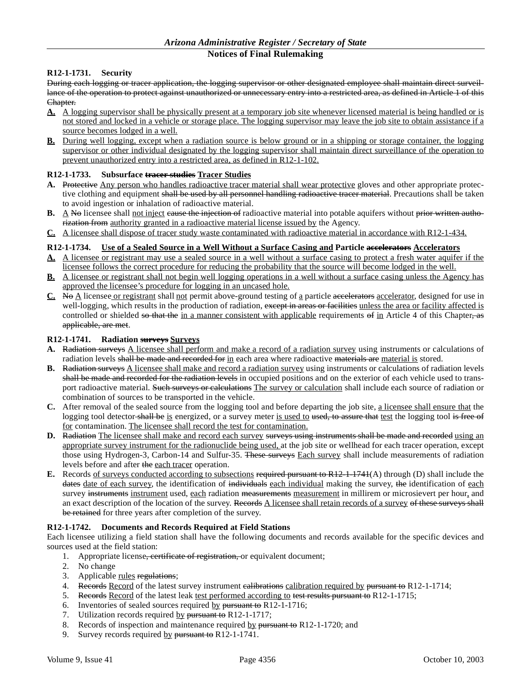# **R12-1-1731. Security**

During each logging or tracer application, the logging supervisor or other designated employee shall maintain direct surveillance of the operation to protect against unauthorized or unnecessary entry into a restricted area, as defined in Article 1 of this Chapter.

- **A.** A logging supervisor shall be physically present at a temporary job site whenever licensed material is being handled or is not stored and locked in a vehicle or storage place. The logging supervisor may leave the job site to obtain assistance if a source becomes lodged in a well.
- **B.** During well logging, except when a radiation source is below ground or in a shipping or storage container, the logging supervisor or other individual designated by the logging supervisor shall maintain direct surveillance of the operation to prevent unauthorized entry into a restricted area, as defined in R12-1-102.

# **R12-1-1733. Subsurface tracer studies Tracer Studies**

- **A.** Protective Any person who handles radioactive tracer material shall wear protective gloves and other appropriate protective clothing and equipment shall be used by all personnel handling radioactive tracer material. Precautions shall be taken to avoid ingestion or inhalation of radioactive material.
- **B.** A No licensee shall not inject eause the injection of radioactive material into potable aquifers without prior written authorization from authority granted in a radioactive material license issued by the Agency.
- **C.** A licensee shall dispose of tracer study waste contaminated with radioactive material in accordance with R12-1-434.

# **R12-1-1734. Use of a Sealed Source in a Well Without a Surface Casing and Particle accelerators Accelerators**

- **A.** A licensee or registrant may use a sealed source in a well without a surface casing to protect a fresh water aquifer if the licensee follows the correct procedure for reducing the probability that the source will become lodged in the well.
- **B.** A licensee or registrant shall not begin well logging operations in a well without a surface casing unless the Agency has approved the licensee's procedure for logging in an uncased hole.
- **C.** No A licensee or registrant shall not permit above-ground testing of a particle accelerators accelerator, designed for use in well-logging, which results in the production of radiation, except in areas or facilities unless the area or facility affected is controlled or shielded so that the in a manner consistent with applicable requirements of in Article 4 of this Chapter, as applicable, are met.

# **R12-1-1741. Radiation surveys Surveys**

- A. Radiation surveys A licensee shall perform and make a record of a radiation survey using instruments or calculations of radiation levels shall be made and recorded for in each area where radioactive materials are material is stored.
- **B.** Radiation surveys A licensee shall make and record a radiation survey using instruments or calculations of radiation levels shall be made and recorded for the radiation levels in occupied positions and on the exterior of each vehicle used to transport radioactive material. Such surveys or calculations The survey or calculation shall include each source of radiation or combination of sources to be transported in the vehicle.
- **C.** After removal of the sealed source from the logging tool and before departing the job site, a licensee shall ensure that the logging tool detector shall be is energized, or a survey meter is used to used, to assure that test the logging tool is free of for contamination. The licensee shall record the test for contamination.
- D. Radiation The licensee shall make and record each survey surveys using instruments shall be made and recorded using an appropriate survey instrument for the radionuclide being used, at the job site or wellhead for each tracer operation, except those using Hydrogen-3, Carbon-14 and Sulfur-35. These surveys Each survey shall include measurements of radiation levels before and after the each tracer operation.
- **E.** Records of surveys conducted according to subsections required pursuant to R12-1-1741(A) through (D) shall include the dates date of each survey, the identification of individuals each individual making the survey, the identification of each survey instruments instrument used, each radiation measurements measurement in millirem or microsievert per hour, and an exact description of the location of the survey. Records A licensee shall retain records of a survey of these surveys shall be retained for three years after completion of the survey.

# **R12-1-1742. Documents and Records Required at Field Stations**

Each licensee utilizing a field station shall have the following documents and records available for the specific devices and sources used at the field station:

- 1. Appropriate license<del>, certificate of registration, o</del>r equivalent document;
- 2. No change
- 3. Applicable rules regulations;
- 4. Records Record of the latest survey instrument ealibrations calibration required by pursuant to R12-1-1714;
- 5. Records Record of the latest leak test performed according to test results pursuant to R12-1-1715;
- 6. Inventories of sealed sources required by pursuant to  $R12-1-1716$ ;
- 7. Utilization records required by pursuant to R12-1-1717;
- 8. Records of inspection and maintenance required by pursuant to R12-1-1720; and
- 9. Survey records required by pursuant to  $R12-1-1741$ .